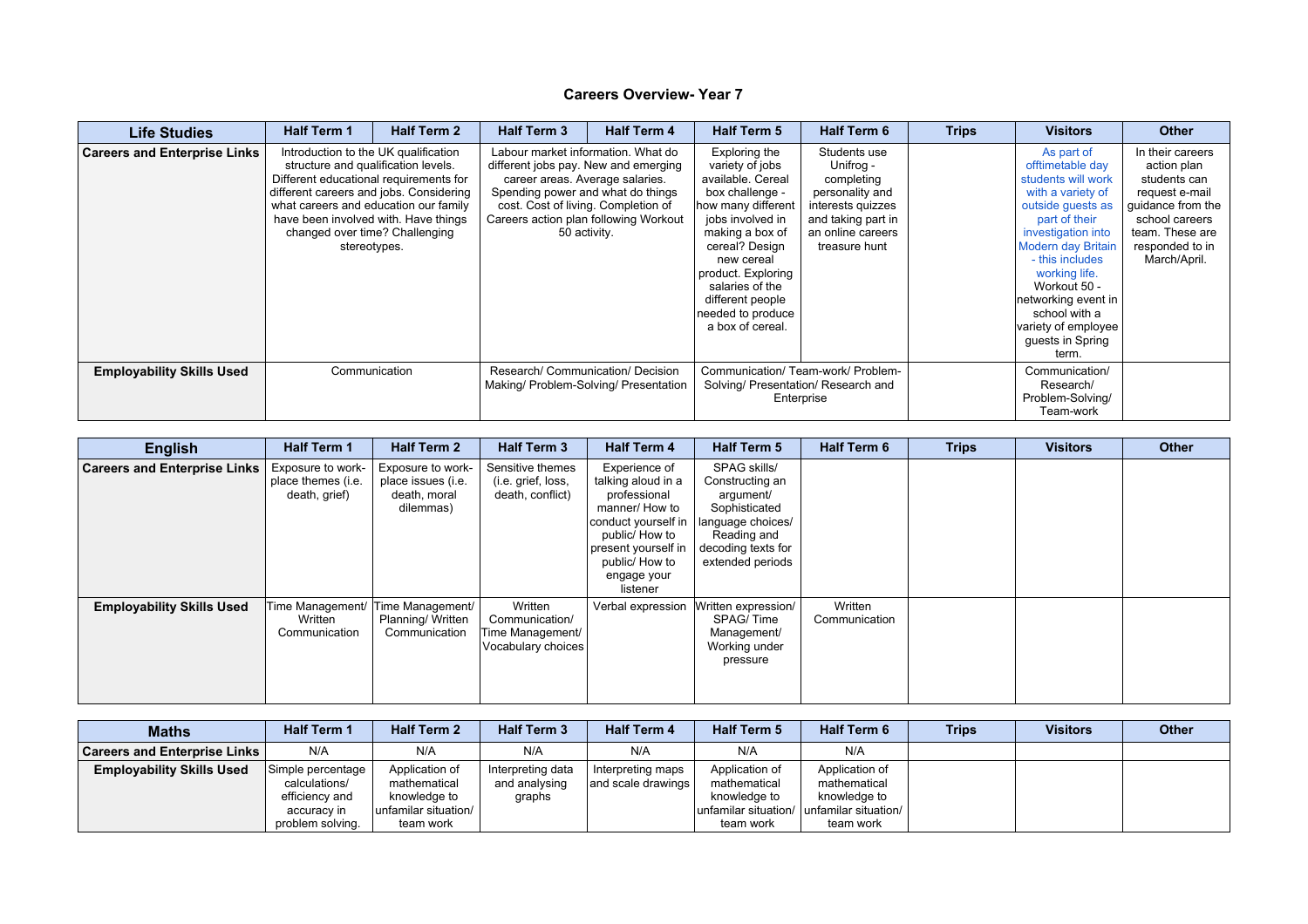| <b>Life Studies</b>                 | <b>Half Term 1</b>                                                                                                                                                                                                                                                                                  | <b>Half Term 2</b> | <b>Half Term 3</b>                                                                                                                                                                        | <b>Half Term 4</b>                                    | <b>Half Term 5</b>                                                                                                                                                                                                                                                          | <b>Half Term 6</b>                                                                                                                          | <b>Trips</b> | <b>Visitors</b>                                                                                                                                                                                                                                                                                                    | <b>Other</b>                                                                                                                                                   |
|-------------------------------------|-----------------------------------------------------------------------------------------------------------------------------------------------------------------------------------------------------------------------------------------------------------------------------------------------------|--------------------|-------------------------------------------------------------------------------------------------------------------------------------------------------------------------------------------|-------------------------------------------------------|-----------------------------------------------------------------------------------------------------------------------------------------------------------------------------------------------------------------------------------------------------------------------------|---------------------------------------------------------------------------------------------------------------------------------------------|--------------|--------------------------------------------------------------------------------------------------------------------------------------------------------------------------------------------------------------------------------------------------------------------------------------------------------------------|----------------------------------------------------------------------------------------------------------------------------------------------------------------|
| <b>Careers and Enterprise Links</b> | Introduction to the UK qualification<br>structure and qualification levels.<br>Different educational requirements for<br>different careers and jobs. Considering<br>what careers and education our family<br>have been involved with. Have things<br>changed over time? Challenging<br>stereotypes. |                    | Labour market information. What do<br>different jobs pay. New and emerging<br>career areas. Average salaries.<br>Spending power and what do things<br>cost. Cost of living. Completion of | Careers action plan following Workout<br>50 activity. | Exploring the<br>variety of jobs<br>available. Cereal<br>box challenge -<br>how many different<br>jobs involved in<br>making a box of<br>cereal? Design<br>new cereal<br>product. Exploring<br>salaries of the<br>different people<br>needed to produce<br>a box of cereal. | Students use<br>Unifrog -<br>completing<br>personality and<br>interests quizzes<br>and taking part in<br>an online careers<br>treasure hunt |              | As part of<br>offtimetable day<br>students will work<br>with a variety of<br>outside guests as<br>part of their<br>investigation into<br><b>Modern day Britain</b><br>- this includes<br>working life.<br>Workout 50 -<br>networking event in<br>school with a<br>variety of employee<br>guests in Spring<br>term. | In their careers<br>action plan<br>students can<br>request e-mail<br>guidance from the<br>school careers<br>team. These are<br>responded to in<br>March/April. |
| <b>Employability Skills Used</b>    | Communication                                                                                                                                                                                                                                                                                       |                    | Research/ Communication/ Decision                                                                                                                                                         | Making/ Problem-Solving/ Presentation                 | Communication/ Team-work/ Problem-<br>Solving/ Presentation/ Research and<br>Enterprise                                                                                                                                                                                     |                                                                                                                                             |              | Communication/<br>Research/<br>Problem-Solving/<br>Team-work                                                                                                                                                                                                                                                       |                                                                                                                                                                |

| <b>English</b>                      | <b>Half Term 1</b>                                       | <b>Half Term 2</b>                                                   | <b>Half Term 3</b>                                                  | <b>Half Term 4</b>                                                                                                                                                                   | <b>Half Term 5</b>                                                                                                                          | <b>Half Term 6</b>       | <b>Trips</b> | <b>Visitors</b> | <b>Other</b> |
|-------------------------------------|----------------------------------------------------------|----------------------------------------------------------------------|---------------------------------------------------------------------|--------------------------------------------------------------------------------------------------------------------------------------------------------------------------------------|---------------------------------------------------------------------------------------------------------------------------------------------|--------------------------|--------------|-----------------|--------------|
| <b>Careers and Enterprise Links</b> | Exposure to work-<br>place themes (i.e.<br>death, grief) | Exposure to work-<br>place issues (i.e.<br>death, moral<br>dilemmas) | Sensitive themes<br>(i.e. grief, loss,<br>death, conflict)          | Experience of<br>talking aloud in a<br>professional<br>manner/ How to<br>conduct yourself in  <br>public/ How to<br>present yourself in<br>public/ How to<br>engage your<br>listener | SPAG skills/<br>Constructing an<br>argument/<br>Sophisticated<br>language choices/<br>Reading and<br>decoding texts for<br>extended periods |                          |              |                 |              |
| <b>Employability Skills Used</b>    | Time Management/<br>Written<br>Communication             | Time Management/<br>Planning/Written<br>Communication                | Written<br>Communication/<br>Time Management/<br>Vocabulary choices | Verbal expression                                                                                                                                                                    | Written expression/<br>SPAG/Time<br>Management/<br>Working under<br>pressure                                                                | Written<br>Communication |              |                 |              |

| <b>Maths</b>                        | <b>Half Term 1</b> | <b>Half Term 2</b>      | <b>Half Term 3</b> | <b>Half Term 4</b> | <b>Half Term 5</b> | <b>Half Term 6</b>                          | <b>Trips</b> | <b>Visitors</b> | <b>Other</b> |
|-------------------------------------|--------------------|-------------------------|--------------------|--------------------|--------------------|---------------------------------------------|--------------|-----------------|--------------|
| <b>Careers and Enterprise Links</b> | N/A                | N/A                     | N/A                | N/A                | N/A                | N/A                                         |              |                 |              |
| <b>Employability Skills Used</b>    | Simple percentage  | Application of          | Interpreting data  | Interpreting maps  | Application of     | Application of                              |              |                 |              |
|                                     | calculations/      | mathematical            | and analysing      | and scale drawings | mathematical       | mathematical                                |              |                 |              |
|                                     | efficiency and     | knowledge to            | graphs             |                    | knowledge to       | knowledge to                                |              |                 |              |
|                                     | accuracy in        | ∣unfamilar situation/ ∥ |                    |                    |                    | lunfamilar situation/ lunfamilar situation/ |              |                 |              |
|                                     | problem solving.   | team work               |                    |                    | team work          | team work                                   |              |                 |              |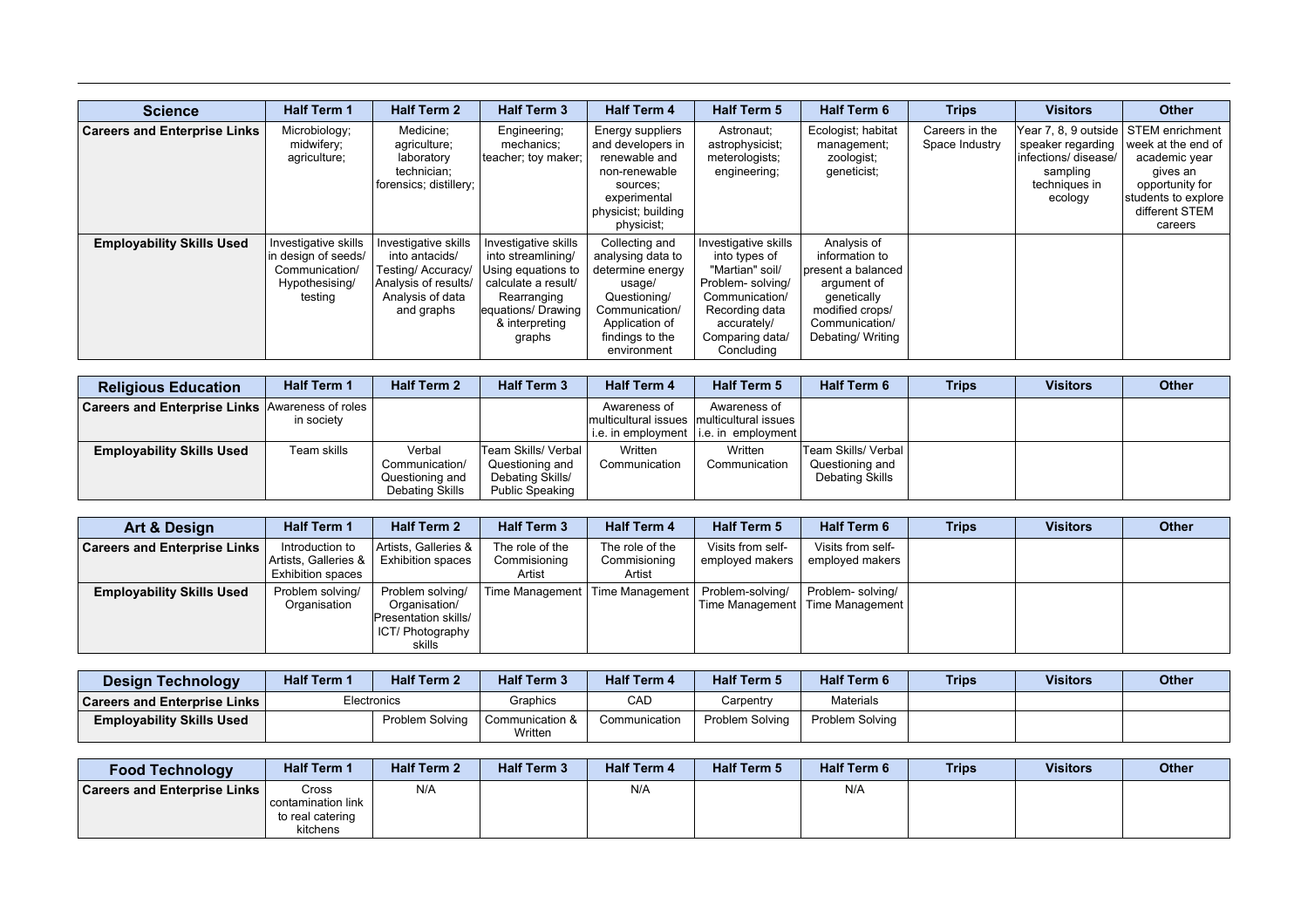| <b>Science</b>                      | <b>Half Term 1</b>                                                                         | <b>Half Term 2</b>                                                                                                     | <b>Half Term 3</b>                                                                                                                                       | <b>Half Term 4</b>                                                                                                                                      | <b>Half Term 5</b>                                                                                                                                                | <b>Half Term 6</b>                                                                                                                          | <b>Trips</b>                     | <b>Visitors</b>                                                                                           | <b>Other</b>                                                                                                                                |
|-------------------------------------|--------------------------------------------------------------------------------------------|------------------------------------------------------------------------------------------------------------------------|----------------------------------------------------------------------------------------------------------------------------------------------------------|---------------------------------------------------------------------------------------------------------------------------------------------------------|-------------------------------------------------------------------------------------------------------------------------------------------------------------------|---------------------------------------------------------------------------------------------------------------------------------------------|----------------------------------|-----------------------------------------------------------------------------------------------------------|---------------------------------------------------------------------------------------------------------------------------------------------|
| <b>Careers and Enterprise Links</b> | Microbiology;<br>midwifery;<br>agriculture;                                                | Medicine:<br>agriculture;<br>laboratory<br>technician;<br>forensics; distillery;                                       | Engineering;<br>mechanics;<br>teacher; toy maker;                                                                                                        | Energy suppliers<br>and developers in<br>renewable and<br>non-renewable<br>sources:<br>experimental<br>physicist; building<br>physicist;                | Astronaut;<br>astrophysicist;<br>meterologists;<br>engineering;                                                                                                   | Ecologist; habitat<br>management;<br>zoologist;<br>geneticist;                                                                              | Careers in the<br>Space Industry | Year 7, 8, 9 outside<br>speaker regarding<br>infections/ disease/<br>sampling<br>techniques in<br>ecology | STEM enrichment<br>week at the end of<br>academic year<br>gives an<br>opportunity for<br>students to explore  <br>different STEM<br>careers |
| <b>Employability Skills Used</b>    | Investigative skills<br>in design of seeds/<br>Communication/<br>Hypothesising/<br>testing | Investigative skills<br>into antacids/<br>Testing/ Accuracy/<br>Analysis of results/<br>Analysis of data<br>and graphs | Investigative skills<br>into streamlining/<br>Using equations to<br>calculate a result/<br>Rearranging<br>equations/ Drawing<br>& interpreting<br>graphs | Collecting and<br>analysing data to<br>determine energy<br>usage/<br>Questioning/<br>Communication/<br>Application of<br>findings to the<br>environment | Investigative skills<br>into types of<br>"Martian" soil/<br>Problem- solving/<br>Communication/<br>Recording data<br>accurately/<br>Comparing data/<br>Concluding | Analysis of<br>information to<br>present a balanced<br>argument of<br>genetically<br>modified crops/<br>Communication/<br>Debating/ Writing |                                  |                                                                                                           |                                                                                                                                             |

| <b>Religious Education</b>                               | <b>Half Term 1</b> | <b>Half Term 2</b>                                             | <b>Half Term 3</b>                                                                     | <b>Half Term 4</b>       | <b>Half Term 5</b>                                                                                     | <b>Half Term 6</b>                                        | <b>Trips</b> | <b>Visitors</b> | <b>Other</b> |
|----------------------------------------------------------|--------------------|----------------------------------------------------------------|----------------------------------------------------------------------------------------|--------------------------|--------------------------------------------------------------------------------------------------------|-----------------------------------------------------------|--------------|-----------------|--------------|
| <b>Careers and Enterprise Links Awareness of roles  </b> | in society         |                                                                |                                                                                        | Awareness of             | Awareness of<br>Imulticultural issues Imulticultural issues<br>i.e. in employment   i.e. in employment |                                                           |              |                 |              |
| <b>Employability Skills Used</b>                         | Team skills        | Verbal<br>Communication/<br>Questioning and<br>Debating Skills | Team Skills/ Verbal  <br>Questioning and<br>Debating Skills/<br><b>Public Speaking</b> | Written<br>Communication | Written<br>Communication                                                                               | Team Skills/ Verbal<br>Questioning and<br>Debating Skills |              |                 |              |

| Art & Design                        | <b>Half Term 1</b>                                                  | <b>Half Term 2</b>                                                                      | <b>Half Term 3</b>                        | <b>Half Term 4</b>                        | <b>Half Term 5</b>                   | <b>Half Term 6</b>                                     | <b>Trips</b> | <b>Visitors</b> | <b>Other</b> |
|-------------------------------------|---------------------------------------------------------------------|-----------------------------------------------------------------------------------------|-------------------------------------------|-------------------------------------------|--------------------------------------|--------------------------------------------------------|--------------|-----------------|--------------|
| <b>Careers and Enterprise Links</b> | Introduction to<br>Artists, Galleries &<br><b>Exhibition spaces</b> | Artists, Galleries &<br><b>Exhibition spaces</b>                                        | The role of the<br>Commisioning<br>Artist | The role of the<br>Commisioning<br>Artist | Visits from self-<br>employed makers | Visits from self-<br>employed makers                   |              |                 |              |
| <b>Employability Skills Used</b>    | Problem solving/<br>Organisation                                    | Problem solving/<br>Organisation/<br>Presentation skills/<br>ICT/ Photography<br>skills |                                           | Time Management   Time Management         | Problem-solving/                     | Problem- solving/<br>Time Management   Time Management |              |                 |              |

| <b>Design Technology</b>              | <b>Half Term '</b> | <b>Half Term 2</b> | <b>Half Term 3</b>         | <b>Half Term 4</b> | <b>Half Term 5</b> | <b>Half Term 6</b> | <b>Trips</b> | <b>Visitors</b> | <b>Other</b> |
|---------------------------------------|--------------------|--------------------|----------------------------|--------------------|--------------------|--------------------|--------------|-----------------|--------------|
| <b>Careers and Enterprise Links  </b> | Electronics        |                    | Graphics                   | CAD                | Carpentry          | <b>Materials</b>   |              |                 |              |
| <b>Employability Skills Used</b>      |                    | Problem Solving    | Communication &<br>Written | Communication      | Problem Solving    | Problem Solving    |              |                 |              |

| <b>Food Technology</b>              | <b>Half Term 1</b> | <b>Half Term 2</b> | <b>Half Term 3</b> | <b>Half Term 4</b> | <b>Half Term 5</b> | <b>Half Term 6</b> | <b>Trips</b> | <b>Visitors</b> | <b>Other</b> |
|-------------------------------------|--------------------|--------------------|--------------------|--------------------|--------------------|--------------------|--------------|-----------------|--------------|
| <b>Careers and Enterprise Links</b> | Cross              | N/A                |                    | N/A                |                    | N/A                |              |                 |              |
|                                     | contamination link |                    |                    |                    |                    |                    |              |                 |              |
|                                     | to real catering   |                    |                    |                    |                    |                    |              |                 |              |
|                                     | kitchens           |                    |                    |                    |                    |                    |              |                 |              |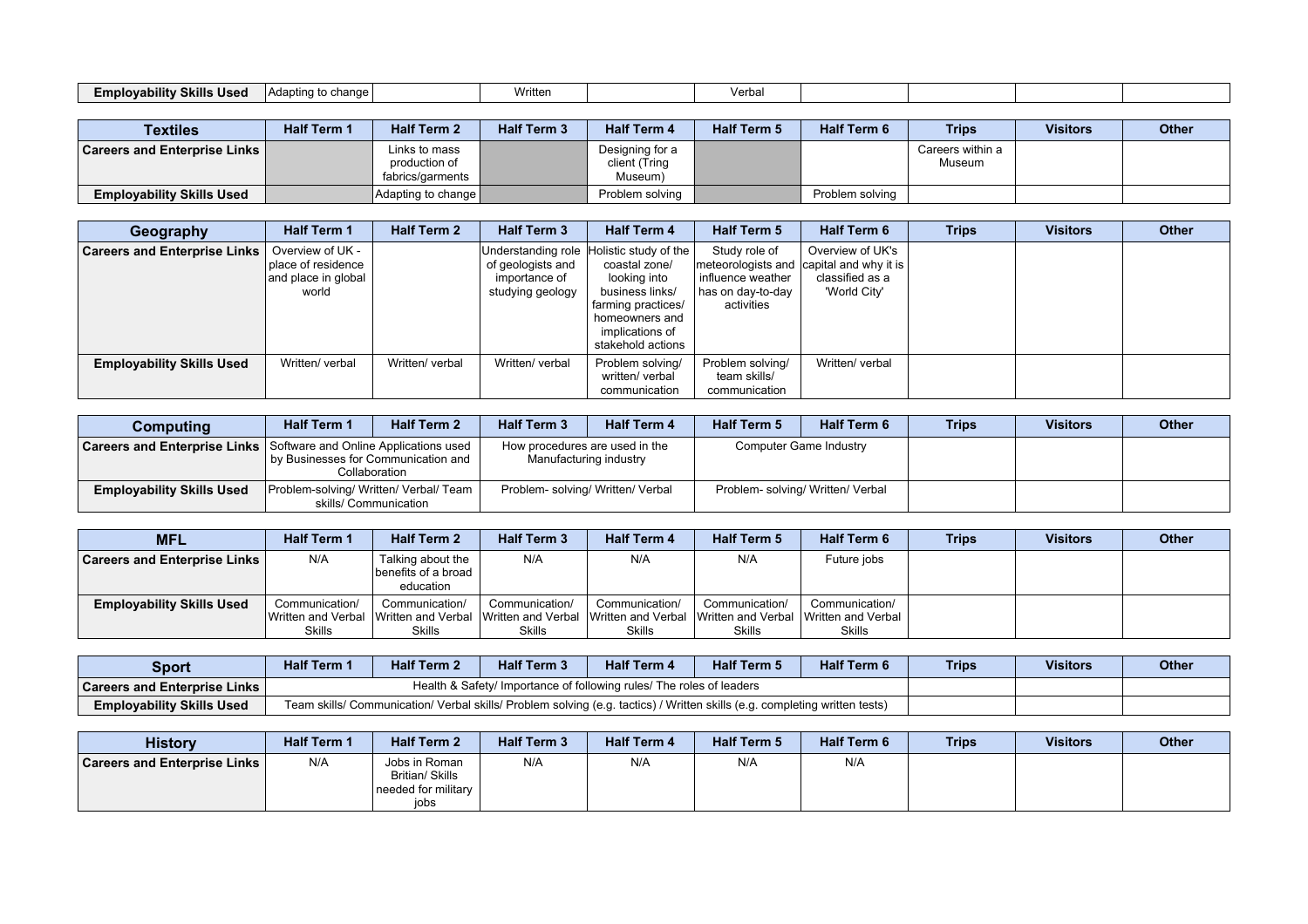| Writt∈.<br>Emplovability<br><b>Skills Used</b><br>l Adapting to change l<br>Verba. |
|------------------------------------------------------------------------------------|
|------------------------------------------------------------------------------------|

| <b>Textiles</b>                       | <b>Half Term 1</b> | <b>Half Term 2</b>                                 | <b>Half Term 3</b> | <b>Half Term 4</b>                          | <b>Half Term 5</b> | <b>Half Term 6</b> | <b>Trips</b>               | <b>Visitors</b> | <b>Other</b> |
|---------------------------------------|--------------------|----------------------------------------------------|--------------------|---------------------------------------------|--------------------|--------------------|----------------------------|-----------------|--------------|
| <b>Careers and Enterprise Links I</b> |                    | Links to mass<br>production of<br>fabrics/garments |                    | Designing for a<br>client (Tring<br>Museum) |                    |                    | Careers within a<br>Museum |                 |              |
| <b>Employability Skills Used</b>      |                    | Adapting to change                                 |                    | Problem solving                             |                    | Problem solving    |                            |                 |              |

| Geography                           | <b>Half Term 1</b>                                                     | <b>Half Term 2</b> | <b>Half Term 3</b>                                     | <b>Half Term 4</b>                                                                                                                                                           | <b>Half Term 5</b>                                                    | <b>Half Term 6</b>                                                                              | <b>Trips</b> | <b>Visitors</b> | <b>Other</b> |
|-------------------------------------|------------------------------------------------------------------------|--------------------|--------------------------------------------------------|------------------------------------------------------------------------------------------------------------------------------------------------------------------------------|-----------------------------------------------------------------------|-------------------------------------------------------------------------------------------------|--------------|-----------------|--------------|
| <b>Careers and Enterprise Links</b> | Overview of UK -<br>place of residence<br>and place in global<br>world |                    | of geologists and<br>importance of<br>studying geology | Understanding role Holistic study of the<br>coastal zone/<br>looking into<br>business links/<br>farming practices/<br>homeowners and<br>implications of<br>stakehold actions | Study role of<br>influence weather<br>has on day-to-day<br>activities | Overview of UK's<br>meteorologists and capital and why it is<br>classified as a<br>'World City' |              |                 |              |
| <b>Employability Skills Used</b>    | Written/ verbal                                                        | Written/ verbal    | Written/ verbal                                        | Problem solving/<br>written/ verbal<br>communication                                                                                                                         | Problem solving/<br>team skills/<br>communication                     | Written/ verbal                                                                                 |              |                 |              |

| Computing                        | <b>Half Term 1</b>                                                                                                                  | <b>Half Term 2</b> | <b>Half Term 3</b>                                       | <b>Half Term 4</b> | <b>Half Term 5</b>                | <b>Half Term 6</b> | <b>Trips</b> | <b>Visitors</b> | <b>Other</b> |
|----------------------------------|-------------------------------------------------------------------------------------------------------------------------------------|--------------------|----------------------------------------------------------|--------------------|-----------------------------------|--------------------|--------------|-----------------|--------------|
|                                  | <b>Careers and Enterprise Links</b>   Software and Online Applications used<br>by Businesses for Communication and<br>Collaboration |                    | How procedures are used in the<br>Manufacturing industry |                    | Computer Game Industry            |                    |              |                 |              |
| <b>Employability Skills Used</b> | Problem-solving/ Written/ Verbal/ Team  <br>skills/ Communication                                                                   |                    | Problem-solving/ Written/ Verbal                         |                    | Problem- solving/ Written/ Verbal |                    |              |                 |              |

| <b>MFL</b>                            | <b>Half Term 1</b>                             | <b>Half Term 2</b>                                                           | <b>Half Term 3</b>              | <b>Half Term 4</b>                                    | <b>Half Term 5</b>                             | <b>Half Term 6</b>                                    | <b>Trips</b> | <b>Visitors</b> | <b>Other</b> |
|---------------------------------------|------------------------------------------------|------------------------------------------------------------------------------|---------------------------------|-------------------------------------------------------|------------------------------------------------|-------------------------------------------------------|--------------|-----------------|--------------|
| <b>Careers and Enterprise Links</b> I | N/A                                            | Talking about the<br>benefits of a broad  <br>education                      | N/A                             | N/A                                                   | N/A                                            | Future jobs                                           |              |                 |              |
| <b>Employability Skills Used</b>      | Communication/<br>Written and Verbal<br>Skills | Communication/<br>l IWritten and Verbal IWritten and Verbal<br><b>Skills</b> | Communication/<br><b>Skills</b> | Communication/<br>Written and Verbal<br><b>Skills</b> | Communication/<br>Written and Verbal<br>Skills | Communication/<br>Written and Verbal<br><b>Skills</b> |              |                 |              |

| <b>Sport</b>                        | Half Term $^{\prime}$ | <b>Half Term 2</b> | <b>Half Term 3</b>                                                                                                         | <b>Half Term 4</b> | <b>Half Term 5</b> | <b>Half Term 6</b> | <b>Trips</b> | <b>Visitors</b> | <b>Other</b> |
|-------------------------------------|-----------------------|--------------------|----------------------------------------------------------------------------------------------------------------------------|--------------------|--------------------|--------------------|--------------|-----------------|--------------|
| <b>Careers and Enterprise Links</b> |                       |                    | Health & Safety/ Importance of following rules/ The roles of leaders                                                       |                    |                    |                    |              |                 |              |
| <b>Employability Skills Used</b>    |                       |                    | Team skills/ Communication/ Verbal skills/ Problem solving (e.g. tactics) / Written skills (e.g. completing written tests) |                    |                    |                    |              |                 |              |

| <b>History</b>                      | <b>Half Term 1</b> | <b>Half Term 2</b>                                              | <b>Half Term 3</b> | <b>Half Term 4</b> | <b>Half Term 5</b> | <b>Half Term 6</b> | <b>Trips</b> | <b>Visitors</b> | <b>Other</b> |
|-------------------------------------|--------------------|-----------------------------------------------------------------|--------------------|--------------------|--------------------|--------------------|--------------|-----------------|--------------|
| <b>Careers and Enterprise Links</b> | N/A                | Jobs in Roman<br>Britian/ Skills<br>needed for military<br>jobs | N/A                | N/A                | N/A                | N/A                |              |                 |              |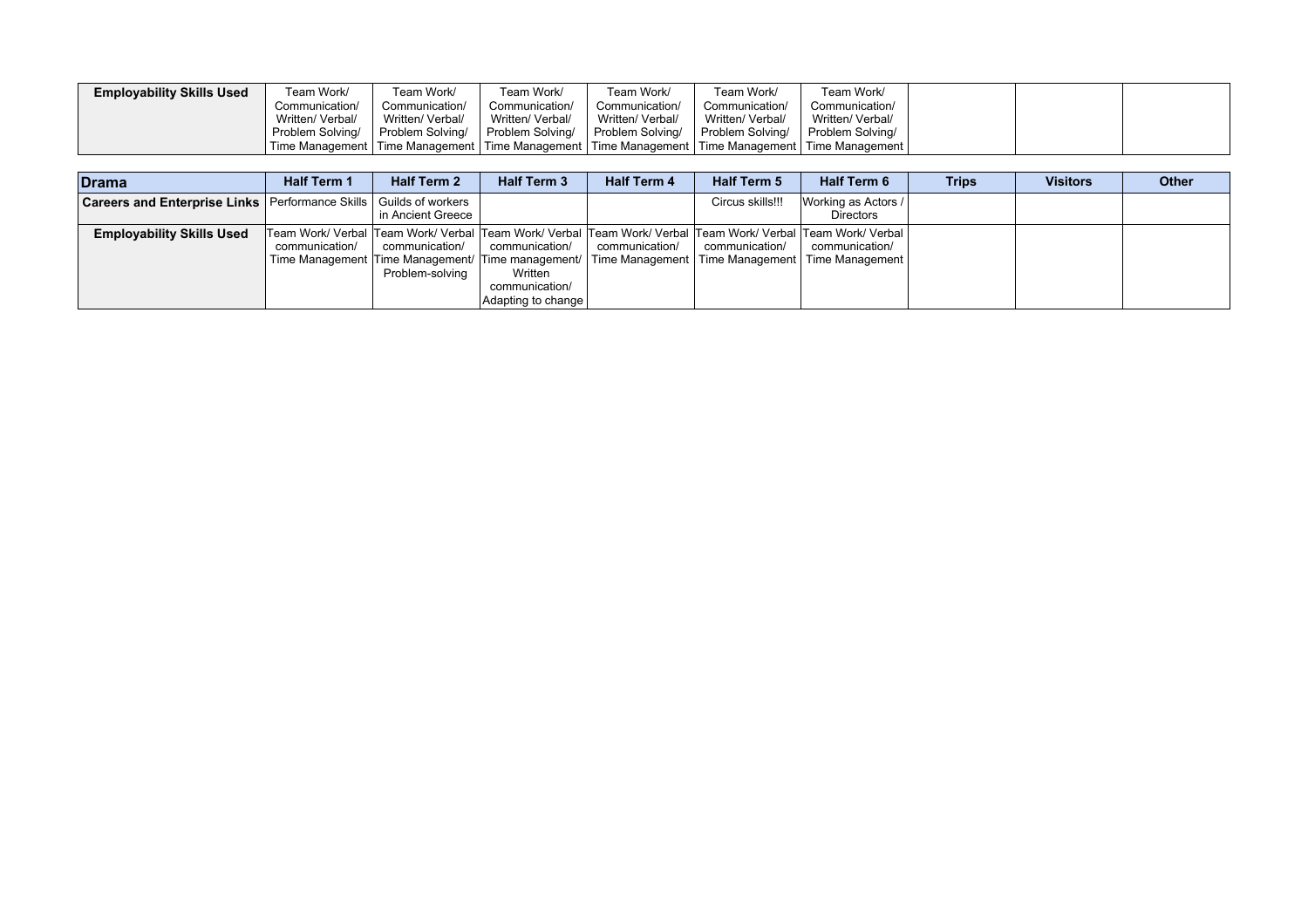| <b>Employability Skills Used</b> | Team Work/       | Team Work/                                                                                                | Team Work/       | Team Work/       | Team Work/       | Team Work/       |  |  |
|----------------------------------|------------------|-----------------------------------------------------------------------------------------------------------|------------------|------------------|------------------|------------------|--|--|
|                                  | Communication/   | Communication/                                                                                            | Communication/   | Communication/   | Communication/   | Communication/   |  |  |
|                                  | Written/ Verbal/ | Written/ Verbal/                                                                                          | Written/ Verbal/ | Written/ Verbal/ | Written/ Verbal/ | Written/ Verbal/ |  |  |
|                                  | Problem Solving/ | Problem Solving/                                                                                          | Problem Solving/ | Problem Solving/ | Problem Solving/ | Problem Solving/ |  |  |
|                                  |                  | Time Management   Time Management   Time Management   Time Management   Time Management   Time Management |                  |                  |                  |                  |  |  |

| <b>Drama</b>                                                          | <b>Half Term 1</b> | <b>Half Term 2</b>                | <b>Half Term 3</b>                                                | <b>Half Term 4</b> | <b>Half Term 5</b> | <b>Half Term 6</b>                                                                                                                                                                                                                        | <b>Trips</b> | <b>Visitors</b> | <b>Other</b> |
|-----------------------------------------------------------------------|--------------------|-----------------------------------|-------------------------------------------------------------------|--------------------|--------------------|-------------------------------------------------------------------------------------------------------------------------------------------------------------------------------------------------------------------------------------------|--------------|-----------------|--------------|
| Careers and Enterprise Links   Performance Skills   Guilds of workers |                    | in Ancient Greece                 |                                                                   |                    | Circus skills!!!   | Working as Actors /<br><b>Directors</b>                                                                                                                                                                                                   |              |                 |              |
| <b>Employability Skills Used</b>                                      | communication/     | communication/<br>Problem-solving | communication/<br>Written<br>communication/<br>Adapting to change | communication/     | communication/     | Team Work/ Verbal  Team Work/ Verbal  Team Work/ Verbal  Team Work/ Verbal  Team Work/ Verbal  Team Work/ Verbal  <br>communication/<br>Time Management Time Management/ Time management/ Time Management Time Management Time Management |              |                 |              |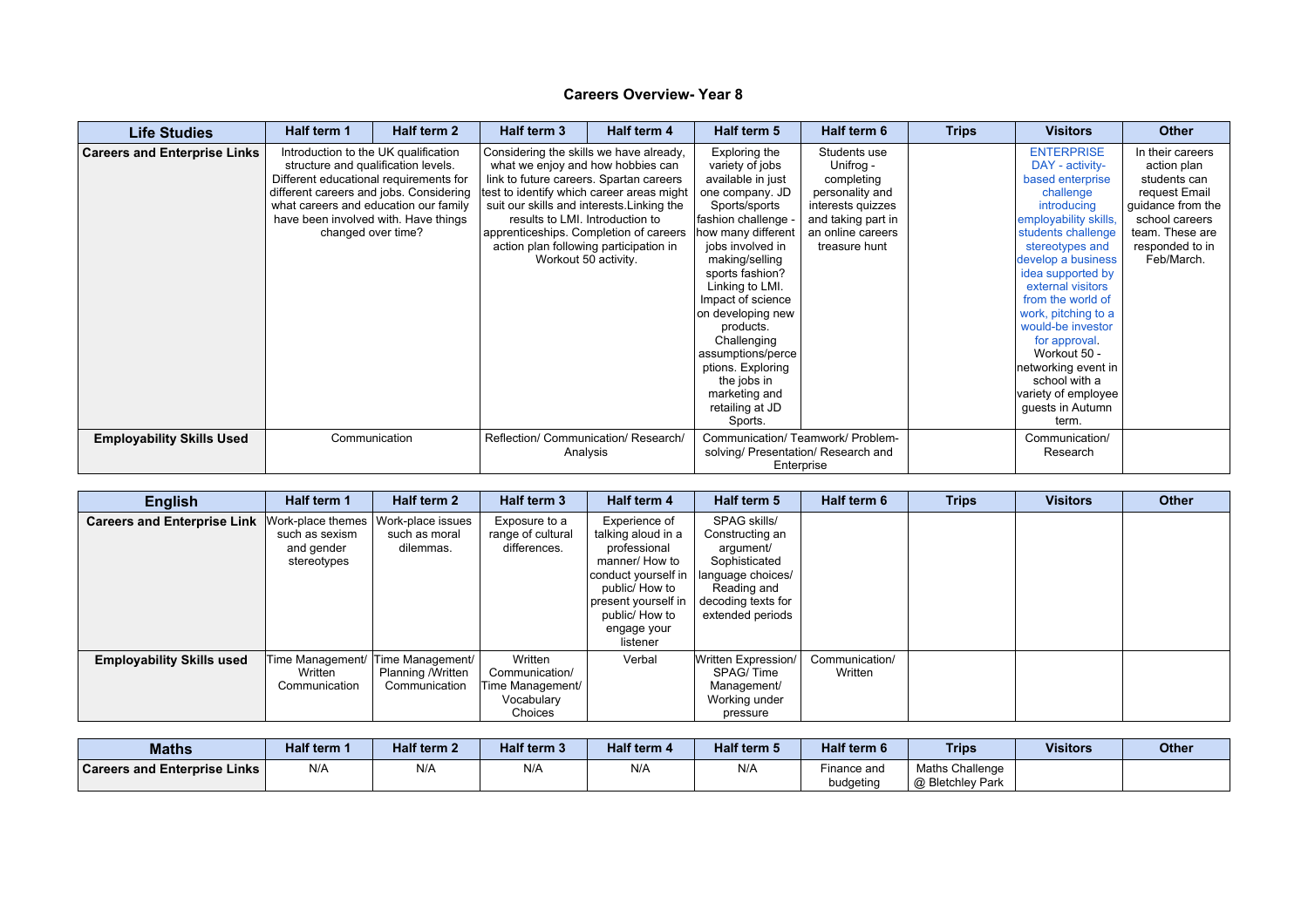| <b>Life Studies</b>                 | Half term 1                                                                                                            | Half term 2                                                                                                                                   | Half term 3                                                                                                                                                                                         | Half term 4                                                                                                                                                | Half term 5                                                                                                                                                                                                                                                                                                                                                                                    | Half term 6                                                                                                                                 | <b>Trips</b> | <b>Visitors</b>                                                                                                                                                                                                                                                                                                                                                                                                        | <b>Other</b>                                                                                                                                                |
|-------------------------------------|------------------------------------------------------------------------------------------------------------------------|-----------------------------------------------------------------------------------------------------------------------------------------------|-----------------------------------------------------------------------------------------------------------------------------------------------------------------------------------------------------|------------------------------------------------------------------------------------------------------------------------------------------------------------|------------------------------------------------------------------------------------------------------------------------------------------------------------------------------------------------------------------------------------------------------------------------------------------------------------------------------------------------------------------------------------------------|---------------------------------------------------------------------------------------------------------------------------------------------|--------------|------------------------------------------------------------------------------------------------------------------------------------------------------------------------------------------------------------------------------------------------------------------------------------------------------------------------------------------------------------------------------------------------------------------------|-------------------------------------------------------------------------------------------------------------------------------------------------------------|
| <b>Careers and Enterprise Links</b> | structure and qualification levels.<br>Different educational requirements for<br>what careers and education our family | Introduction to the UK qualification<br>different careers and jobs. Considering<br>have been involved with. Have things<br>changed over time? | Considering the skills we have already,<br>what we enjoy and how hobbies can<br>results to LMI. Introduction to<br>apprenticeships. Completion of careers<br>action plan following participation in | link to future careers. Spartan careers<br>test to identify which career areas might<br>suit our skills and interests. Linking the<br>Workout 50 activity. | Exploring the<br>variety of jobs<br>available in just<br>one company. JD<br>Sports/sports<br>fashion challenge<br>how many different<br>jobs involved in<br>making/selling<br>sports fashion?<br>Linking to LMI.<br>Impact of science<br>on developing new<br>products.<br>Challenging<br>assumptions/perce<br>ptions. Exploring<br>the jobs in<br>marketing and<br>retailing at JD<br>Sports. | Students use<br>Unifrog -<br>completing<br>personality and<br>interests quizzes<br>and taking part in<br>an online careers<br>treasure hunt |              | <b>ENTERPRISE</b><br>DAY - activity-<br>based enterprise<br>challenge<br>introducing<br>employability skills,<br>students challenge<br>stereotypes and<br>develop a business<br>idea supported by<br>external visitors<br>from the world of<br>work, pitching to a<br>would-be investor<br>for approval.<br>Workout 50 -<br>networking event in<br>school with a<br>variety of employee  <br>guests in Autumn<br>term. | In their careers<br>action plan<br>students can<br>request Email<br>quidance from the<br>school careers<br>team. These are<br>responded to in<br>Feb/March. |
| <b>Employability Skills Used</b>    |                                                                                                                        | Communication                                                                                                                                 | Reflection/ Communication/ Research/<br>Analysis                                                                                                                                                    |                                                                                                                                                            | Communication/ Teamwork/ Problem-<br>solving/ Presentation/ Research and<br>Enterprise                                                                                                                                                                                                                                                                                                         |                                                                                                                                             |              | Communication/<br>Research                                                                                                                                                                                                                                                                                                                                                                                             |                                                                                                                                                             |

| <b>English</b>                     | Half term 1                                                      | Half term 2                                            | Half term 3                                                            | Half term 4                                                                                                                                                                        | Half term 5                                                                                                                                 | Half term 6               | <b>Trips</b> | <b>Visitors</b> | <b>Other</b> |
|------------------------------------|------------------------------------------------------------------|--------------------------------------------------------|------------------------------------------------------------------------|------------------------------------------------------------------------------------------------------------------------------------------------------------------------------------|---------------------------------------------------------------------------------------------------------------------------------------------|---------------------------|--------------|-----------------|--------------|
| <b>Careers and Enterprise Link</b> | Work-place themes<br>such as sexism<br>and gender<br>stereotypes | Work-place issues<br>such as moral<br>dilemmas.        | Exposure to a<br>range of cultural<br>differences.                     | Experience of<br>talking aloud in a<br>professional<br>manner/ How to<br>conduct yourself in<br>public/ How to<br>present yourself in<br>public/ How to<br>engage your<br>listener | SPAG skills/<br>Constructing an<br>argument/<br>Sophisticated<br>language choices/<br>Reading and<br>decoding texts for<br>extended periods |                           |              |                 |              |
| <b>Employability Skills used</b>   | Time Management/<br>Written<br>Communication                     | Time Management/<br>Planning /Written<br>Communication | Written<br>Communication/<br>Time Management/<br>Vocabulary<br>Choices | Verbal                                                                                                                                                                             | Written Expression/<br>SPAG/Time<br>Management/<br>Working under<br>pressure                                                                | Communication/<br>Written |              |                 |              |

| <b>Maths</b>                        | Half term ′ | <b>Half term 2</b> | <b>Half term 3</b> | <b>Half term 4</b> | Half term 5 | Half term 6 | <b>Trips</b>     | <b>Visitors</b> | <b>Other</b> |
|-------------------------------------|-------------|--------------------|--------------------|--------------------|-------------|-------------|------------------|-----------------|--------------|
| <b>Careers and Enterprise Links</b> | N/A         | N/A                | N/A                | N/A                | N/A         | Finance and | Maths Challenge  |                 |              |
|                                     |             |                    |                    |                    |             | budgeting   | @ Bletchley Park |                 |              |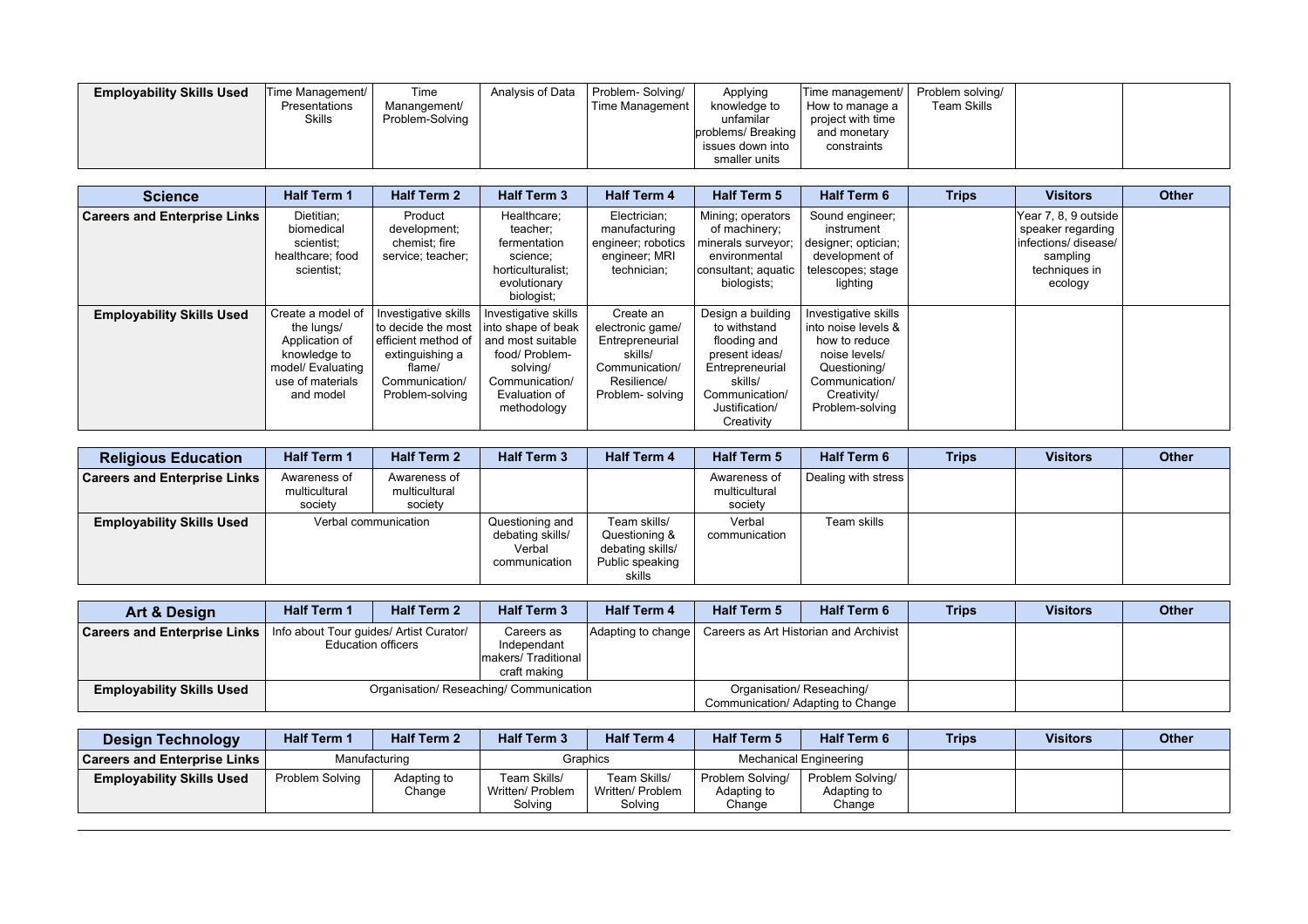| <b>Employability Skills Used</b> | Time Management/<br>Presentations<br><b>Skills</b> | Time<br>Manangement/<br>Problem-Solving | Analysis of Data | Problem-Solving/<br>Time Management | Applying<br>knowledge to<br>unfamilar<br>Iproblems/ Breaking I<br>issues down into<br>smaller units | Time management/<br>How to manage a<br>project with time<br>and monetary<br>constraints | Problem solving/<br>Team Skills |  |  |
|----------------------------------|----------------------------------------------------|-----------------------------------------|------------------|-------------------------------------|-----------------------------------------------------------------------------------------------------|-----------------------------------------------------------------------------------------|---------------------------------|--|--|
|----------------------------------|----------------------------------------------------|-----------------------------------------|------------------|-------------------------------------|-----------------------------------------------------------------------------------------------------|-----------------------------------------------------------------------------------------|---------------------------------|--|--|

| <b>Science</b>                      | <b>Half Term 1</b>                                                                                                      | <b>Half Term 2</b>                                                                                                                    | <b>Half Term 3</b>                                                                                                                              | <b>Half Term 4</b>                                                                                              | <b>Half Term 5</b>                                                                                                                                  | <b>Half Term 6</b>                                                                                                                                | <b>Trips</b> | <b>Visitors</b>                                                                                           | <b>Other</b> |
|-------------------------------------|-------------------------------------------------------------------------------------------------------------------------|---------------------------------------------------------------------------------------------------------------------------------------|-------------------------------------------------------------------------------------------------------------------------------------------------|-----------------------------------------------------------------------------------------------------------------|-----------------------------------------------------------------------------------------------------------------------------------------------------|---------------------------------------------------------------------------------------------------------------------------------------------------|--------------|-----------------------------------------------------------------------------------------------------------|--------------|
| <b>Careers and Enterprise Links</b> | Dietitian;<br>biomedical<br>scientist:<br>healthcare; food<br>scientist:                                                | Product<br>development;<br>chemist; fire<br>service; teacher;                                                                         | Healthcare;<br>teacher;<br>fermentation<br>science;<br>horticulturalist:<br>evolutionary<br>biologist;                                          | Electrician;<br>manufacturing<br>engineer; robotics<br>engineer; MRI<br>technician:                             | Mining; operators<br>of machinery;<br>minerals surveyor;<br>environmental<br>consultant; aquatic<br>biologists;                                     | Sound engineer;<br>instrument<br>designer; optician;<br>development of<br>telescopes; stage<br>lighting                                           |              | Year 7, 8, 9 outside<br>speaker regarding<br>linfections/disease/<br>sampling<br>techniques in<br>ecology |              |
| <b>Employability Skills Used</b>    | Create a model of<br>the lungs/<br>Application of<br>knowledge to<br>model/ Evaluating<br>use of materials<br>and model | Investigative skills<br>to decide the most<br>l efficient method of<br>extinguishing a<br>flame/<br>Communication/<br>Problem-solving | Investigative skills<br>into shape of beak<br>and most suitable<br>food/ Problem-<br>solving/<br>Communication/<br>Evaluation of<br>methodology | Create an<br>electronic game/<br>Entrepreneurial<br>skills/<br>Communication/<br>Resilience/<br>Problem-solving | Design a building<br>to withstand<br>flooding and<br>present ideas/<br>Entrepreneurial<br>skills/<br>Communication/<br>Justification/<br>Creativity | Investigative skills<br>into noise levels &<br>how to reduce<br>noise levels/<br>Questioning/<br>Communication/<br>Creativity/<br>Problem-solving |              |                                                                                                           |              |

| <b>Religious Education</b>          | <b>Half Term 1</b>                       | <b>Half Term 2</b>                       | <b>Half Term 3</b>                                             | <b>Half Term 4</b>                                                             | <b>Half Term 5</b>                       | Half Term 6         | <b>Trips</b> | <b>Visitors</b> | <b>Other</b> |
|-------------------------------------|------------------------------------------|------------------------------------------|----------------------------------------------------------------|--------------------------------------------------------------------------------|------------------------------------------|---------------------|--------------|-----------------|--------------|
| <b>Careers and Enterprise Links</b> | Awareness of<br>multicultural<br>society | Awareness of<br>multicultural<br>society |                                                                |                                                                                | Awareness of<br>multicultural<br>society | Dealing with stress |              |                 |              |
| <b>Employability Skills Used</b>    | Verbal communication                     |                                          | Questioning and<br>debating skills/<br>Verbal<br>communication | Team skills/<br>Questioning &<br>debating skills/<br>Public speaking<br>skills | Verbal<br>communication                  | Team skills         |              |                 |              |

| Art & Design                        | <b>Half Term 1</b> | <b>Half Term 2</b>                                                   | <b>Half Term 3</b>                                              | <b>Half Term 4</b> | <b>Half Term 5</b>        | <b>Half Term 6</b>                     | <b>Trips</b> | <b>Visitors</b> | <b>Other</b> |
|-------------------------------------|--------------------|----------------------------------------------------------------------|-----------------------------------------------------------------|--------------------|---------------------------|----------------------------------------|--------------|-----------------|--------------|
| <b>Careers and Enterprise Links</b> |                    | Info about Tour guides/ Artist Curator/<br><b>Education officers</b> | Careers as<br>Independant<br>makers/Traditional<br>craft making | Adapting to change |                           | Careers as Art Historian and Archivist |              |                 |              |
| <b>Employability Skills Used</b>    |                    |                                                                      | Organisation/ Reseaching/ Communication                         |                    | Organisation/ Reseaching/ | Communication/ Adapting to Change      |              |                 |              |

| <b>Design Technology</b>         | <b>Half Term 1</b> | <b>Half Term 2</b>    | <b>Half Term 3</b>                          | <b>Half Term 4</b>                          | <b>Half Term 5</b>                        | <b>Half Term 6</b>                        | <b>Trips</b> | <b>Visitors</b> | <b>Other</b> |
|----------------------------------|--------------------|-----------------------|---------------------------------------------|---------------------------------------------|-------------------------------------------|-------------------------------------------|--------------|-----------------|--------------|
| ∣ Careers and Enterprise Links ∣ |                    | Manufacturing         |                                             | Graphics                                    |                                           | Mechanical Engineering                    |              |                 |              |
| <b>Employability Skills Used</b> | Problem Solving    | Adapting to<br>Change | Team Skills/<br>Written/ Problem<br>Solvina | Team Skills/<br>Written/ Problem<br>Solving | Problem Solving/<br>Adapting to<br>Change | Problem Solving/<br>Adapting to<br>Change |              |                 |              |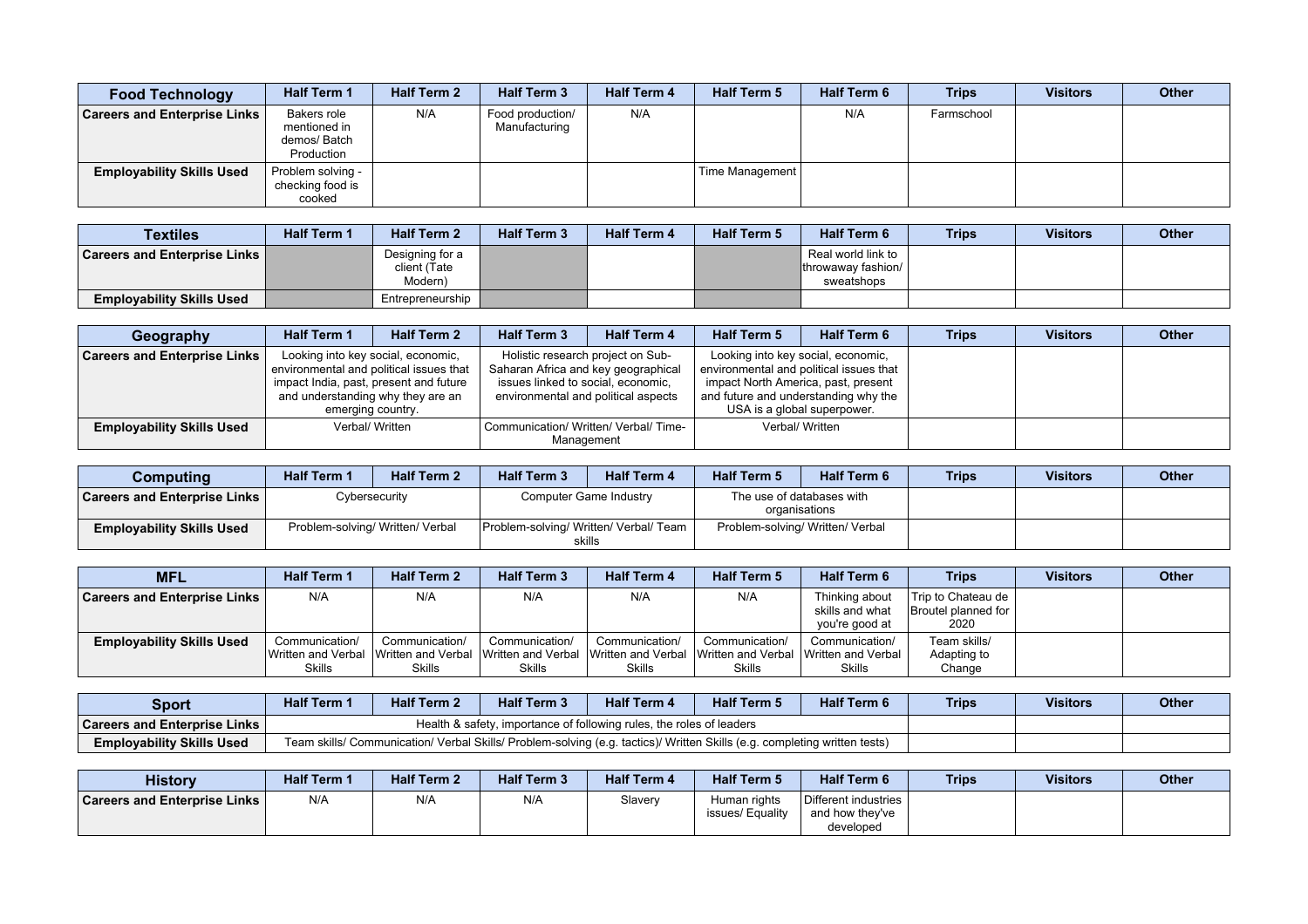| <b>Food Technology</b>              | <b>Half Term 1</b>                                        | <b>Half Term 2</b> | <b>Half Term 3</b>                | <b>Half Term 4</b> | <b>Half Term 5</b> | <b>Half Term 6</b> | <b>Trips</b> | <b>Visitors</b> | <b>Other</b> |
|-------------------------------------|-----------------------------------------------------------|--------------------|-----------------------------------|--------------------|--------------------|--------------------|--------------|-----------------|--------------|
| <b>Careers and Enterprise Links</b> | Bakers role<br>mentioned in<br>demos/ Batch<br>Production | N/A                | Food production/<br>Manufacturing | N/A                |                    | N/A                | Farmschool   |                 |              |
| <b>Employability Skills Used</b>    | Problem solving -<br>checking food is<br>cooked           |                    |                                   |                    | Time Management    |                    |              |                 |              |

| <b>Textiles</b>                     | <b>Half Term 1</b> | <b>Half Term 2</b>                         | <b>Half Term 3</b> | <b>Half Term 4</b> | <b>Half Term 5</b> | <b>Half Term 6</b>                                     | <b>Trips</b> | <b>Visitors</b> | <b>Other</b> |
|-------------------------------------|--------------------|--------------------------------------------|--------------------|--------------------|--------------------|--------------------------------------------------------|--------------|-----------------|--------------|
| <b>Careers and Enterprise Links</b> |                    | Designing for a<br>client (Tate<br>Modern) |                    |                    |                    | Real world link to<br>throwaway fashion/<br>sweatshops |              |                 |              |
| <b>Employability Skills Used</b>    |                    | Entrepreneurship                           |                    |                    |                    |                                                        |              |                 |              |

| Geography                           | <b>Half Term 1</b>                | <b>Half Term 2</b>                                                                                                                           | <b>Half Term 3</b>                                                        | <b>Half Term 4</b>                                                       | <b>Half Term 5</b>                                                                                         | <b>Half Term 6</b>                                                            | <b>Trips</b> | <b>Visitors</b> | Other |
|-------------------------------------|-----------------------------------|----------------------------------------------------------------------------------------------------------------------------------------------|---------------------------------------------------------------------------|--------------------------------------------------------------------------|------------------------------------------------------------------------------------------------------------|-------------------------------------------------------------------------------|--------------|-----------------|-------|
| <b>Careers and Enterprise Links</b> | and understanding why they are an | Looking into key social, economic,<br>environmental and political issues that<br>impact India, past, present and future<br>emerging country. | Saharan Africa and key geographical<br>issues linked to social, economic, | Holistic research project on Sub-<br>environmental and political aspects | impact North America, past, present<br>and future and understanding why the<br>USA is a global superpower. | Looking into key social, economic,<br>environmental and political issues that |              |                 |       |
| <b>Employability Skills Used</b>    |                                   | Verbal/ Written                                                                                                                              |                                                                           | Communication/ Written/ Verbal/ Time-<br>Management                      |                                                                                                            | Verbal/ Written                                                               |              |                 |       |

| Computing                           | <b>Half Term 1</b> | <b>Half Term 2</b>               | <b>Half Term 3</b>                               | <b>Half Term 4</b>     | <b>Half Term 5</b>               | <b>Half Term 6</b>                         | <b>Trips</b> | <b>Visitors</b> | <b>Other</b> |
|-------------------------------------|--------------------|----------------------------------|--------------------------------------------------|------------------------|----------------------------------|--------------------------------------------|--------------|-----------------|--------------|
| <b>Careers and Enterprise Links</b> |                    | Cybersecurity                    |                                                  | Computer Game Industry |                                  | The use of databases with<br>organisations |              |                 |              |
| <b>Employability Skills Used</b>    |                    | Problem-solving/ Written/ Verbal | Problem-solving/ Written/ Verbal/ Team<br>skills |                        | Problem-solving/ Written/ Verbal |                                            |              |                 |              |

| <b>MFL</b>                          | <b>Half Term 1</b>              | <b>Half Term 2</b>                                                                                          | <b>Half Term 3</b>       | <b>Half Term 4</b>              | <b>Half Term 5</b>                                    | <b>Half Term 6</b>                                     | <b>Trips</b>                                          | <b>Visitors</b> | <b>Other</b> |
|-------------------------------------|---------------------------------|-------------------------------------------------------------------------------------------------------------|--------------------------|---------------------------------|-------------------------------------------------------|--------------------------------------------------------|-------------------------------------------------------|-----------------|--------------|
| <b>Careers and Enterprise Links</b> | N/A                             | N/A                                                                                                         | N/A                      | N/A                             | N/A                                                   | Thinking about<br>skills and what<br>vou're good at    | Trip to Chateau de  <br>Broutel planned for I<br>2020 |                 |              |
| <b>Employability Skills Used</b>    | Communication/<br><b>Skills</b> | Communication/<br>IWritten and Verbal ⊺Written and Verbal ⊺Written and Verbal ⊺Written and Verbal<br>Skills | Communication/<br>Skills | Communication/<br><b>Skills</b> | Communication/<br>Written and Verbal<br><b>Skills</b> | Communication/<br>⊟Written and Verbal<br><b>Skills</b> | Team skills/<br>Adapting to<br>Change                 |                 |              |

| Sport                                 | <b>Half Term</b> | <b>Half Term 2</b> | <b>Half Term 3</b>                                                                                                        | <b>Half Term 4</b> | <b>Half Term 5</b> | <b>Half Term 6</b> | <b>Trips</b> | Visitors | <b>Other</b> |
|---------------------------------------|------------------|--------------------|---------------------------------------------------------------------------------------------------------------------------|--------------------|--------------------|--------------------|--------------|----------|--------------|
| <b>Careers and Enterprise Links</b> I |                  |                    | Health & safety, importance of following rules, the roles of leaders                                                      |                    |                    |                    |              |          |              |
| <b>Employability Skills Used</b>      |                  |                    | Team skills/ Communication/ Verbal Skills/ Problem-solving (e.g. tactics)/ Written Skills (e.g. completing written tests) |                    |                    |                    |              |          |              |

| <b>History</b>                      | <b>Half Term 1</b> | <b>Half Term 2</b> | <b>Half Term 3</b> | <b>Half Term 4</b> | <b>Half Term 5</b>               | <b>Half Term 6</b>                                   | <b>Trips</b> | <b>Visitors</b> | <b>Other</b> |
|-------------------------------------|--------------------|--------------------|--------------------|--------------------|----------------------------------|------------------------------------------------------|--------------|-----------------|--------------|
| <b>Careers and Enterprise Links</b> | N/A                | N/A                | N/A                | Slavery            | Human rights<br>issues/ Equality | Different industries<br>and how they've<br>developed |              |                 |              |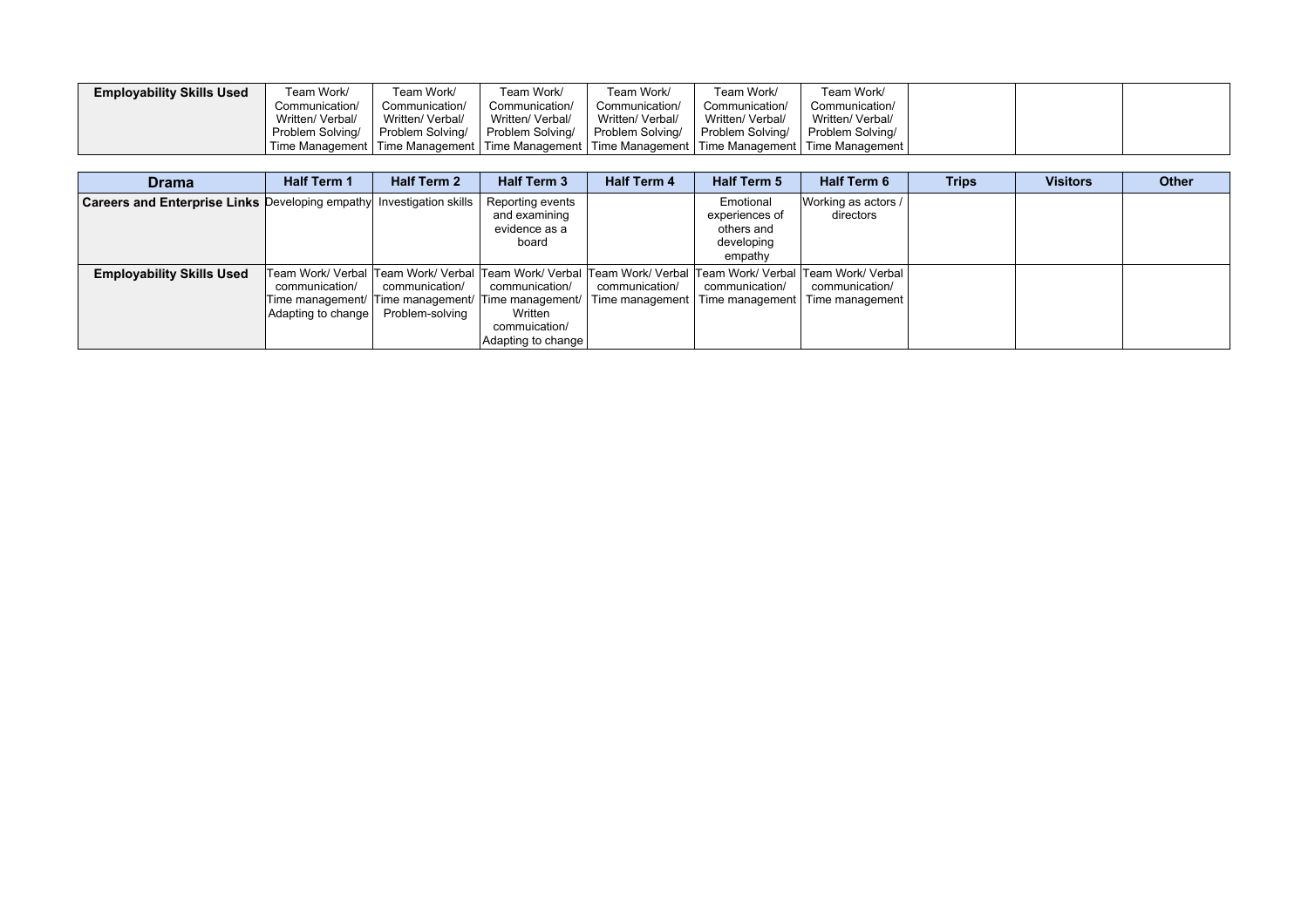| <b>Employability Skills Used</b> | Team Work/       | Team Work/       | Team Work/                                                                                                  | Feam Work/       | Team Work/       | Team Work/       |  |  |
|----------------------------------|------------------|------------------|-------------------------------------------------------------------------------------------------------------|------------------|------------------|------------------|--|--|
|                                  | Communication/   | Communication/   | Communication/                                                                                              | Communication/   | Communication/   | Communication/   |  |  |
|                                  | Written/ Verbal/ | Written/ Verbal/ | Written/ Verbal/                                                                                            | Written/ Verbal/ | Written/ Verbal/ | Written/ Verbal/ |  |  |
|                                  | Problem Solving/ | Problem Solving/ | Problem Solving/   Problem Solving/                                                                         |                  | Problem Solving/ | Problem Solving/ |  |  |
|                                  |                  |                  | l Time Management   Time Management   Time Management   Time Management   Time Management   Time Management |                  |                  |                  |  |  |

| <b>Drama</b>                                                         | <b>Half Term 1</b>                   | <b>Half Term 2</b>                | <b>Half Term 3</b>                                                                                                       | <b>Half Term 4</b>                | <b>Half Term 5</b>                                                 | <b>Half Term 6</b>                                                                                                                                      | <b>Trips</b> | <b>Visitors</b> | <b>Other</b> |
|----------------------------------------------------------------------|--------------------------------------|-----------------------------------|--------------------------------------------------------------------------------------------------------------------------|-----------------------------------|--------------------------------------------------------------------|---------------------------------------------------------------------------------------------------------------------------------------------------------|--------------|-----------------|--------------|
| Careers and Enterprise Links Developing empathy Investigation skills |                                      |                                   | Reporting events<br>and examining<br>evidence as a<br>board                                                              |                                   | Emotional<br>experiences of<br>others and<br>developing<br>empathy | Working as actors /<br>directors                                                                                                                        |              |                 |              |
| <b>Employability Skills Used</b>                                     | communication/<br>Adapting to change | communication/<br>Problem-solving | communication/<br>Time management/  Time management/  Time management/<br>Written<br>commuication/<br>Adapting to change | communication/<br>Time management | communication/<br>Time management                                  | Team Work/ Verbal  Team Work/ Verbal  Team Work/ Verbal  Team Work/ Verbal  Team Work/ Verbal  Team Work/ Verbal  <br>communication/<br>Time management |              |                 |              |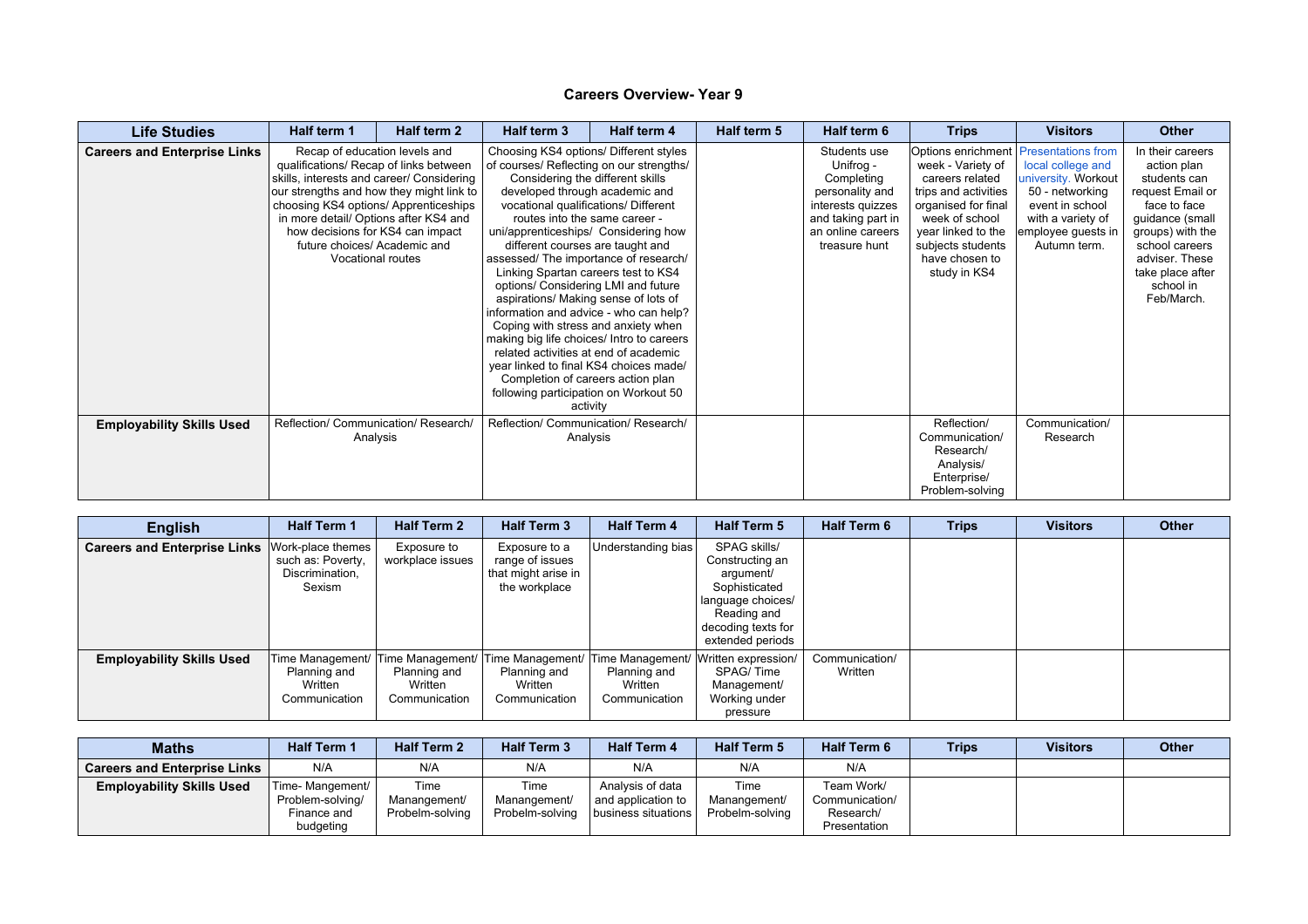| <b>Life Studies</b>                 | Half term 1                                                                                                                                                                                                                                                                                                                                        | Half term 2 | Half term 3                                                                                                                                                                                                                                                                                                                                                        | Half term 4                                                                                                                                                                                                                                                                                                                                                                                                       | Half term 5 | Half term 6                                                                                                                                 | <b>Trips</b>                                                                                                                                                                                                                  | <b>Visitors</b>                                                                                                                           | <b>Other</b>                                                                                                                                                                                                  |
|-------------------------------------|----------------------------------------------------------------------------------------------------------------------------------------------------------------------------------------------------------------------------------------------------------------------------------------------------------------------------------------------------|-------------|--------------------------------------------------------------------------------------------------------------------------------------------------------------------------------------------------------------------------------------------------------------------------------------------------------------------------------------------------------------------|-------------------------------------------------------------------------------------------------------------------------------------------------------------------------------------------------------------------------------------------------------------------------------------------------------------------------------------------------------------------------------------------------------------------|-------------|---------------------------------------------------------------------------------------------------------------------------------------------|-------------------------------------------------------------------------------------------------------------------------------------------------------------------------------------------------------------------------------|-------------------------------------------------------------------------------------------------------------------------------------------|---------------------------------------------------------------------------------------------------------------------------------------------------------------------------------------------------------------|
| <b>Careers and Enterprise Links</b> | Recap of education levels and<br>qualifications/ Recap of links between<br>skills, interests and career/ Considering<br>our strengths and how they might link to<br>choosing KS4 options/ Apprenticeships<br>in more detail/ Options after KS4 and<br>how decisions for KS4 can impact<br>future choices/ Academic and<br><b>Vocational routes</b> |             | of courses/ Reflecting on our strengths/<br>routes into the same career -<br>different courses are taught and<br>assessed/ The importance of research/<br>options/ Considering LMI and future<br>aspirations/ Making sense of lots of<br>Coping with stress and anxiety when<br>making big life choices/ Intro to careers<br>following participation on Workout 50 | Choosing KS4 options/ Different styles<br>Considering the different skills<br>developed through academic and<br>vocational qualifications/ Different<br>uni/apprenticeships/ Considering how<br>Linking Spartan careers test to KS4<br>information and advice - who can help?<br>related activities at end of academic<br>year linked to final KS4 choices made/<br>Completion of careers action plan<br>activity |             | Students use<br>Unifrog -<br>Completing<br>personality and<br>interests quizzes<br>and taking part in<br>an online careers<br>treasure hunt | Options enrichment   Presentations from<br>week - Variety of<br>careers related<br>trips and activities<br>organised for final<br>week of school<br>year linked to the<br>subjects students<br>have chosen to<br>study in KS4 | local college and<br>university. Workout<br>50 - networking<br>event in school<br>with a variety of<br>employee guests in<br>Autumn term. | In their careers<br>action plan<br>students can<br>request Email or<br>face to face<br>guidance (small<br>groups) with the<br>school careers<br>adviser. These<br>take place after<br>school in<br>Feb/March. |
| <b>Employability Skills Used</b>    | Reflection/ Communication/ Research/<br>Analysis                                                                                                                                                                                                                                                                                                   |             | Reflection/ Communication/ Research/                                                                                                                                                                                                                                                                                                                               | Analysis                                                                                                                                                                                                                                                                                                                                                                                                          |             |                                                                                                                                             | Reflection/<br>Communication/<br>Research/<br>Analysis/<br>Enterprise/<br>Problem-solving                                                                                                                                     | Communication/<br>Research                                                                                                                |                                                                                                                                                                                                               |

| <b>English</b>                      | <b>Half Term 1</b>                                                  | <b>Half Term 2</b>                                                            | <b>Half Term 3</b>                                                       | <b>Half Term 4</b>                                                            | <b>Half Term 5</b>                                                                                                                          | <b>Half Term 6</b>        | <b>Trips</b> | <b>Visitors</b> | <b>Other</b> |
|-------------------------------------|---------------------------------------------------------------------|-------------------------------------------------------------------------------|--------------------------------------------------------------------------|-------------------------------------------------------------------------------|---------------------------------------------------------------------------------------------------------------------------------------------|---------------------------|--------------|-----------------|--------------|
| <b>Careers and Enterprise Links</b> | Work-place themes<br>such as: Poverty,<br>Discrimination,<br>Sexism | Exposure to<br>workplace issues                                               | Exposure to a<br>range of issues<br>that might arise in<br>the workplace | Understanding bias                                                            | SPAG skills/<br>Constructing an<br>argument/<br>Sophisticated<br>language choices/<br>Reading and<br>decoding texts for<br>extended periods |                           |              |                 |              |
| <b>Employability Skills Used</b>    | Planning and<br>Written<br>Communication                            | Time Management/ Time Management/<br>Planning and<br>Written<br>Communication | Planning and<br>Written<br>Communication                                 | Time Management/ Time Management/<br>Planning and<br>Written<br>Communication | Written expression/<br>SPAG/Time<br>Management/<br>Working under<br>pressure                                                                | Communication/<br>Written |              |                 |              |

| <b>Maths</b>                        | <b>Half Term 1</b> | <b>Half Term 2</b> | <b>Half Term 3</b> | <b>Half Term 4</b>    | <b>Half Term 5</b> | <b>Half Term 6</b> | <b>Trips</b> | <b>Visitors</b> | Other |
|-------------------------------------|--------------------|--------------------|--------------------|-----------------------|--------------------|--------------------|--------------|-----------------|-------|
| <b>Careers and Enterprise Links</b> | N/A                | N/A                | N/A                | N/A                   | N/A                | N/A                |              |                 |       |
| <b>Employability Skills Used</b>    | Time- Mangement/   | Time               | Time               | Analysis of data      | Time               | Team Work/         |              |                 |       |
|                                     | Problem-solving/   | Manangement/       | Manangement/       | and application to    | Manangement/       | Communication/     |              |                 |       |
|                                     | Finance and        | Probelm-solving    | Probelm-solving    | business situations I | Probelm-solving    | Research/          |              |                 |       |
|                                     | budgeting          |                    |                    |                       |                    | Presentation       |              |                 |       |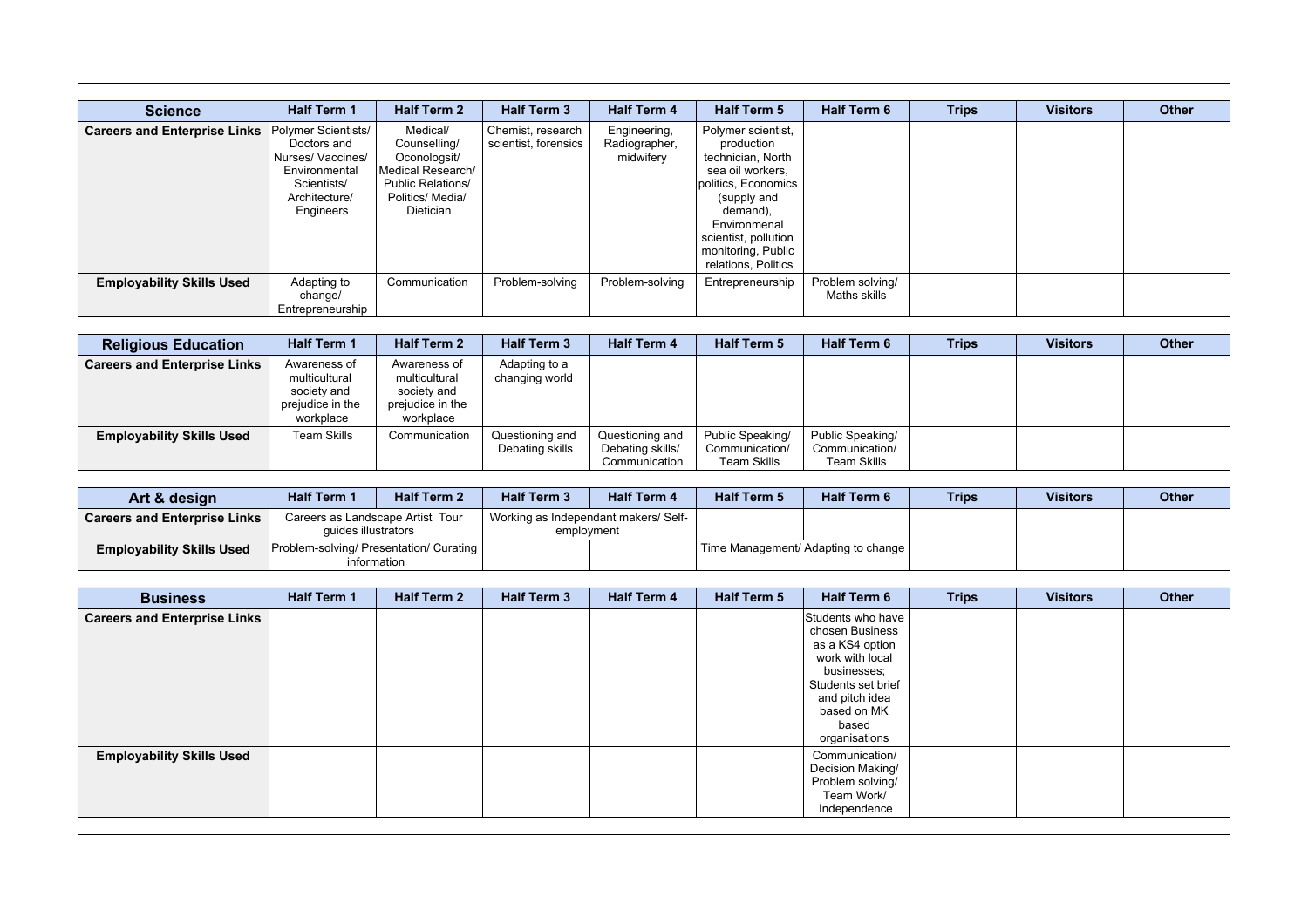| <b>Science</b>                      | <b>Half Term 1</b>                                                                                                   | <b>Half Term 2</b>                                                                                                         | <b>Half Term 3</b>                        | <b>Half Term 4</b>                         | <b>Half Term 5</b>                                                                                                                                                                                               | <b>Half Term 6</b>               | <b>Trips</b> | <b>Visitors</b> | Other |
|-------------------------------------|----------------------------------------------------------------------------------------------------------------------|----------------------------------------------------------------------------------------------------------------------------|-------------------------------------------|--------------------------------------------|------------------------------------------------------------------------------------------------------------------------------------------------------------------------------------------------------------------|----------------------------------|--------------|-----------------|-------|
| <b>Careers and Enterprise Links</b> | Polymer Scientists/<br>Doctors and<br>Nurses/Vaccines/<br>Environmental<br>Scientists/<br>Architecture/<br>Engineers | Medical/<br>Counselling/<br>Oconologsit/<br>Medical Research/<br><b>Public Relations/</b><br>Politics/ Media/<br>Dietician | Chemist, research<br>scientist, forensics | Engineering,<br>Radiographer,<br>midwifery | Polymer scientist,<br>production<br>technician, North<br>sea oil workers,<br>politics, Economics<br>(supply and<br>demand),<br>Environmenal<br>scientist, pollution<br>monitoring, Public<br>relations, Politics |                                  |              |                 |       |
| <b>Employability Skills Used</b>    | Adapting to<br>change/<br>Entrepreneurship                                                                           | Communication                                                                                                              | Problem-solving                           | Problem-solving                            | Entrepreneurship                                                                                                                                                                                                 | Problem solving/<br>Maths skills |              |                 |       |

| <b>Religious Education</b>          | <b>Half Term 1</b>                                                            | <b>Half Term 2</b>                                                            | <b>Half Term 3</b>                 | <b>Half Term 4</b>                                   | <b>Half Term 5</b>                                | <b>Half Term 6</b>                                | <b>Trips</b> | <b>Visitors</b> | <b>Other</b> |
|-------------------------------------|-------------------------------------------------------------------------------|-------------------------------------------------------------------------------|------------------------------------|------------------------------------------------------|---------------------------------------------------|---------------------------------------------------|--------------|-----------------|--------------|
| <b>Careers and Enterprise Links</b> | Awareness of<br>multicultural<br>society and<br>prejudice in the<br>workplace | Awareness of<br>multicultural<br>society and<br>prejudice in the<br>workplace | Adapting to a<br>changing world    |                                                      |                                                   |                                                   |              |                 |              |
| <b>Employability Skills Used</b>    | <b>Team Skills</b>                                                            | Communication                                                                 | Questioning and<br>Debating skills | Questioning and<br>Debating skills/<br>Communication | Public Speaking/<br>Communication/<br>Team Skills | Public Speaking/<br>Communication/<br>Team Skills |              |                 |              |

| Art & design                        | <b>Half Term 1</b>                                      | <b>Half Term 2</b>                                       | <b>Half Term 3</b> | <b>Half Term 4</b>                   | <b>Half Term 5</b> | <b>Half Term 6</b>                  | <b>Trips</b> | <b>Visitors</b> | <b>Other</b> |
|-------------------------------------|---------------------------------------------------------|----------------------------------------------------------|--------------------|--------------------------------------|--------------------|-------------------------------------|--------------|-----------------|--------------|
| <b>Careers and Enterprise Links</b> | Careers as Landscape Artist Tour<br>quides illustrators |                                                          | employment         | Working as Independant makers/ Self- |                    |                                     |              |                 |              |
| <b>Employability Skills Used</b>    |                                                         | Problem-solving/ Presentation/ Curating  <br>information |                    |                                      |                    | Time Management/ Adapting to change |              |                 |              |

| <b>Business</b>                     | <b>Half Term 1</b> | <b>Half Term 2</b> | <b>Half Term 3</b> | <b>Half Term 4</b> | Half Term 5 | Half Term 6                                                                                                                                                                | <b>Trips</b> | <b>Visitors</b> | Other |
|-------------------------------------|--------------------|--------------------|--------------------|--------------------|-------------|----------------------------------------------------------------------------------------------------------------------------------------------------------------------------|--------------|-----------------|-------|
| <b>Careers and Enterprise Links</b> |                    |                    |                    |                    |             | Students who have<br>chosen Business<br>as a KS4 option<br>work with local<br>businesses:<br>Students set brief<br>and pitch idea<br>based on MK<br>based<br>organisations |              |                 |       |
| <b>Employability Skills Used</b>    |                    |                    |                    |                    |             | Communication/<br>Decision Making/<br>Problem solving/<br>Team Work/<br>Independence                                                                                       |              |                 |       |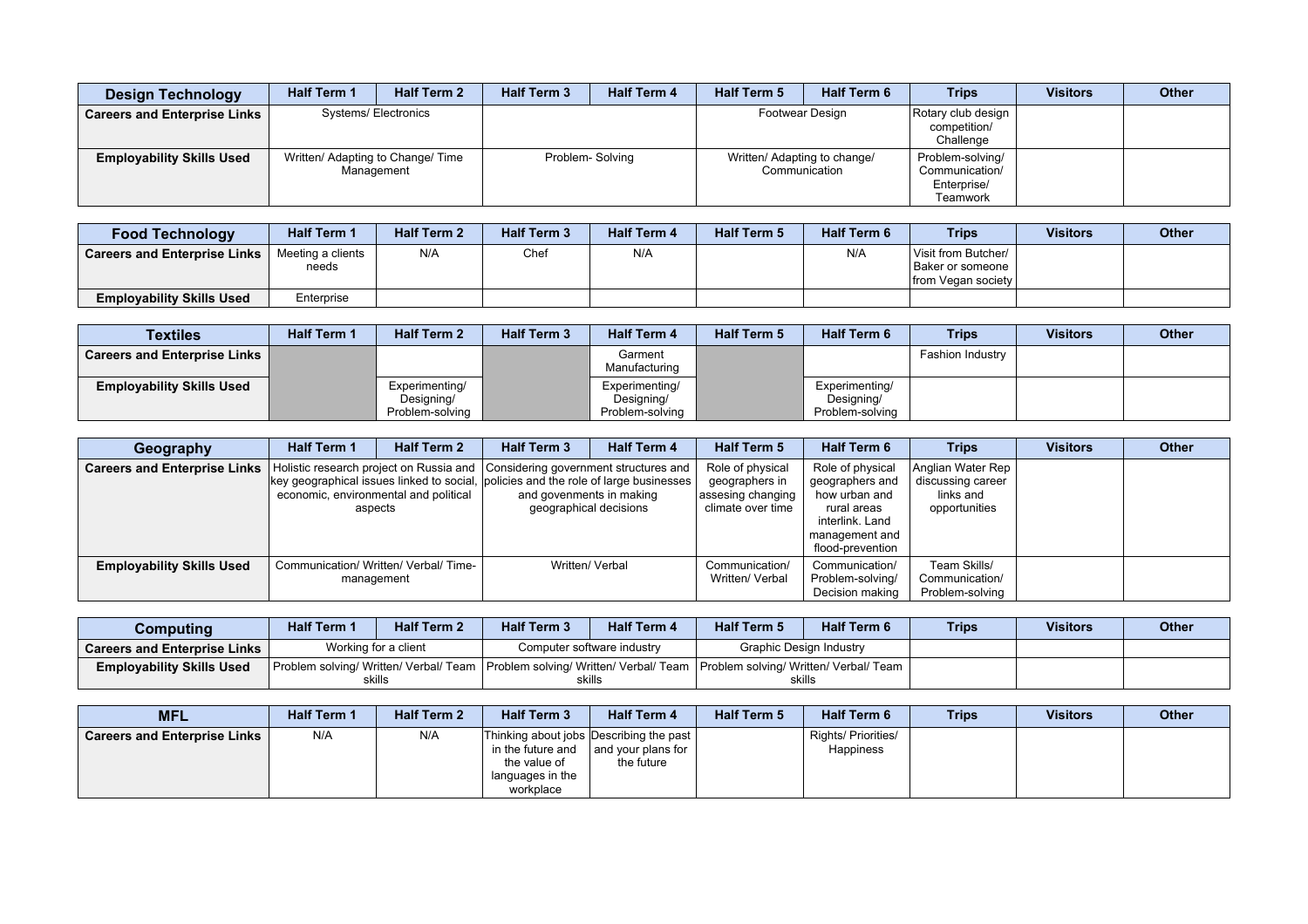| <b>Design Technology</b>            | <b>Half Term 1</b> | <b>Half Term 2</b>                              | <b>Half Term 3</b> | <b>Half Term 4</b> | <b>Half Term 5</b>           | <b>Half Term 6</b> | <b>Trips</b>                                                  | <b>Visitors</b> | <b>Other</b> |
|-------------------------------------|--------------------|-------------------------------------------------|--------------------|--------------------|------------------------------|--------------------|---------------------------------------------------------------|-----------------|--------------|
| <b>Careers and Enterprise Links</b> |                    | <b>Systems/Electronics</b>                      |                    |                    |                              | Footwear Design    | Rotary club design<br>competition/<br>Challenge               |                 |              |
| <b>Employability Skills Used</b>    |                    | Written/ Adapting to Change/ Time<br>Management |                    | Problem-Solving    | Written/ Adapting to change/ | Communication      | Problem-solving/<br>Communication/<br>Enterprise/<br>Teamwork |                 |              |

| <b>Food Technology</b>              | <b>Half Term 1</b>         | <b>Half Term 2</b> | <b>Half Term 3</b> | <b>Half Term 4</b> | <b>Half Term 5</b> | <b>Half Term 6</b> | <b>Trips</b>                                                          | <b>Visitors</b> | <b>Other</b> |
|-------------------------------------|----------------------------|--------------------|--------------------|--------------------|--------------------|--------------------|-----------------------------------------------------------------------|-----------------|--------------|
| <b>Careers and Enterprise Links</b> | Meeting a clients<br>needs | N/A                | Chef               | N/A                |                    | N/A                | Visit from Butcher/<br>Baker or someone<br><b>Ifrom Vegan society</b> |                 |              |
| <b>Employability Skills Used</b>    | Enterprise                 |                    |                    |                    |                    |                    |                                                                       |                 |              |

| Textiles                            | <b>Half Term 1</b> | <b>Half Term 2</b>                              | <b>Half Term 3</b> | <b>Half Term 4</b>                              | <b>Half Term 5</b> | <b>Half Term 6</b>                              | <b>Trips</b>     | <b>Visitors</b> | <b>Other</b> |
|-------------------------------------|--------------------|-------------------------------------------------|--------------------|-------------------------------------------------|--------------------|-------------------------------------------------|------------------|-----------------|--------------|
| <b>Careers and Enterprise Links</b> |                    |                                                 |                    | Garment<br>Manufacturing                        |                    |                                                 | Fashion Industry |                 |              |
| <b>Employability Skills Used</b>    |                    | Experimenting/<br>Designing/<br>Problem-solving |                    | Experimenting/<br>Designing/<br>Problem-solving |                    | Experimenting/<br>Designing/<br>Problem-solving |                  |                 |              |

| Geography                           | <b>Half Term 1</b>                    | <b>Half Term 2</b> | <b>Half Term 3</b>                                                                                                                                                   | <b>Half Term 4</b>                                 | <b>Half Term 5</b>                                                           | <b>Half Term 6</b>                                                                                                           | <b>Trips</b>                                                         | <b>Visitors</b> | <b>Other</b> |
|-------------------------------------|---------------------------------------|--------------------|----------------------------------------------------------------------------------------------------------------------------------------------------------------------|----------------------------------------------------|------------------------------------------------------------------------------|------------------------------------------------------------------------------------------------------------------------------|----------------------------------------------------------------------|-----------------|--------------|
| <b>Careers and Enterprise Links</b> | economic, environmental and political | aspects            | Holistic research project on Russia and Considering government structures and<br>key geographical issues linked to social, policies and the role of large businesses | and govenments in making<br>geographical decisions | Role of physical<br>geographers in<br>assesing changing<br>climate over time | Role of physical<br>geographers and<br>how urban and<br>rural areas<br>interlink. Land<br>management and<br>flood-prevention | Anglian Water Rep<br>discussing career<br>links and<br>opportunities |                 |              |
| <b>Employability Skills Used</b>    | Communication/ Written/ Verbal/ Time- | management         |                                                                                                                                                                      | Written/ Verbal                                    | Communication/<br>Written/ Verbal                                            | Communication/<br>Problem-solving/<br>Decision making                                                                        | Team Skills/<br>Communication/<br>Problem-solving                    |                 |              |

| Computing                           | <b>Half Term 1</b> | <b>Half Term 2</b>   | <b>Half Term 3</b> | <b>Half Term 4</b>                                                                                                       | <b>Half Term 5</b>      | <b>Half Term 6</b> | <b>Trips</b> | <b>Visitors</b> | <b>Other</b> |
|-------------------------------------|--------------------|----------------------|--------------------|--------------------------------------------------------------------------------------------------------------------------|-------------------------|--------------------|--------------|-----------------|--------------|
| <b>Careers and Enterprise Links</b> |                    | Working for a client |                    | Computer software industry                                                                                               | Graphic Design Industry |                    |              |                 |              |
| <b>Employability Skills Used</b>    |                    |                      |                    | Problem solving/ Written/ Verbal/ Team   Problem solving/ Written/ Verbal/ Team   Problem solving/ Written/ Verbal/ Team |                         |                    |              |                 |              |
|                                     |                    | skills               |                    | skills                                                                                                                   | skills                  |                    |              |                 |              |

| <b>MFL</b>                          | <b>Half Term 1</b> | <b>Half Term 2</b> | <b>Half Term 3</b>                                                                                            | <b>Half Term 4</b>               | <b>Half Term 5</b> | <b>Half Term 6</b>                      | <b>Trips</b> | <b>Visitors</b> | Other |
|-------------------------------------|--------------------|--------------------|---------------------------------------------------------------------------------------------------------------|----------------------------------|--------------------|-----------------------------------------|--------------|-----------------|-------|
| <b>Careers and Enterprise Links</b> | N/A                | N/A                | Thinking about jobs Describing the past<br>in the future and<br>the value of<br>languages in the<br>workplace | and your plans for<br>the future |                    | Rights/ Priorities/<br><b>Happiness</b> |              |                 |       |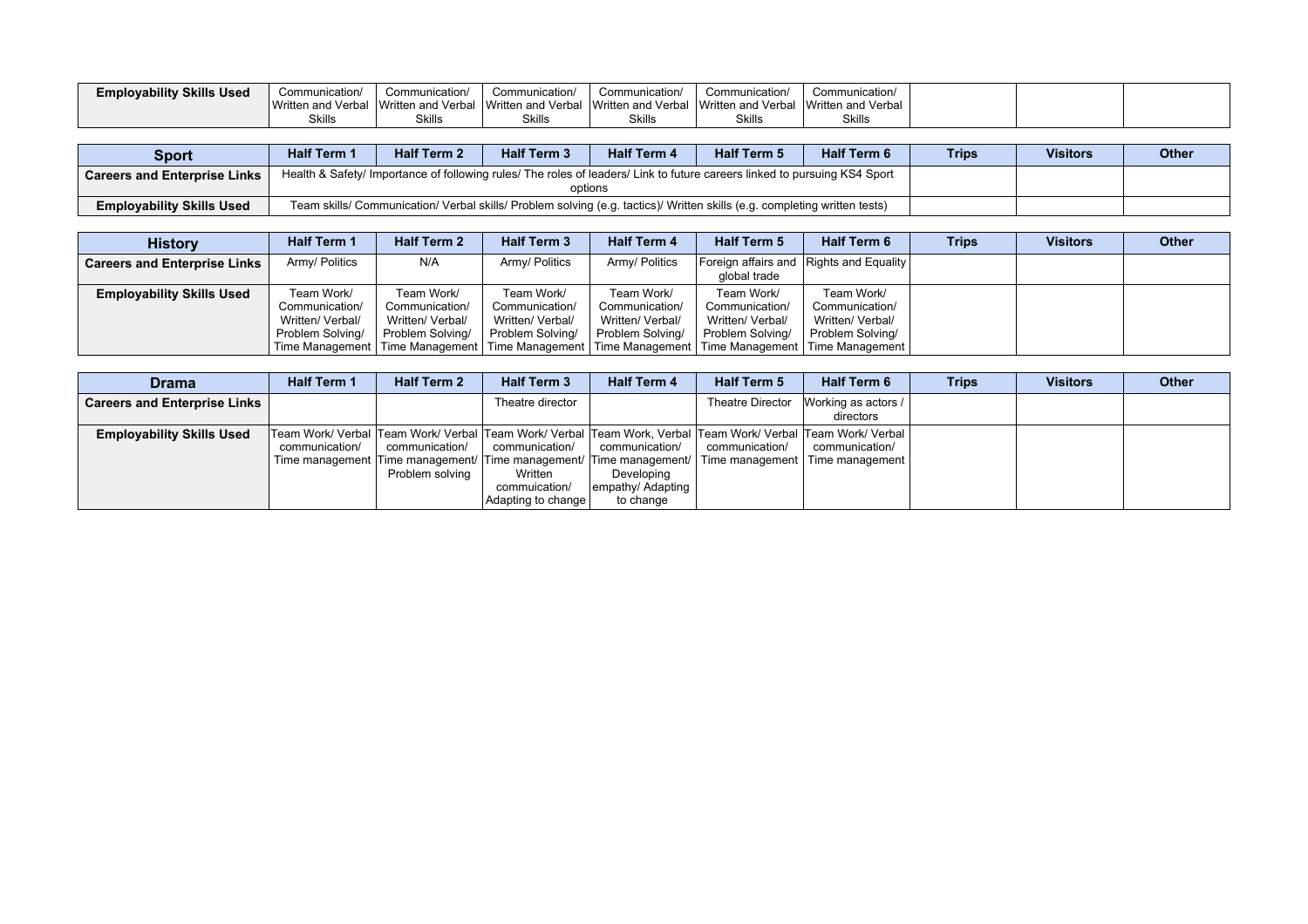| <b>Employability Skills Used</b> | Communication/     | Communication/     | Communication/     | Communication/     | Communication      | Communication/     |  |  |
|----------------------------------|--------------------|--------------------|--------------------|--------------------|--------------------|--------------------|--|--|
|                                  | Written and Verbal | Written and Verbal | Written and Verbal | Written and Verbal | Written and Verbal | Written and Verbal |  |  |
|                                  | <b>Skills</b>      | <b>Skills</b>      | Skills             | <b>Skills</b>      | Skills             | <b>Skills</b>      |  |  |

| <b>Sport</b>                              | <b>Half Term 1</b> | <b>Half Term 2</b> | <b>Half Term 3</b>                                                                                                                   | <b>Half Term 4</b> | <b>Half Term 5</b>                                                                                                        | <b>Half Term 6</b> | <b>Trips</b> | <b>Visitors</b> | <b>Other</b> |
|-------------------------------------------|--------------------|--------------------|--------------------------------------------------------------------------------------------------------------------------------------|--------------------|---------------------------------------------------------------------------------------------------------------------------|--------------------|--------------|-----------------|--------------|
| <sup>1</sup> Careers and Enterprise Links |                    |                    | Health & Safety/ Importance of following rules/ The roles of leaders/ Link to future careers linked to pursuing KS4 Sport<br>options |                    |                                                                                                                           |                    |              |                 |              |
| <b>Employability Skills Used</b>          |                    |                    |                                                                                                                                      |                    | Team skills/ Communication/ Verbal skills/ Problem solving (e.g. tactics)/ Written skills (e.g. completing written tests) |                    |              |                 |              |

| <b>History</b>                      | <b>Half Term 1</b>                                                   | <b>Half Term 2</b>                                                   | <b>Half Term 3</b>                                                   | <b>Half Term 4</b>                                                   | <b>Half Term 5</b>                                                   | <b>Half Term 6</b>                                                                                                                                                                  | <b>Trips</b> | <b>Visitors</b> | <b>Other</b> |
|-------------------------------------|----------------------------------------------------------------------|----------------------------------------------------------------------|----------------------------------------------------------------------|----------------------------------------------------------------------|----------------------------------------------------------------------|-------------------------------------------------------------------------------------------------------------------------------------------------------------------------------------|--------------|-----------------|--------------|
| <b>Careers and Enterprise Links</b> | Army/ Politics                                                       | N/A                                                                  | Army/ Politics                                                       | Army/ Politics                                                       | global trade                                                         | Foreign affairs and Rights and Equality                                                                                                                                             |              |                 |              |
| <b>Employability Skills Used</b>    | Team Work/<br>Communication/<br>Written/ Verbal/<br>Problem Solving/ | Team Work/<br>Communication/<br>Written/ Verbal/<br>Problem Solving/ | Team Work/<br>Communication/<br>Written/ Verbal/<br>Problem Solving/ | Team Work/<br>Communication/<br>Written/ Verbal/<br>Problem Solving/ | Team Work/<br>Communication/<br>Written/ Verbal/<br>Problem Solving/ | Team Work/<br>Communication/<br>Written/ Verbal/<br>Problem Solving/<br>  Time Management   Time Management   Time Management   Time Management   Time Management   Time Management |              |                 |              |

| <b>Drama</b>                        | <b>Half Term 1</b> | <b>Half Term 2</b>                | <b>Half Term 3</b>                                               | <b>Half Term 4</b>                                             | <b>Half Term 5</b> | <b>Half Term 6</b>                                                                                                                                                                                                                                     | <b>Trips</b> | <b>Visitors</b> | <b>Other</b> |
|-------------------------------------|--------------------|-----------------------------------|------------------------------------------------------------------|----------------------------------------------------------------|--------------------|--------------------------------------------------------------------------------------------------------------------------------------------------------------------------------------------------------------------------------------------------------|--------------|-----------------|--------------|
| <b>Careers and Enterprise Links</b> |                    |                                   | Theatre director                                                 |                                                                | Theatre Director   | Working as actors /<br>directors                                                                                                                                                                                                                       |              |                 |              |
| <b>Employability Skills Used</b>    | communication/     | communication/<br>Problem solving | communication/<br>Written<br>commuication/<br>Adapting to change | communication/<br>Developing<br>empathy/ Adapting<br>to change | communication/     | Team Work/ Verbal  Team Work/ Verbal  Team Work/ Verbal  Team Work, Verbal  Team Work/ Verbal  Team Work/ Verbal  <br>communication/<br>  Time management   Time management/   Time management/   Time management/   Time management   Time management |              |                 |              |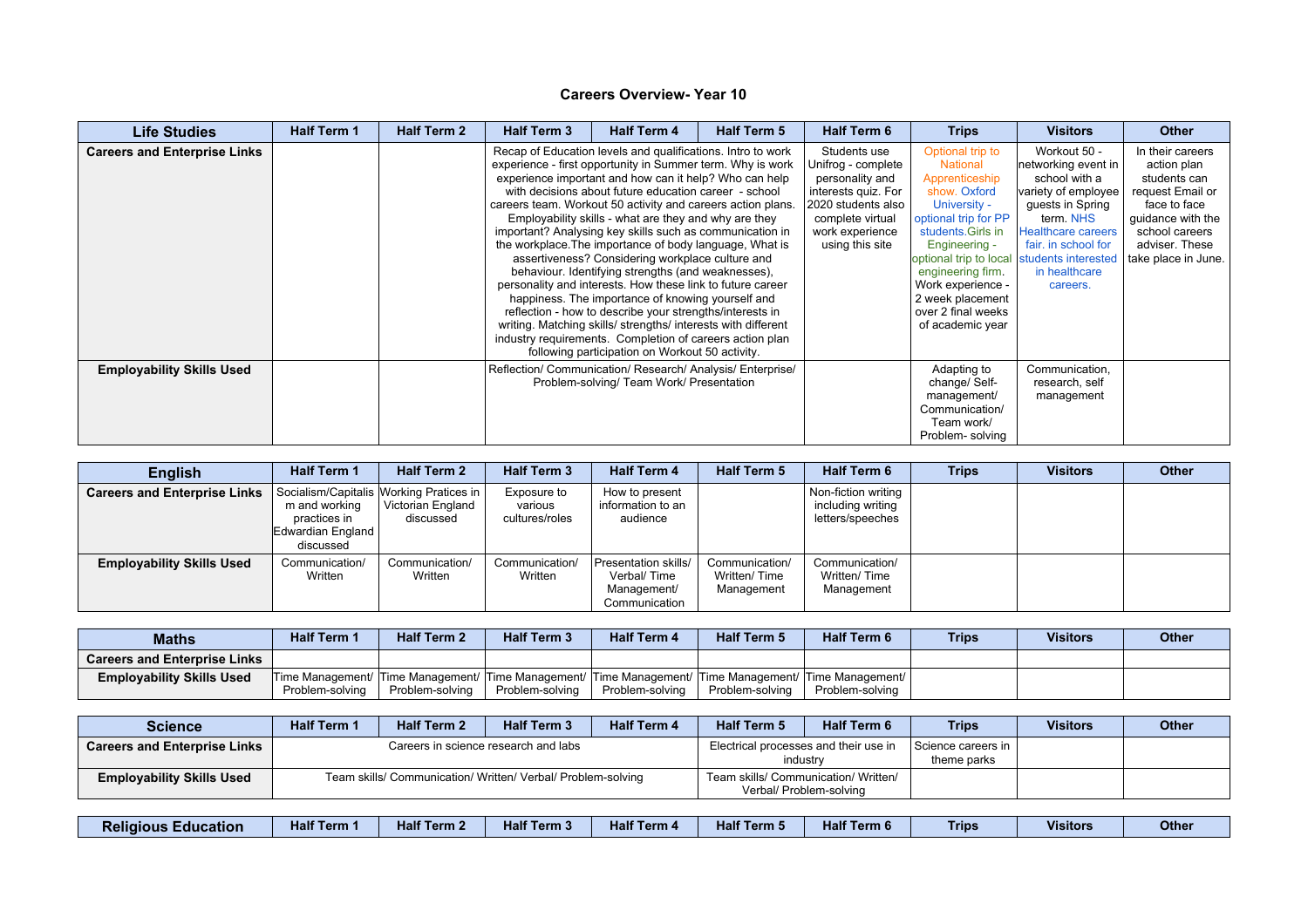| <b>Life Studies</b>                 | <b>Half Term 1</b> | <b>Half Term 2</b> | <b>Half Term 3</b> | <b>Half Term 4</b>                                                                                                                                                                                                                                                                                                                                                                                                                                                                                                                                                                                                                                                                                                                                                                                                                                                                                                                                                   | <b>Half Term 5</b> | <b>Half Term 6</b>                                                                                                                                           | <b>Trips</b>                                                                                                                                                                                                                                                                                               | <b>Visitors</b>                                                                                                                                                                               | <b>Other</b>                                                                                                                                                        |
|-------------------------------------|--------------------|--------------------|--------------------|----------------------------------------------------------------------------------------------------------------------------------------------------------------------------------------------------------------------------------------------------------------------------------------------------------------------------------------------------------------------------------------------------------------------------------------------------------------------------------------------------------------------------------------------------------------------------------------------------------------------------------------------------------------------------------------------------------------------------------------------------------------------------------------------------------------------------------------------------------------------------------------------------------------------------------------------------------------------|--------------------|--------------------------------------------------------------------------------------------------------------------------------------------------------------|------------------------------------------------------------------------------------------------------------------------------------------------------------------------------------------------------------------------------------------------------------------------------------------------------------|-----------------------------------------------------------------------------------------------------------------------------------------------------------------------------------------------|---------------------------------------------------------------------------------------------------------------------------------------------------------------------|
| <b>Careers and Enterprise Links</b> |                    |                    |                    | Recap of Education levels and qualifications. Intro to work<br>experience - first opportunity in Summer term. Why is work<br>experience important and how can it help? Who can help<br>with decisions about future education career - school<br>careers team. Workout 50 activity and careers action plans.<br>Employability skills - what are they and why are they<br>important? Analysing key skills such as communication in<br>the workplace. The importance of body language, What is<br>assertiveness? Considering workplace culture and<br>behaviour. Identifying strengths (and weaknesses),<br>personality and interests. How these link to future career<br>happiness. The importance of knowing yourself and<br>reflection - how to describe your strengths/interests in<br>writing. Matching skills/ strengths/ interests with different<br>industry requirements. Completion of careers action plan<br>following participation on Workout 50 activity. |                    | Students use<br>Unifrog - complete<br>personality and<br>interests quiz. For<br>2020 students also<br>complete virtual<br>work experience<br>using this site | Optional trip to<br><b>National</b><br>Apprenticeship<br>show. Oxford<br>University -<br>optional trip for PP<br>students. Girls in<br>Engineering -<br>optional trip to local students interested<br>engineering firm.<br>Work experience -<br>2 week placement<br>over 2 final weeks<br>of academic year | Workout 50 -<br>networking event in<br>school with a<br>variety of employee<br>guests in Spring<br>term. NHS<br><b>Healthcare careers</b><br>fair. in school for<br>in healthcare<br>careers. | In their careers<br>action plan<br>students can<br>request Email or<br>face to face<br>quidance with the<br>school careers<br>adviser. These<br>take place in June. |
| <b>Employability Skills Used</b>    |                    |                    |                    | Reflection/ Communication/ Research/ Analysis/ Enterprise/<br>Problem-solving/ Team Work/ Presentation                                                                                                                                                                                                                                                                                                                                                                                                                                                                                                                                                                                                                                                                                                                                                                                                                                                               |                    |                                                                                                                                                              | Adapting to<br>change/ Self-<br>management/<br>Communication/<br>Team work/<br>Problem-solving                                                                                                                                                                                                             | Communication,<br>research, self<br>management                                                                                                                                                |                                                                                                                                                                     |

| <b>English</b>                      | <b>Half Term 1</b>                                              | <b>Half Term 2</b>                                                        | <b>Half Term 3</b>                       | <b>Half Term 4</b>                                                  | <b>Half Term 5</b>                           | <b>Half Term 6</b>                                           | <b>Trips</b> | <b>Visitors</b> | <b>Other</b> |
|-------------------------------------|-----------------------------------------------------------------|---------------------------------------------------------------------------|------------------------------------------|---------------------------------------------------------------------|----------------------------------------------|--------------------------------------------------------------|--------------|-----------------|--------------|
| <b>Careers and Enterprise Links</b> | m and working<br>practices in<br>Edwardian England<br>discussed | Socialism/Capitalis Working Pratices in<br>Victorian England<br>discussed | Exposure to<br>various<br>cultures/roles | How to present<br>information to an<br>audience                     |                                              | Non-fiction writing<br>including writing<br>letters/speeches |              |                 |              |
| <b>Employability Skills Used</b>    | Communication/<br>Written                                       | Communication/<br>Written                                                 | Communication/<br>Written                | Presentation skills/<br>Verbal/Time<br>Management/<br>Communication | Communication/<br>Written/Time<br>Management | Communication/<br>Written/Time<br>Management                 |              |                 |              |

| <b>Maths</b>                        | <b>Half Term 1</b>                                                                                    | <b>Half Term 2</b> | <b>Half Term 3</b> | <b>Half Term 4</b> | <b>Half Term 5</b> | <b>Half Term 6</b> | <b>Trips</b> | <b>Visitors</b> | Other |
|-------------------------------------|-------------------------------------------------------------------------------------------------------|--------------------|--------------------|--------------------|--------------------|--------------------|--------------|-----------------|-------|
| <b>Careers and Enterprise Links</b> |                                                                                                       |                    |                    |                    |                    |                    |              |                 |       |
| <b>Employability Skills Used</b>    | Time Management/ Time Management/ Time Management/ Time Management/ Time Management/ Time Management/ |                    |                    |                    |                    |                    |              |                 |       |
|                                     | Problem-solving                                                                                       | Problem-solving    | Problem-solving    | Problem-solving    | Problem-solving    | Problem-solving    |              |                 |       |

| <b>Science</b>                      | <b>Half Term 1</b> | <b>Half Term 2</b>                                           | <b>Half Term 3</b>                   | <b>Half Term 4</b> | <b>Half Term 5</b>                                | <b>Half Term 6</b>      | <b>Trips</b>                      | <b>Visitors</b> | <b>Other</b> |
|-------------------------------------|--------------------|--------------------------------------------------------------|--------------------------------------|--------------------|---------------------------------------------------|-------------------------|-----------------------------------|-----------------|--------------|
| <b>Careers and Enterprise Links</b> |                    |                                                              | Careers in science research and labs |                    | Electrical processes and their use in<br>industry |                         | Science careers in<br>theme parks |                 |              |
| <b>Employability Skills Used</b>    |                    | Team skills/ Communication/ Written/ Verbal/ Problem-solving |                                      |                    | Team skills/ Communication/ Written/              | Verbal/ Problem-solving |                                   |                 |              |

| .<br>$-4e^{2\pi}$<br>Half <sup>-</sup><br>Half <sup>7</sup><br>1.6 <sub>1</sub><br>Half <sup>7</sup><br>Half<br>Trips<br>Term 3<br>Term 6<br>Term 5<br>erm :<br>Term 4<br><b>Term</b><br><b>Education</b><br><b>Religious</b><br>пан | <b>Visitors</b> | <b>Other</b> |
|--------------------------------------------------------------------------------------------------------------------------------------------------------------------------------------------------------------------------------------|-----------------|--------------|
|--------------------------------------------------------------------------------------------------------------------------------------------------------------------------------------------------------------------------------------|-----------------|--------------|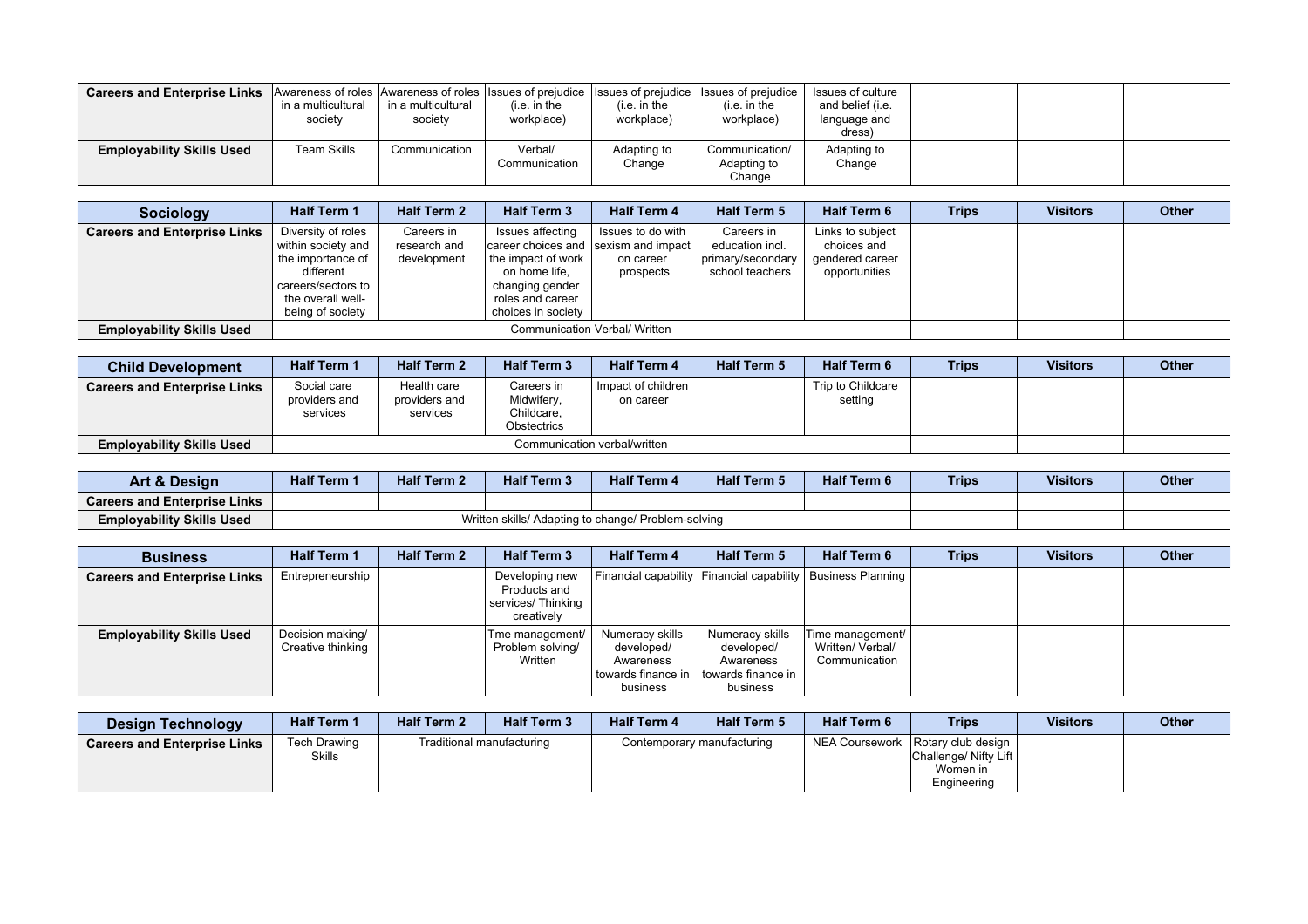| <b>Careers and Enterprise Links</b> Awareness of roles Awareness of roles Issues of prejudice Issues of prejudice Issues of prejudice | in a multicultural<br>society | in a multicultural<br>society | (i.e. in the<br>workplace) | (i.e. in the<br>workplace) | (i.e. in the<br>workplace)              | Issues of culture<br>and belief (i.e.<br>language and<br>dress |  |  |
|---------------------------------------------------------------------------------------------------------------------------------------|-------------------------------|-------------------------------|----------------------------|----------------------------|-----------------------------------------|----------------------------------------------------------------|--|--|
| <b>Employability Skills Used</b>                                                                                                      | Team Skills                   | Communication                 | Verbal/<br>Communication   | Adapting to<br>Change      | Communication/<br>Adapting to<br>Change | Adapting to<br>Change                                          |  |  |

| <b>Sociology</b>                    | <b>Half Term 1</b>                                                                                                                        | <b>Half Term 2</b>                        | <b>Half Term 3</b>                                                                                                                                           | <b>Half Term 4</b>                          | <b>Half Term 5</b>                                                    | <b>Half Term 6</b>                                                  | <b>Trips</b> | <b>Visitors</b> | <b>Other</b> |
|-------------------------------------|-------------------------------------------------------------------------------------------------------------------------------------------|-------------------------------------------|--------------------------------------------------------------------------------------------------------------------------------------------------------------|---------------------------------------------|-----------------------------------------------------------------------|---------------------------------------------------------------------|--------------|-----------------|--------------|
| <b>Careers and Enterprise Links</b> | Diversity of roles<br>within society and<br>the importance of<br>different<br>careers/sectors to<br>the overall well-<br>being of society | Careers in<br>research and<br>development | Issues affecting<br>career choices and sexism and impact<br>the impact of work<br>on home life,<br>changing gender<br>roles and career<br>choices in society | Issues to do with<br>on career<br>prospects | Careers in<br>education incl.<br>primary/secondary<br>school teachers | Links to subject<br>choices and<br>gendered career<br>opportunities |              |                 |              |
| <b>Employability Skills Used</b>    |                                                                                                                                           |                                           | Communication Verbal/ Written                                                                                                                                |                                             |                                                                       |                                                                     |              |                 |              |

| <b>Child Development</b>            | <b>Half Term 1</b>                       | <b>Half Term 2</b>                       | <b>Half Term 3</b>                                    | <b>Half Term 4</b>              | <b>Half Term 5</b> | <b>Half Term 6</b>           | <b>Trips</b> | <b>Visitors</b> | <b>Other</b> |
|-------------------------------------|------------------------------------------|------------------------------------------|-------------------------------------------------------|---------------------------------|--------------------|------------------------------|--------------|-----------------|--------------|
| <b>Careers and Enterprise Links</b> | Social care<br>providers and<br>services | Health care<br>providers and<br>services | Careers in<br>Midwifery,<br>Childcare,<br>Obstectrics | Impact of children<br>on career |                    | Trip to Childcare<br>setting |              |                 |              |
| <b>Employability Skills Used</b>    |                                          |                                          | Communication verbal/written                          |                                 |                    |                              |              |                 |              |

| <b>Art &amp; Design</b>             | <b>Half Term 1</b> | <b>Half Term 2</b> | <b>Half Term 3</b>                                  | <b>Half Term 4</b> | <b>Half Term 5</b> | <b>Half Term 6</b> | <b>Trips</b> | <b>Visitors</b> | <b>Other</b> |
|-------------------------------------|--------------------|--------------------|-----------------------------------------------------|--------------------|--------------------|--------------------|--------------|-----------------|--------------|
| <b>Careers and Enterprise Links</b> |                    |                    |                                                     |                    |                    |                    |              |                 |              |
| <b>Employability Skills Used</b>    |                    |                    | Written skills/ Adapting to change/ Problem-solving |                    |                    |                    |              |                 |              |

| <b>Business</b>                     | <b>Half Term 1</b>                    | <b>Half Term 2</b> | <b>Half Term 3</b>                                                 | <b>Half Term 4</b>                                                             | <b>Half Term 5</b>                                                           | <b>Half Term 6</b>                                              | <b>Trips</b> | <b>Visitors</b> | <b>Other</b> |
|-------------------------------------|---------------------------------------|--------------------|--------------------------------------------------------------------|--------------------------------------------------------------------------------|------------------------------------------------------------------------------|-----------------------------------------------------------------|--------------|-----------------|--------------|
| <b>Careers and Enterprise Links</b> | Entrepreneurship                      |                    | Developing new<br>Products and<br>services/ Thinking<br>creatively |                                                                                |                                                                              | Financial capability   Financial capability   Business Planning |              |                 |              |
| <b>Employability Skills Used</b>    | Decision making/<br>Creative thinking |                    | Tme management/<br>Problem solving/<br>Written                     | Numeracy skills<br>developed/<br>Awareness<br>l towards finance in<br>business | Numeracy skills<br>developed/<br>Awareness<br>towards finance in<br>business | Fime management/  <br>Written/ Verbal/<br>Communication         |              |                 |              |

| <b>Design Technology</b>            | <b>Half Term 1</b>            | <b>Half Term 2</b> | <b>Half Term 3</b>        | <b>Half Term 4</b>         | <b>Half Term 5</b> | <b>Half Term 6</b> | <b>Trips</b>                                                                              | <b>Visitors</b> | <b>Other</b> |
|-------------------------------------|-------------------------------|--------------------|---------------------------|----------------------------|--------------------|--------------------|-------------------------------------------------------------------------------------------|-----------------|--------------|
| <b>Careers and Enterprise Links</b> | Tech Drawing<br><b>Skills</b> |                    | Traditional manufacturing | Contemporary manufacturing |                    |                    | NEA Coursework   Rotary club design  <br>Challenge/ Nifty Lift<br>Women in<br>Engineering |                 |              |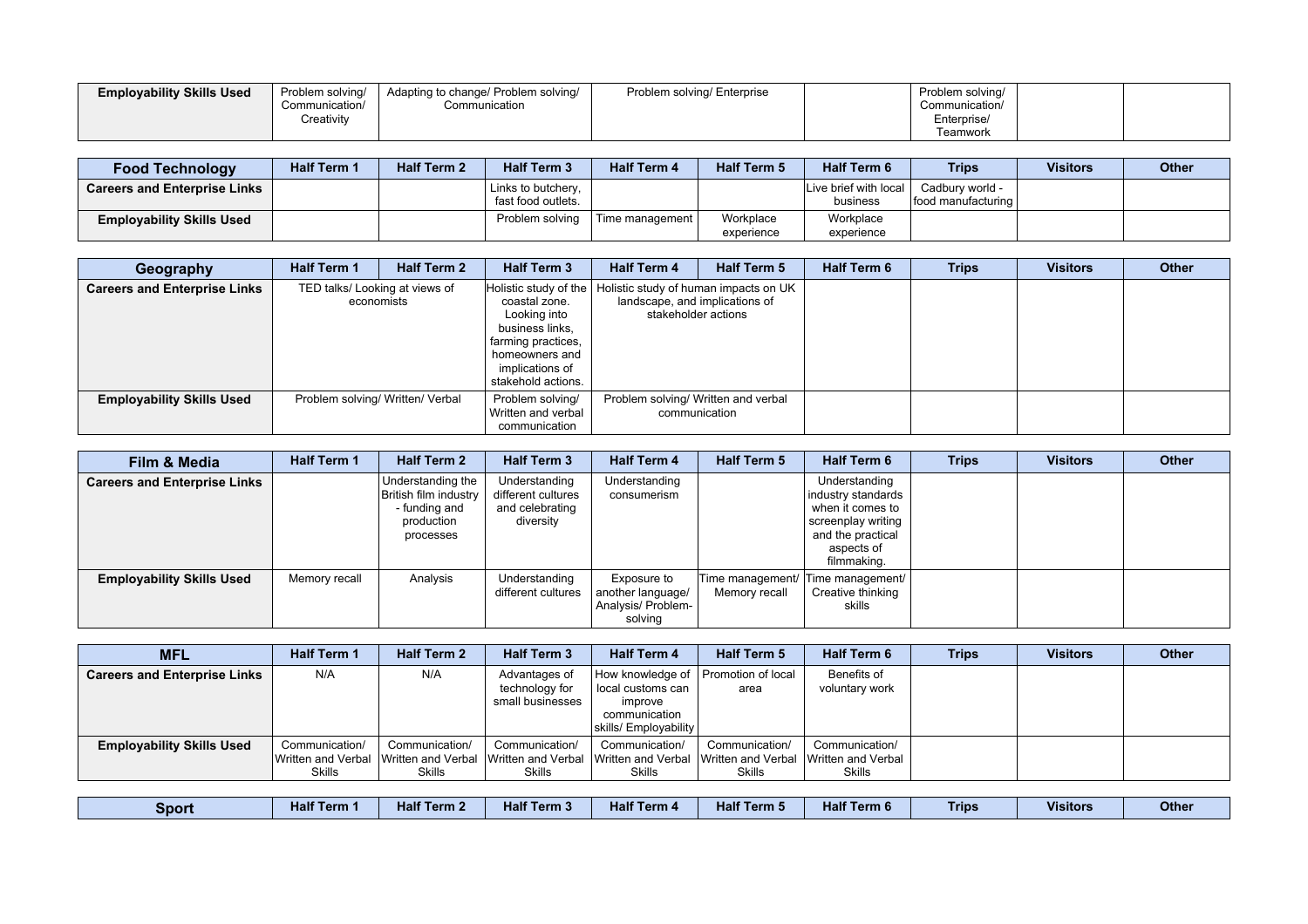| <b>Employability Skills Used</b> | Problem solving/<br>Communication/ | Adapting to change/ Problem solving/<br>Communication | Problem solving/ Enterprise | Problem solving/<br>Communication/ |  |
|----------------------------------|------------------------------------|-------------------------------------------------------|-----------------------------|------------------------------------|--|
|                                  | Creativitv                         |                                                       |                             | Enterprise/<br>Teamwork            |  |

| <b>Food Technology</b>              | <b>Half Term 1</b> | <b>Half Term 2</b> | <b>Half Term 3</b>                       | <b>Half Term 4</b> | <b>Half Term 5</b>      | <b>Half Term 6</b>                | <b>Trips</b>                             | <b>Visitors</b> | <b>Other</b> |
|-------------------------------------|--------------------|--------------------|------------------------------------------|--------------------|-------------------------|-----------------------------------|------------------------------------------|-----------------|--------------|
| <b>Careers and Enterprise Links</b> |                    |                    | Links to butchery,<br>fast food outlets. |                    |                         | Live brief with local<br>business | Cadbury world -<br>lfood manufacturing l |                 |              |
| <b>Employability Skills Used</b>    |                    |                    | Problem solving                          | Time management I  | Workplace<br>experience | Workplace<br>experience           |                                          |                 |              |

| Geography                           | <b>Half Term 1</b> | <b>Half Term 2</b>                           | <b>Half Term 3</b>                                                                                                                                                                                 | <b>Half Term 4</b>                  | <b>Half Term 5</b>  | <b>Half Term 6</b> | <b>Trips</b> | <b>Visitors</b> | Other |
|-------------------------------------|--------------------|----------------------------------------------|----------------------------------------------------------------------------------------------------------------------------------------------------------------------------------------------------|-------------------------------------|---------------------|--------------------|--------------|-----------------|-------|
| <b>Careers and Enterprise Links</b> |                    | TED talks/ Looking at views of<br>economists | Holistic study of the   Holistic study of human impacts on UK<br>coastal zone.<br>Looking into<br>business links,<br>farming practices,<br>homeowners and<br>implications of<br>stakehold actions. | landscape, and implications of      | stakeholder actions |                    |              |                 |       |
| <b>Employability Skills Used</b>    |                    | Problem solving/ Written/ Verbal             | Problem solving/<br>Written and verbal<br>communication                                                                                                                                            | Problem solving/ Written and verbal | communication       |                    |              |                 |       |

| Film & Media                        | <b>Half Term 1</b> | <b>Half Term 2</b>                                                                     | <b>Half Term 3</b>                                                  | <b>Half Term 4</b>                                                | <b>Half Term 5</b> | <b>Half Term 6</b>                                                                                                              | Trips | <b>Visitors</b> | Other |
|-------------------------------------|--------------------|----------------------------------------------------------------------------------------|---------------------------------------------------------------------|-------------------------------------------------------------------|--------------------|---------------------------------------------------------------------------------------------------------------------------------|-------|-----------------|-------|
| <b>Careers and Enterprise Links</b> |                    | Understanding the<br>British film industry<br>- funding and<br>production<br>processes | Understanding<br>different cultures<br>and celebrating<br>diversity | Understanding<br>consumerism                                      |                    | Understanding<br>industry standards<br>when it comes to<br>screenplay writing<br>and the practical<br>aspects of<br>filmmaking. |       |                 |       |
| <b>Employability Skills Used</b>    | Memory recall      | Analysis                                                                               | Understanding<br>different cultures                                 | Exposure to<br>another language/<br>Analysis/ Problem-<br>solving | Memory recall      | Time management/ Time management/<br>Creative thinking<br>skills                                                                |       |                 |       |

| <b>MFL</b>                          | <b>Half Term 1</b>                                                        | <b>Half Term 2</b>       | <b>Half Term 3</b>                                  | <b>Half Term 4</b>                                                                         | <b>Half Term 5</b>              | <b>Half Term 6</b>                             | <b>Trips</b> | <b>Visitors</b> | Other |
|-------------------------------------|---------------------------------------------------------------------------|--------------------------|-----------------------------------------------------|--------------------------------------------------------------------------------------------|---------------------------------|------------------------------------------------|--------------|-----------------|-------|
| <b>Careers and Enterprise Links</b> | N/A                                                                       | N/A                      | Advantages of<br>technology for<br>small businesses | How knowledge of<br>local customs can<br>improve<br>communication<br>skills/ Employability | Promotion of local<br>area      | Benefits of<br>voluntary work                  |              |                 |       |
| <b>Employability Skills Used</b>    | Communication/<br>Written and Verbal IWritten and Verbal<br><b>Skills</b> | Communication/<br>Skills | Communication/<br>Skills                            | Communication/<br>Written and Verbal Nwritten and Verbal Nwritten and Verbal<br>Skills     | Communication/<br><b>Skills</b> | Communication/<br>Written and Verbal<br>Skills |              |                 |       |

| Sport | <b><i><u>ALLAND</u></i></b><br>Term<br>па | $-1 - 1$<br>Term :<br>nair | Half<br>Term 3 | Half <sup>7</sup><br>Term 4 | Half <sup>7</sup> | $-102$<br>Term 6<br>чтан. | Trips | <b>Visitors</b> | Other |
|-------|-------------------------------------------|----------------------------|----------------|-----------------------------|-------------------|---------------------------|-------|-----------------|-------|
|-------|-------------------------------------------|----------------------------|----------------|-----------------------------|-------------------|---------------------------|-------|-----------------|-------|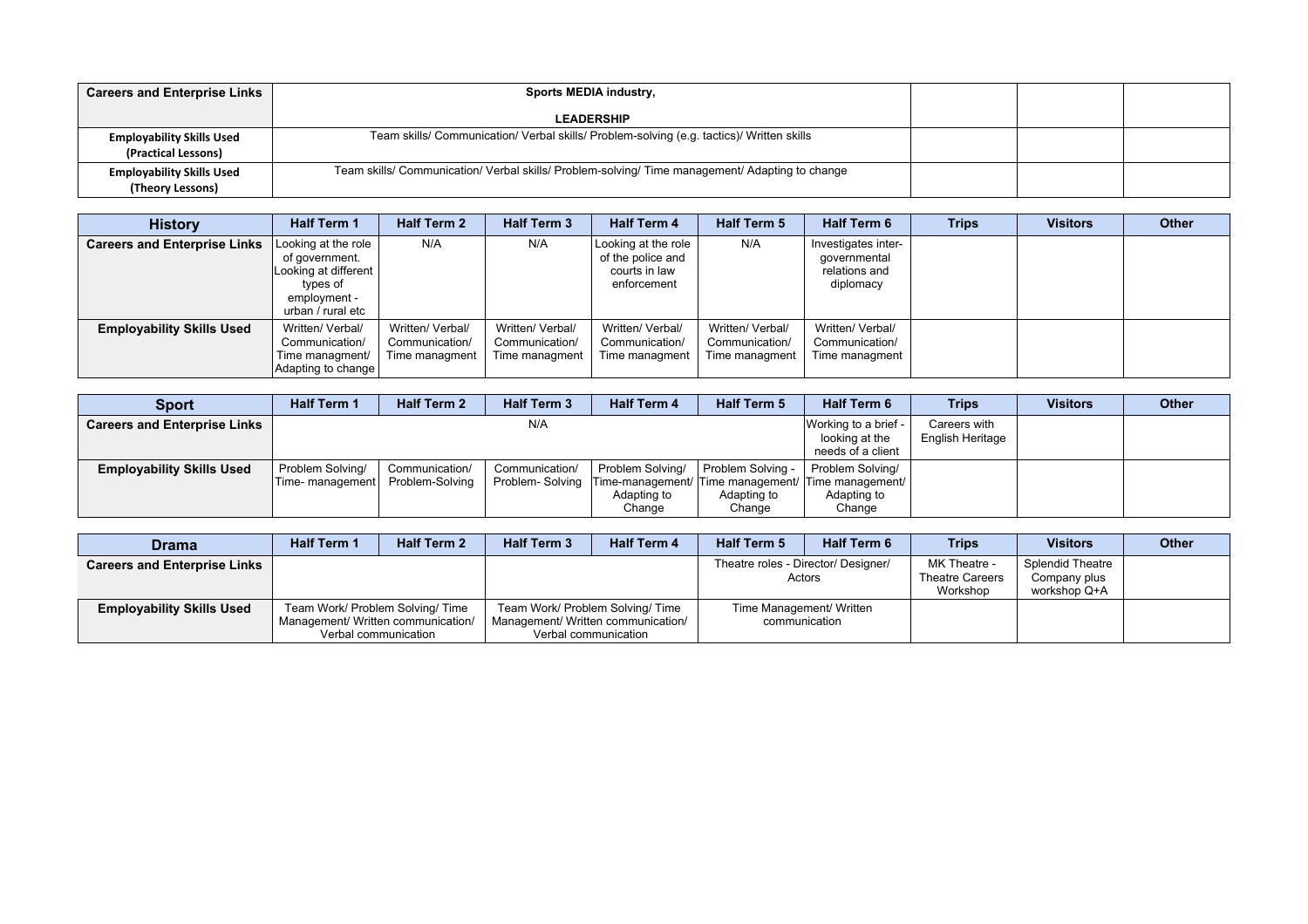| <b>Careers and Enterprise Links</b>                     | Sports MEDIA industry,                                                                          |  |  |
|---------------------------------------------------------|-------------------------------------------------------------------------------------------------|--|--|
|                                                         | <b>LEADERSHIP</b>                                                                               |  |  |
| <b>Employability Skills Used</b><br>(Practical Lessons) | Team skills/ Communication/ Verbal skills/ Problem-solving (e.g. tactics)/ Written skills       |  |  |
| <b>Employability Skills Used</b><br>(Theory Lessons)    | Team skills/ Communication/ Verbal skills/ Problem-solving/ Time management/ Adapting to change |  |  |

| <b>History</b>                      | <b>Half Term 1</b>                                                                                             | <b>Half Term 2</b>                                   | <b>Half Term 3</b>                                   | <b>Half Term 4</b>                                                       | <b>Half Term 5</b>                                   | <b>Half Term 6</b>                                                | <b>Trips</b> | <b>Visitors</b> | <b>Other</b> |
|-------------------------------------|----------------------------------------------------------------------------------------------------------------|------------------------------------------------------|------------------------------------------------------|--------------------------------------------------------------------------|------------------------------------------------------|-------------------------------------------------------------------|--------------|-----------------|--------------|
| <b>Careers and Enterprise Links</b> | Looking at the role<br>of government.<br>Looking at different<br>types of<br>employment -<br>urban / rural etc | N/A                                                  | N/A                                                  | Looking at the role<br>of the police and<br>courts in law<br>enforcement | N/A                                                  | Investigates inter-<br>qovernmental<br>relations and<br>diplomacy |              |                 |              |
| <b>Employability Skills Used</b>    | Written/ Verbal/<br>Communication/<br>Time managment/<br>Adapting to change                                    | Written/ Verbal/<br>Communication/<br>Time managment | Written/ Verbal/<br>Communication/<br>Time managment | Written/ Verbal/<br>Communication/<br>Time managment                     | Written/ Verbal/<br>Communication/<br>Time managment | Written/ Verbal/<br>Communication/<br>Time managment              |              |                 |              |

| <b>Sport</b>                        | <b>Half Term 1</b> | <b>Half Term 2</b> | <b>Half Term 3</b> | <b>Half Term 4</b> | <b>Half Term 5</b> | <b>Half Term 6</b>                                                 | <b>Trips</b>                     | <b>Visitors</b> | <b>Other</b> |
|-------------------------------------|--------------------|--------------------|--------------------|--------------------|--------------------|--------------------------------------------------------------------|----------------------------------|-----------------|--------------|
| <b>Careers and Enterprise Links</b> |                    |                    | N/A                |                    |                    | Working to a brief -<br>looking at the<br>needs of a client        | Careers with<br>English Heritage |                 |              |
| <b>Employability Skills Used</b>    | Problem Solving/   | Communication/     | Communication/     | Problem Solving/   | Problem Solving -  | Problem Solving/                                                   |                                  |                 |              |
|                                     | Time- management   | Problem-Solvina    |                    |                    |                    | Problem-Solving Time-management/ Time management/ Time management/ |                                  |                 |              |
|                                     |                    |                    |                    | Adapting to        | Adapting to        | Adapting to                                                        |                                  |                 |              |
|                                     |                    |                    |                    | Change             | Change             | Change                                                             |                                  |                 |              |

| <b>Drama</b>                        | <b>Half Term 1</b> | <b>Half Term 2</b>                                                                             | <b>Half Term 3</b>                 | <b>Half Term 4</b>                                       | <b>Half Term 5</b>                  | <b>Half Term 6</b>       | <b>Trips</b>                                       | <b>Visitors</b>                                         | Other |
|-------------------------------------|--------------------|------------------------------------------------------------------------------------------------|------------------------------------|----------------------------------------------------------|-------------------------------------|--------------------------|----------------------------------------------------|---------------------------------------------------------|-------|
| <b>Careers and Enterprise Links</b> |                    |                                                                                                |                                    |                                                          | Theatre roles - Director/ Designer/ | Actors                   | MK Theatre -<br><b>Theatre Careers</b><br>Workshop | <b>Splendid Theatre</b><br>Company plus<br>workshop Q+A |       |
| <b>Employability Skills Used</b>    |                    | Team Work/ Problem Solving/ Time<br>Management/ Written communication/<br>Verbal communication | Management/ Written communication/ | Team Work/ Problem Solving/ Time<br>Verbal communication | communication                       | Time Management/ Written |                                                    |                                                         |       |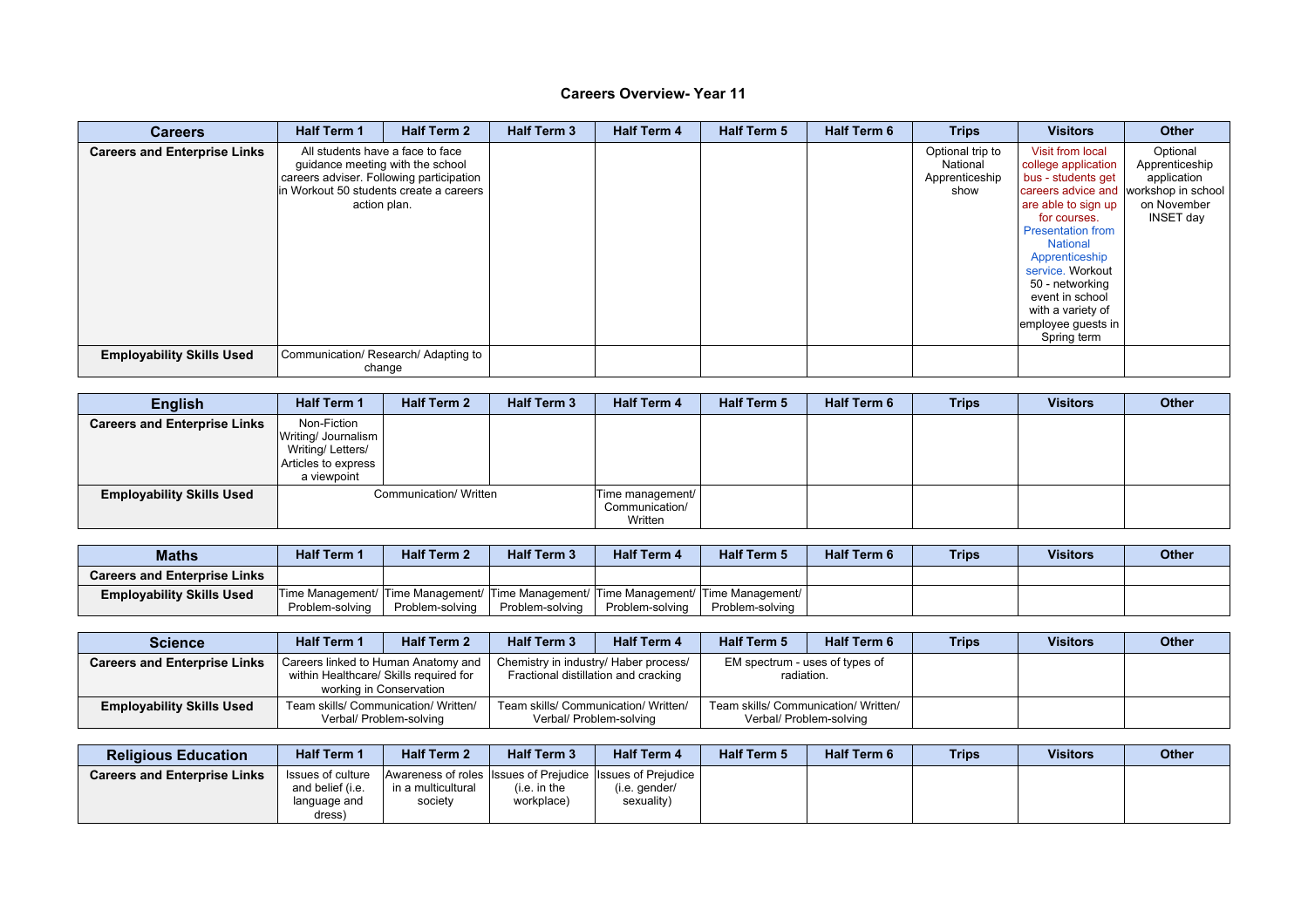| <b>Careers</b>                      | <b>Half Term 1</b>                                                                                                                                                           | <b>Half Term 2</b> | <b>Half Term 3</b> | <b>Half Term 4</b> | <b>Half Term 5</b> | <b>Half Term 6</b> | <b>Trips</b>                                           | <b>Visitors</b>                                                                                                                                                                                                                                                                                                                            | <b>Other</b>                                                          |
|-------------------------------------|------------------------------------------------------------------------------------------------------------------------------------------------------------------------------|--------------------|--------------------|--------------------|--------------------|--------------------|--------------------------------------------------------|--------------------------------------------------------------------------------------------------------------------------------------------------------------------------------------------------------------------------------------------------------------------------------------------------------------------------------------------|-----------------------------------------------------------------------|
| <b>Careers and Enterprise Links</b> | All students have a face to face<br>guidance meeting with the school<br>careers adviser. Following participation<br>lin Workout 50 students create a careers<br>action plan. |                    |                    |                    |                    |                    | Optional trip to<br>National<br>Apprenticeship<br>show | Visit from local<br>college application<br>bus - students get<br>careers advice and workshop in school<br>are able to sign up<br>for courses.<br><b>Presentation from</b><br><b>National</b><br>Apprenticeship<br>service. Workout<br>50 - networking<br>event in school<br>with a variety of<br>$ $ employee guests in $ $<br>Spring term | Optional<br>Apprenticeship<br>application<br>on November<br>INSET day |
| <b>Employability Skills Used</b>    | Communication/ Research/ Adapting to<br>change                                                                                                                               |                    |                    |                    |                    |                    |                                                        |                                                                                                                                                                                                                                                                                                                                            |                                                                       |

| <b>English</b>                      | <b>Half Term 1</b>                                                                              | <b>Half Term 2</b>     | <b>Half Term 3</b> | <b>Half Term 4</b>                            | <b>Half Term 5</b> | <b>Half Term 6</b> | <b>Trips</b> | <b>Visitors</b> | <b>Other</b> |
|-------------------------------------|-------------------------------------------------------------------------------------------------|------------------------|--------------------|-----------------------------------------------|--------------------|--------------------|--------------|-----------------|--------------|
| <b>Careers and Enterprise Links</b> | Non-Fiction<br> Writing/ Journalism  <br>Writing/Letters/<br>Articles to express<br>a viewpoint |                        |                    |                                               |                    |                    |              |                 |              |
| <b>Employability Skills Used</b>    |                                                                                                 | Communication/ Written |                    | Time management/<br>Communication/<br>Written |                    |                    |              |                 |              |

| <b>Maths</b>                        | <b>Half Term</b> | <b>Half Term 2</b> | <b>Half Term 3</b> | <b>Half Term 4</b> | <b>Half Term 5</b>                                                                       | <b>Half Term 6</b> | <b>Trips</b> | <b>Visitors</b> | <b>Other</b> |
|-------------------------------------|------------------|--------------------|--------------------|--------------------|------------------------------------------------------------------------------------------|--------------------|--------------|-----------------|--------------|
| <b>Careers and Enterprise Links</b> |                  |                    |                    |                    |                                                                                          |                    |              |                 |              |
| <b>Employability Skills Used</b>    |                  |                    |                    |                    | Time Management/  Time Management/  Time Management/  Time Management/  Time Management/ |                    |              |                 |              |
|                                     | Problem-solving  | Problem-solving    | Problem-solving    | Problem-solving    | Problem-solving                                                                          |                    |              |                 |              |

| Science                             | <b>Half Term 1</b> | <b>Half Term 2</b>                                                                                       | <b>Half Term 3</b> | <b>Half Term 4</b>                                                            | <b>Half Term 5</b>                           | <b>Half Term 6</b>                                              | <b>Trips</b> | <b>Visitors</b> | <b>Other</b> |
|-------------------------------------|--------------------|----------------------------------------------------------------------------------------------------------|--------------------|-------------------------------------------------------------------------------|----------------------------------------------|-----------------------------------------------------------------|--------------|-----------------|--------------|
| <b>Careers and Enterprise Links</b> |                    | Careers linked to Human Anatomy and<br>within Healthcare/ Skills required for<br>working in Conservation |                    | Chemistry in industry/ Haber process/<br>Fractional distillation and cracking | EM spectrum - uses of types of<br>radiation. |                                                                 |              |                 |              |
| <b>Employability Skills Used</b>    |                    | Team skills/ Communication/ Written/<br>Verbal/ Problem-solving                                          |                    | Team skills/ Communication/ Written/<br>Verbal/ Problem-solving               |                                              | Team skills/ Communication/ Written/<br>Verbal/ Problem-solving |              |                 |              |

| <b>Religious Education</b>          | <b>Half Term 1</b>                                              | <b>Half Term 2</b>            | <b>Half Term 3</b>        | <b>Half Term 4</b>                                                                          | <b>Half Term 5</b> | <b>Half Term 6</b> | <b>Trips</b> | <b>Visitors</b> | <b>Other</b> |
|-------------------------------------|-----------------------------------------------------------------|-------------------------------|---------------------------|---------------------------------------------------------------------------------------------|--------------------|--------------------|--------------|-----------------|--------------|
| <b>Careers and Enterprise Links</b> | Issues of culture<br>and belief (i.e.<br>language and<br>dress) | in a multicultural<br>society | i.e. in the<br>workplace) | Awareness of roles Issues of Prejudice Issues of Prejudice  <br>(i.e. gender/<br>sexuality) |                    |                    |              |                 |              |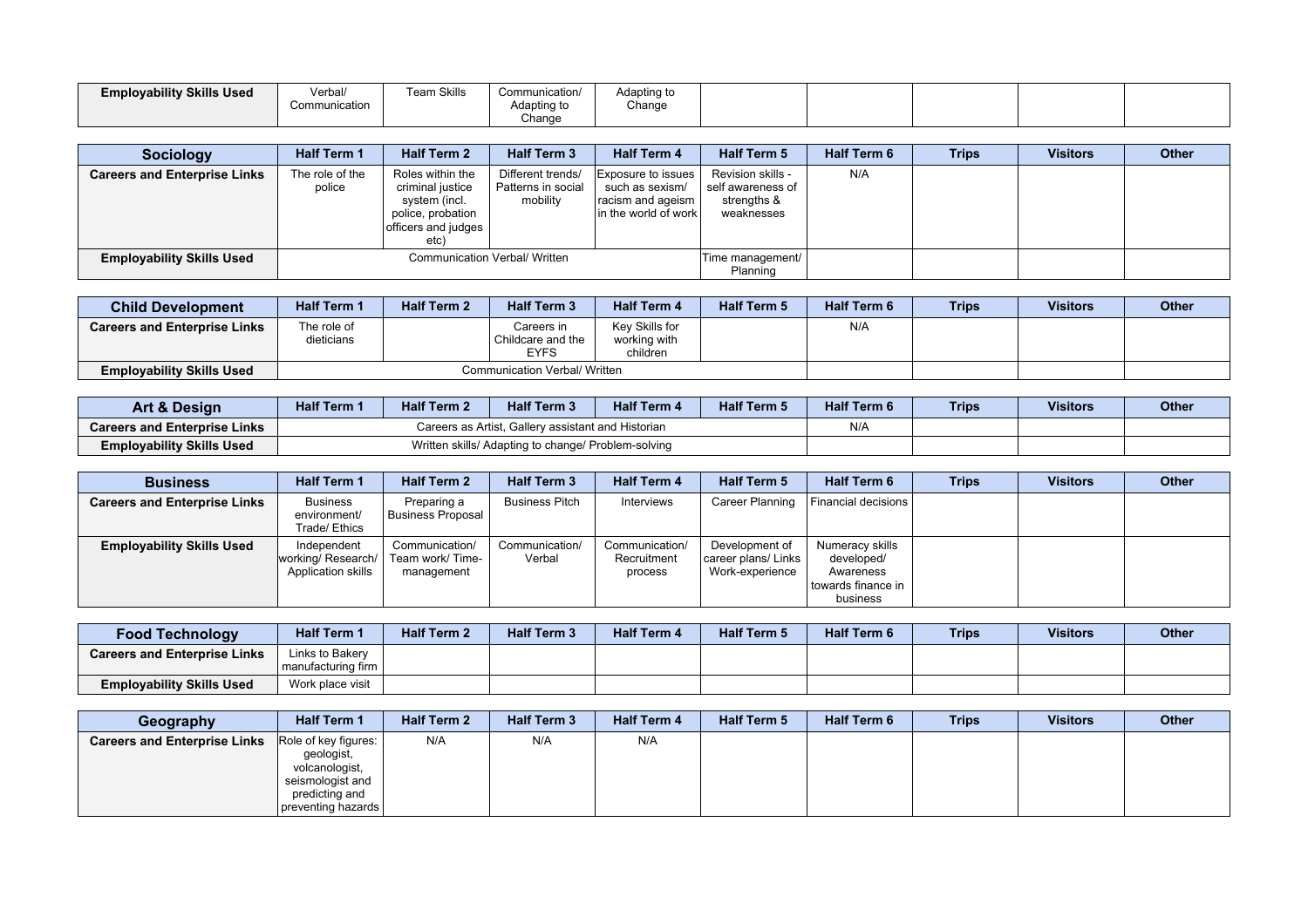| <b>Employability Skills Used</b> | Verbal/<br>Communication | <b>Team Skills</b> | Communication/<br>Adapting to<br>Change | Adapting to<br>Change |  |  |  |
|----------------------------------|--------------------------|--------------------|-----------------------------------------|-----------------------|--|--|--|
|                                  |                          |                    |                                         |                       |  |  |  |

| <b>Sociology</b>                    | <b>Half Term 1</b>        | <b>Half Term 2</b>                                                                                        | <b>Half Term 3</b>                                  | <b>Half Term 4</b>                                                                 | <b>Half Term 5</b>                                                  | <b>Half Term 6</b> | <b>Trips</b> | <b>Visitors</b> | <b>Other</b> |
|-------------------------------------|---------------------------|-----------------------------------------------------------------------------------------------------------|-----------------------------------------------------|------------------------------------------------------------------------------------|---------------------------------------------------------------------|--------------------|--------------|-----------------|--------------|
| <b>Careers and Enterprise Links</b> | The role of the<br>police | Roles within the<br>criminal justice<br>system (incl.<br>police, probation<br>officers and judges<br>etc) | Different trends/<br>Patterns in social<br>mobility | Exposure to issues<br>such as sexism/<br>racism and ageism<br>in the world of work | Revision skills -<br>self awareness of<br>strengths &<br>weaknesses | N/A                |              |                 |              |
| <b>Employability Skills Used</b>    |                           |                                                                                                           | Communication Verbal/ Written                       |                                                                                    | Time management/<br>Planning                                        |                    |              |                 |              |

| <b>Child Development</b>            | <b>Half Term 1</b>        | <b>Half Term 2</b>            | <b>Half Term 3</b>                      | <b>Half Term 4</b>                         | <b>Half Term 5</b> | <b>Half Term 6</b> | <b>Trips</b> | <b>Visitors</b> | <b>Other</b> |
|-------------------------------------|---------------------------|-------------------------------|-----------------------------------------|--------------------------------------------|--------------------|--------------------|--------------|-----------------|--------------|
| <b>Careers and Enterprise Links</b> | The role of<br>dieticians |                               | Careers in<br>Childcare and the<br>EYFS | Kev Skills for<br>working with<br>children |                    | N/A                |              |                 |              |
| <b>Employability Skills Used</b>    |                           | Communication Verbal/ Written |                                         |                                            |                    |                    |              |                 |              |

| Art & Design                        | <b>Half Term 1</b> | <b>Half Term 2</b> | <b>Half Term 3</b>                                  | <b>Half Term 4</b> | <b>Half Term 5</b> | <b>Half Term 6</b> | <b>Trips</b> | <b>Visitors</b> | <b>Other</b> |
|-------------------------------------|--------------------|--------------------|-----------------------------------------------------|--------------------|--------------------|--------------------|--------------|-----------------|--------------|
| <b>Careers and Enterprise Links</b> |                    |                    | Careers as Artist. Gallery assistant and Historian  |                    | N/A                |                    |              |                 |              |
| <b>Employability Skills Used</b>    |                    |                    | Written skills/ Adapting to change/ Problem-solving |                    |                    |                    |              |                 |              |

| <b>Business</b>                     | <b>Half Term 1</b>                                     | <b>Half Term 2</b>                              | <b>Half Term 3</b>       | <b>Half Term 4</b>                       | <b>Half Term 5</b>                                       | <b>Half Term 6</b>                                                             | <b>Trips</b> | <b>Visitors</b> | <b>Other</b> |
|-------------------------------------|--------------------------------------------------------|-------------------------------------------------|--------------------------|------------------------------------------|----------------------------------------------------------|--------------------------------------------------------------------------------|--------------|-----------------|--------------|
| <b>Careers and Enterprise Links</b> | <b>Business</b><br>environment/<br>Trade/ Ethics       | Preparing a<br>Business Proposal                | <b>Business Pitch</b>    | Interviews                               | Career Planning                                          | Financial decisions                                                            |              |                 |              |
| <b>Employability Skills Used</b>    | Independent<br>working/Research/<br>Application skills | Communication/<br>Team work/Time-<br>management | Communication/<br>Verbal | Communication/<br>Recruitment<br>process | Development of<br>career plans/ Links<br>Work-experience | Numeracy skills<br>developed/<br>Awareness<br>l towards finance in<br>business |              |                 |              |

| <b>Food Technology</b>              | <b>Half Term 1</b>                        | <b>Half Term 2</b> | <b>Half Term 3</b> | <b>Half Term 4</b> | <b>Half Term 5</b> | <b>Half Term 6</b> | <b>Trips</b> | <b>Visitors</b> | <b>Other</b> |
|-------------------------------------|-------------------------------------------|--------------------|--------------------|--------------------|--------------------|--------------------|--------------|-----------------|--------------|
| <b>Careers and Enterprise Links</b> | Links to Bakery<br>I manufacturing firm I |                    |                    |                    |                    |                    |              |                 |              |
| <b>Employability Skills Used</b>    | Work place visit                          |                    |                    |                    |                    |                    |              |                 |              |

| Geography                           | <b>Half Term 1</b>                                                                                               | <b>Half Term 2</b> | <b>Half Term 3</b> | <b>Half Term 4</b> | <b>Half Term 5</b> | <b>Half Term 6</b> | <b>Trips</b> | <b>Visitors</b> | <b>Other</b> |
|-------------------------------------|------------------------------------------------------------------------------------------------------------------|--------------------|--------------------|--------------------|--------------------|--------------------|--------------|-----------------|--------------|
| <b>Careers and Enterprise Links</b> | Role of key figures:<br>geologist,<br>volcanologist,<br>seismologist and<br>predicting and<br>preventing hazards | N/A                | N/A                | N/A                |                    |                    |              |                 |              |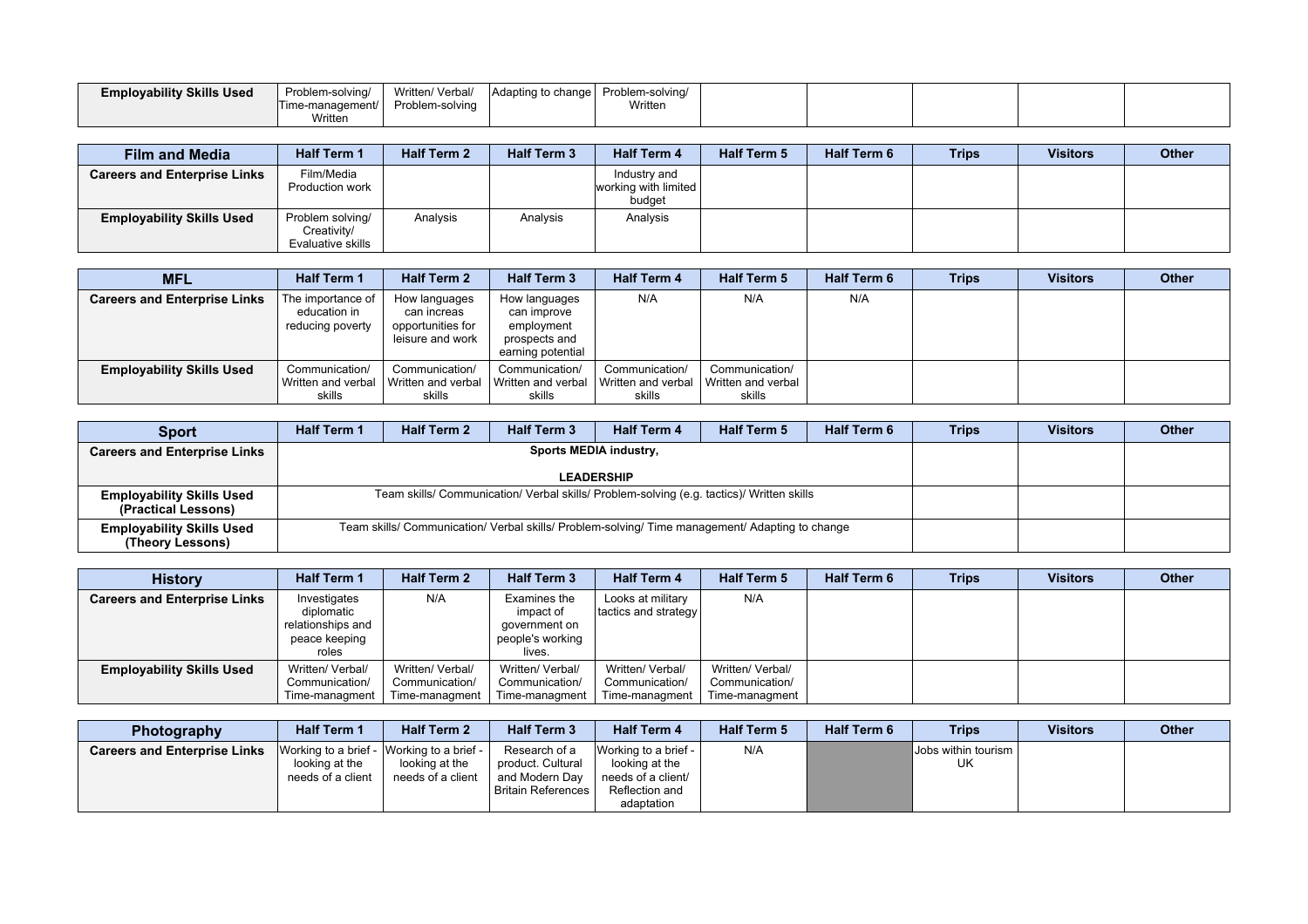| <b>Employability Skills Used</b> | Problem-solving/<br>Time-management/ | Written/ Verbal/<br>Problem-solving | Adapting to change   Problem-solving/ | Written |  |  |  |
|----------------------------------|--------------------------------------|-------------------------------------|---------------------------------------|---------|--|--|--|
|                                  | Written                              |                                     |                                       |         |  |  |  |

| <b>Film and Media</b>               | <b>Half Term 1</b>                                   | <b>Half Term 2</b> | <b>Half Term 3</b> | <b>Half Term 4</b>                             | <b>Half Term 5</b> | <b>Half Term 6</b> | <b>Trips</b> | <b>Visitors</b> | <b>Other</b> |
|-------------------------------------|------------------------------------------------------|--------------------|--------------------|------------------------------------------------|--------------------|--------------------|--------------|-----------------|--------------|
| <b>Careers and Enterprise Links</b> | Film/Media<br>Production work                        |                    |                    | Industry and<br>working with limited<br>budget |                    |                    |              |                 |              |
| <b>Employability Skills Used</b>    | Problem solving/<br>Creativity/<br>Evaluative skills | Analysis           | Analysis           | Analysis                                       |                    |                    |              |                 |              |

| <b>MFL</b>                          | <b>Half Term 1</b>                                    | <b>Half Term 2</b>                                                    | <b>Half Term 3</b>                                                               | <b>Half Term 4</b>                             | <b>Half Term 5</b>                             | <b>Half Term 6</b> | <b>Trips</b> | <b>Visitors</b> | <b>Other</b> |
|-------------------------------------|-------------------------------------------------------|-----------------------------------------------------------------------|----------------------------------------------------------------------------------|------------------------------------------------|------------------------------------------------|--------------------|--------------|-----------------|--------------|
| <b>Careers and Enterprise Links</b> | The importance of<br>education in<br>reducing poverty | How languages<br>can increas<br>opportunities for<br>leisure and work | How languages<br>can improve<br>employment<br>prospects and<br>earning potential | N/A                                            | N/A                                            | N/A                |              |                 |              |
| <b>Employability Skills Used</b>    | Communication/<br>Written and verbal<br>skills        | Communication/<br>Written and verbal<br>skills                        | Communication/<br>l Written and verbal<br>skills                                 | Communication/<br>Written and verbal<br>skills | Communication/<br>Written and verbal<br>skills |                    |              |                 |              |

| <b>Sport</b>                                            | <b>Half Term 1</b> | <b>Half Term 2</b>                                                                              | <b>Half Term 3</b> | <b>Half Term 4</b> | <b>Half Term 5</b> | <b>Half Term 6</b> | <b>Trips</b> | <b>Visitors</b> | <b>Other</b> |
|---------------------------------------------------------|--------------------|-------------------------------------------------------------------------------------------------|--------------------|--------------------|--------------------|--------------------|--------------|-----------------|--------------|
| <b>Careers and Enterprise Links</b>                     |                    |                                                                                                 |                    |                    |                    |                    |              |                 |              |
|                                                         |                    |                                                                                                 |                    | <b>LEADERSHIP</b>  |                    |                    |              |                 |              |
| <b>Employability Skills Used</b><br>(Practical Lessons) |                    | Team skills/ Communication/ Verbal skills/ Problem-solving (e.g. tactics)/ Written skills       |                    |                    |                    |                    |              |                 |              |
| <b>Employability Skills Used</b><br>(Theory Lessons)    |                    | Team skills/ Communication/ Verbal skills/ Problem-solving/ Time management/ Adapting to change |                    |                    |                    |                    |              |                 |              |

| <b>History</b>                      | <b>Half Term 1</b>                                                        | <b>Half Term 2</b>                                   | <b>Half Term 3</b>                                                       | <b>Half Term 4</b>                                   | <b>Half Term 5</b>                                   | <b>Half Term 6</b> | <b>Trips</b> | <b>Visitors</b> | <b>Other</b> |
|-------------------------------------|---------------------------------------------------------------------------|------------------------------------------------------|--------------------------------------------------------------------------|------------------------------------------------------|------------------------------------------------------|--------------------|--------------|-----------------|--------------|
| <b>Careers and Enterprise Links</b> | Investigates<br>diplomatic<br>relationships and<br>peace keeping<br>roles | N/A                                                  | Examines the<br>impact of<br>government on<br>people's working<br>lives. | Looks at military<br>tactics and strategy            | N/A                                                  |                    |              |                 |              |
| <b>Employability Skills Used</b>    | Written/ Verbal/<br>Communication/<br>Time-managment                      | Written/ Verbal/<br>Communication/<br>Time-managment | Written/ Verbal/<br>Communication/<br>Time-managment                     | Written/ Verbal/<br>Communication/<br>Time-managment | Written/ Verbal/<br>Communication/<br>Time-managment |                    |              |                 |              |

| <b>Photography</b>                  | <b>Half Term 1</b> | <b>Half Term 2</b>                        | <b>Half Term 3</b>   | <b>Half Term 4</b>   | <b>Half Term 5</b> | <b>Half Term 6</b> | <b>Trips</b>                  | <b>Visitors</b> | <b>Other</b> |
|-------------------------------------|--------------------|-------------------------------------------|----------------------|----------------------|--------------------|--------------------|-------------------------------|-----------------|--------------|
| <b>Careers and Enterprise Links</b> |                    | Working to a brief - Working to a brief - | Research of a        | Working to a brief - | N/A                |                    | <b>IJobs within tourism</b> I |                 |              |
|                                     | looking at the     | looking at the                            | product. Cultural    | looking at the       |                    |                    | UK                            |                 |              |
|                                     | needs of a client  | needs of a client                         | and Modern Dav       | needs of a client/   |                    |                    |                               |                 |              |
|                                     |                    |                                           | l Britain References | Reflection and       |                    |                    |                               |                 |              |
|                                     |                    |                                           |                      | adaptation           |                    |                    |                               |                 |              |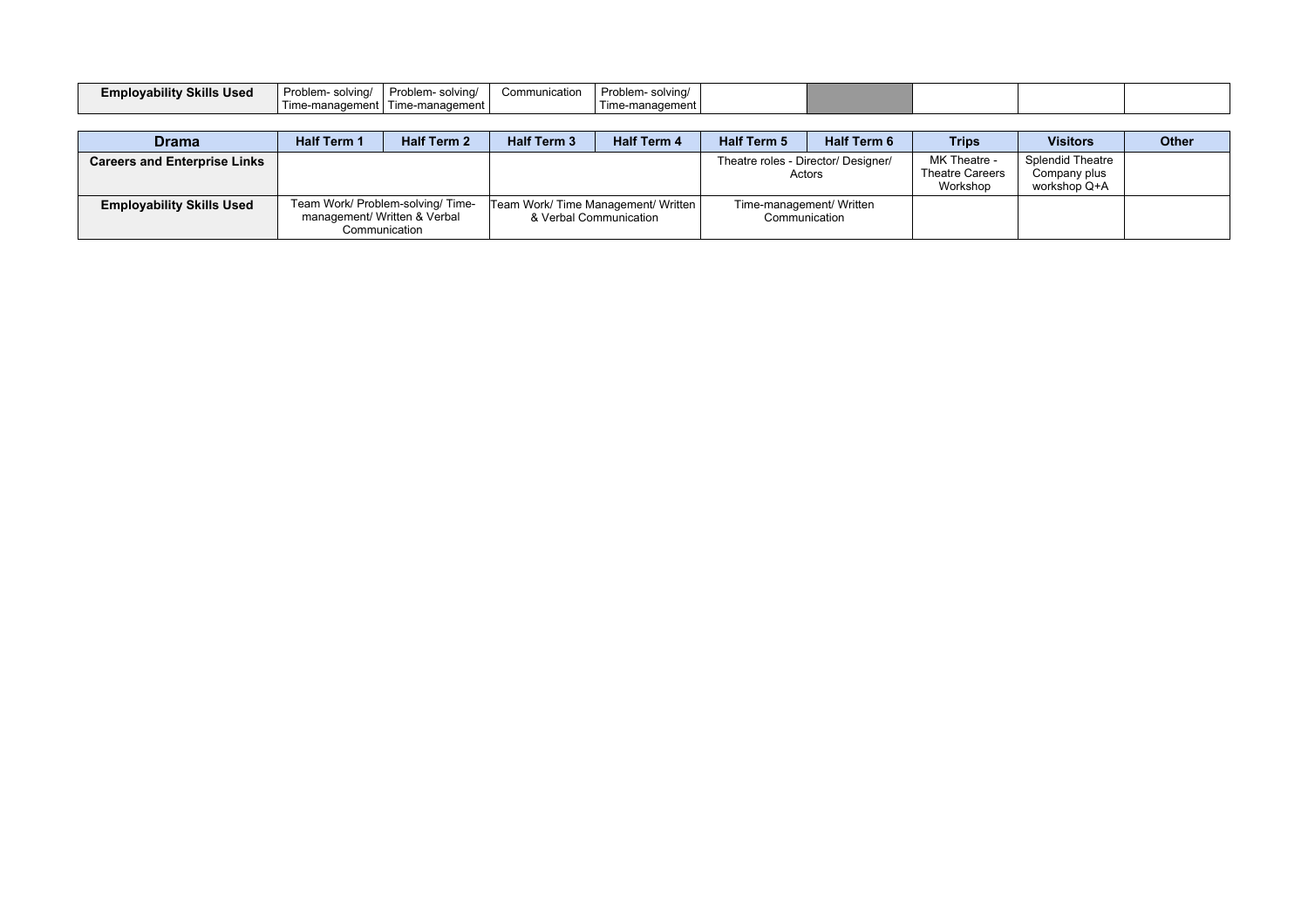| <b>Employability Skills UP</b><br><b>Used</b> | Problem-<br>solving/                | <b>Droblom</b><br>solvina/<br>JUHI - 1 | Comm<br>nication | Problem-<br>solvinc    |  |  |  |
|-----------------------------------------------|-------------------------------------|----------------------------------------|------------------|------------------------|--|--|--|
|                                               | nadement<br>$\cdot$ ıma moʻ<br>'''' | Time-management I                      |                  | ™ement<br>Time-managem |  |  |  |

| <b>Drama</b>                        | <b>Half Term 1</b> | <b>Half Term 2</b>                                                                 | <b>Half Term 3</b>                  | <b>Half Term 4</b>     | <b>Half Term 5</b>                            | <b>Half Term 6</b> | <b>Trips</b>                                       | <b>Visitors</b>                                  | <b>Other</b> |
|-------------------------------------|--------------------|------------------------------------------------------------------------------------|-------------------------------------|------------------------|-----------------------------------------------|--------------------|----------------------------------------------------|--------------------------------------------------|--------------|
| <b>Careers and Enterprise Links</b> |                    |                                                                                    |                                     |                        | Theatre roles - Director/ Designer/<br>Actors |                    | MK Theatre -<br><b>Theatre Careers</b><br>Workshop | Splendid Theatre<br>Company plus<br>workshop Q+A |              |
| <b>Employability Skills Used</b>    |                    | Team Work/ Problem-solving/ Time-<br>management/ Written & Verbal<br>Communication | Team Work/ Time Management/ Written | & Verbal Communication | Time-management/ Written<br>Communication     |                    |                                                    |                                                  |              |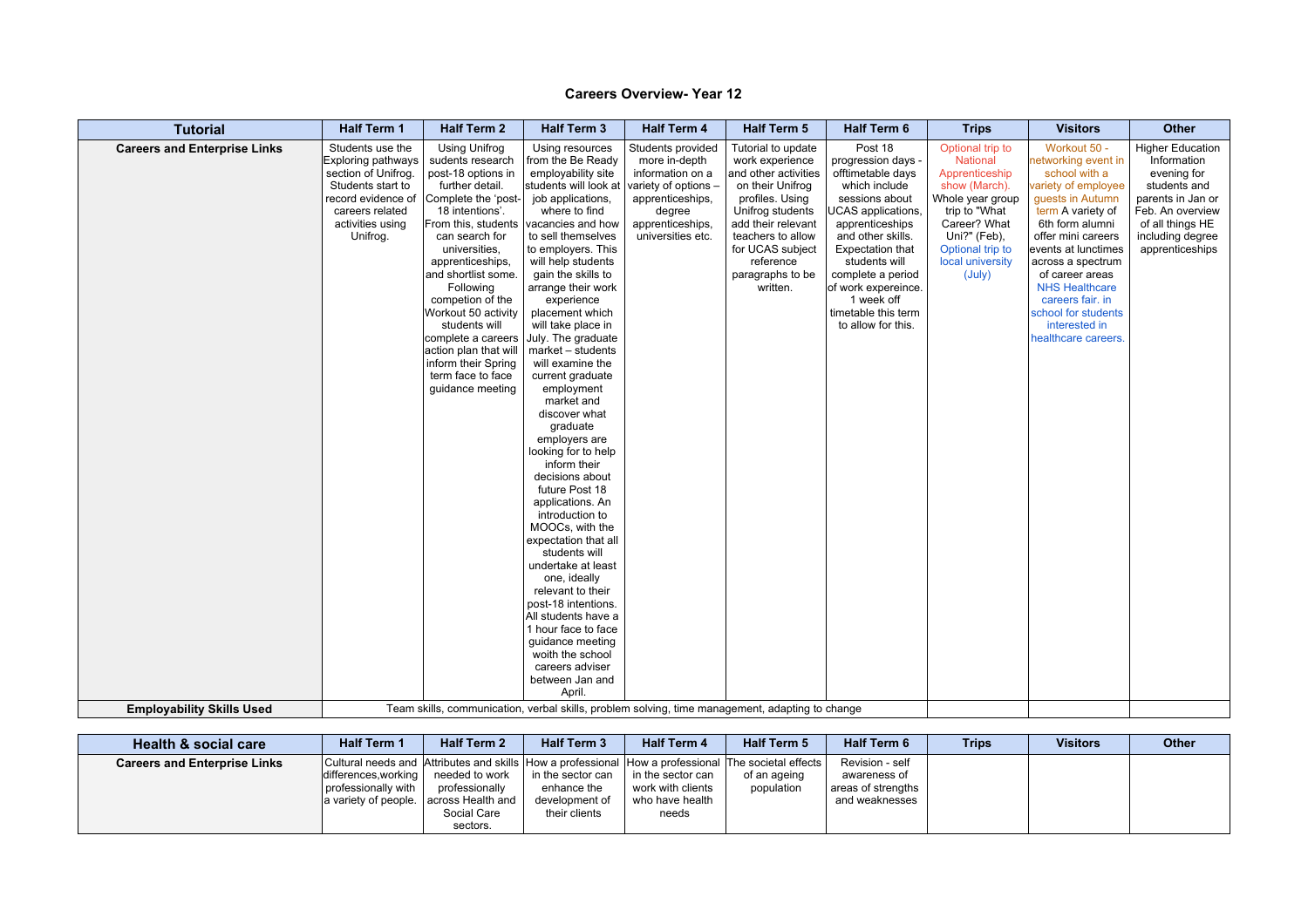| <b>Tutorial</b>                     | <b>Half Term 1</b>                                                                                                                                          | <b>Half Term 2</b>                                                                                                                                                                                                                                                                                                                                                                                | <b>Half Term 3</b>                                                                                                                                                                                                                                                                                                                                                                                                                                                                                                                                                                                                                                                                                                                                                                                                                                                                                          | <b>Half Term 4</b>                                                                                                                                    | <b>Half Term 5</b>                                                                                                                                                                                                                   | Half Term 6                                                                                                                                                                                                                                                                                            | <b>Trips</b>                                                                                                                                                                                  | <b>Visitors</b>                                                                                                                                                                                                                                                                                                                          | <b>Other</b>                                                                                                                                                              |
|-------------------------------------|-------------------------------------------------------------------------------------------------------------------------------------------------------------|---------------------------------------------------------------------------------------------------------------------------------------------------------------------------------------------------------------------------------------------------------------------------------------------------------------------------------------------------------------------------------------------------|-------------------------------------------------------------------------------------------------------------------------------------------------------------------------------------------------------------------------------------------------------------------------------------------------------------------------------------------------------------------------------------------------------------------------------------------------------------------------------------------------------------------------------------------------------------------------------------------------------------------------------------------------------------------------------------------------------------------------------------------------------------------------------------------------------------------------------------------------------------------------------------------------------------|-------------------------------------------------------------------------------------------------------------------------------------------------------|--------------------------------------------------------------------------------------------------------------------------------------------------------------------------------------------------------------------------------------|--------------------------------------------------------------------------------------------------------------------------------------------------------------------------------------------------------------------------------------------------------------------------------------------------------|-----------------------------------------------------------------------------------------------------------------------------------------------------------------------------------------------|------------------------------------------------------------------------------------------------------------------------------------------------------------------------------------------------------------------------------------------------------------------------------------------------------------------------------------------|---------------------------------------------------------------------------------------------------------------------------------------------------------------------------|
| <b>Careers and Enterprise Links</b> | Students use the<br>Exploring pathways<br>section of Unifrog.<br>Students start to<br>record evidence of<br>careers related<br>activities using<br>Unifrog. | <b>Using Unifrog</b><br>sudents research<br>post-18 options in<br>further detail.<br>Complete the 'post-<br>18 intentions'.<br>can search for<br>universities,<br>apprenticeships,<br>and shortlist some.<br>Following<br>competion of the<br>Workout 50 activity<br>students will<br>complete a careers<br>action plan that will<br>inform their Spring<br>term face to face<br>guidance meeting | Using resources<br>from the Be Ready<br>employability site<br>students will look at<br>job applications,<br>where to find<br>From this, students vacancies and how<br>to sell themselves<br>to employers. This<br>will help students<br>gain the skills to<br>arrange their work<br>experience<br>placement which<br>will take place in<br>July. The graduate<br>market - students<br>will examine the<br>current graduate<br>employment<br>market and<br>discover what<br>graduate<br>employers are<br>looking for to help<br>inform their<br>decisions about<br>future Post 18<br>applications. An<br>introduction to<br>MOOCs, with the<br>expectation that all<br>students will<br>undertake at least<br>one, ideally<br>relevant to their<br>post-18 intentions.<br>All students have a<br>1 hour face to face<br>quidance meeting<br>woith the school<br>careers adviser<br>between Jan and<br>April. | Students provided<br>more in-depth<br>information on a<br>variety of options -<br>apprenticeships,<br>degree<br>apprenticeships,<br>universities etc. | Tutorial to update<br>work experience<br>and other activities<br>on their Unifrog<br>profiles. Using<br>Unifrog students<br>add their relevant<br>teachers to allow<br>for UCAS subject<br>reference<br>paragraphs to be<br>written. | Post 18<br>progression days -<br>offtimetable days<br>which include<br>sessions about<br>JCAS applications,<br>apprenticeships<br>and other skills.<br><b>Expectation that</b><br>students will<br>complete a period<br>of work expereince.<br>1 week off<br>timetable this term<br>to allow for this. | Optional trip to<br><b>National</b><br>Apprenticeship<br>show (March).<br>Whole year group<br>trip to "What<br>Career? What<br>Uni?" (Feb),<br>Optional trip to<br>local university<br>(July) | Workout 50 -<br>networking event in<br>school with a<br>variety of employee<br>guests in Autumn<br>term A variety of<br>6th form alumni<br>offer mini careers<br>events at lunctimes<br>across a spectrum<br>of career areas<br><b>NHS Healthcare</b><br>careers fair. in<br>school for students<br>interested in<br>healthcare careers. | <b>Higher Education</b><br>Information<br>evening for<br>students and<br>parents in Jan or<br>Feb. An overview<br>of all things HE<br>including degree<br>apprenticeships |
| <b>Employability Skills Used</b>    |                                                                                                                                                             |                                                                                                                                                                                                                                                                                                                                                                                                   | Team skills, communication, verbal skills, problem solving, time management, adapting to change                                                                                                                                                                                                                                                                                                                                                                                                                                                                                                                                                                                                                                                                                                                                                                                                             |                                                                                                                                                       |                                                                                                                                                                                                                                      |                                                                                                                                                                                                                                                                                                        |                                                                                                                                                                                               |                                                                                                                                                                                                                                                                                                                                          |                                                                                                                                                                           |

| <b>Health &amp; social care</b>     | <b>Half Term 1</b>                          | <b>Half Term 2</b>                                                                                                                                                                                                       | <b>Half Term 3</b>                                                  | <b>Half Term 4</b>                                                 | <b>Half Term 5</b>         | <b>Half Term 6</b>                                                      | <b>Trips</b> | <b>Visitors</b> | <b>Other</b> |
|-------------------------------------|---------------------------------------------|--------------------------------------------------------------------------------------------------------------------------------------------------------------------------------------------------------------------------|---------------------------------------------------------------------|--------------------------------------------------------------------|----------------------------|-------------------------------------------------------------------------|--------------|-----------------|--------------|
| <b>Careers and Enterprise Links</b> | differences, working<br>professionally with | Cultural needs and   Attributes and skills   How a professional   How a professional   The societal effects  <br>needed to work<br>professionally<br>a variety of people.   across Health and<br>Social Care<br>sectors. | in the sector can<br>enhance the<br>development of<br>their clients | in the sector can<br>work with clients<br>who have health<br>needs | of an ageing<br>population | Revision - self<br>awareness of<br>areas of strengths<br>and weaknesses |              |                 |              |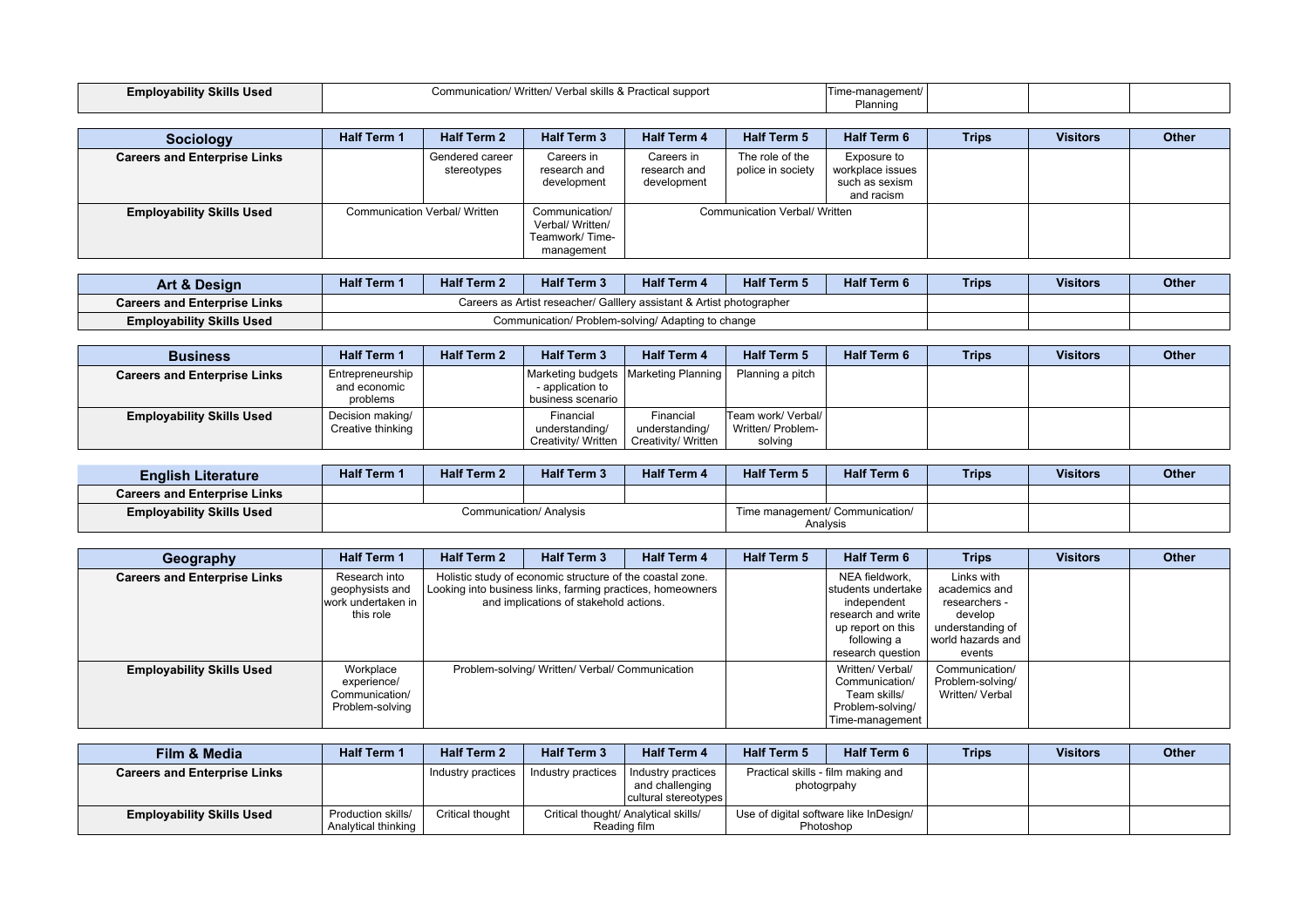| <b>Employability Skills Used</b> | า/ Written/ Verbal skills & Practical support<br>Communication/ | -manaɑement/ |  |  |
|----------------------------------|-----------------------------------------------------------------|--------------|--|--|
|                                  |                                                                 | Planninc     |  |  |

| <b>Sociology</b>                    | <b>Half Term 1</b> | <b>Half Term 2</b>                   | <b>Half Term 3</b>                                                 | <b>Half Term 4</b>                        | <b>Half Term 5</b>                   | <b>Half Term 6</b>                                              | <b>Trips</b> | <b>Visitors</b> | Other |
|-------------------------------------|--------------------|--------------------------------------|--------------------------------------------------------------------|-------------------------------------------|--------------------------------------|-----------------------------------------------------------------|--------------|-----------------|-------|
| <b>Careers and Enterprise Links</b> |                    | Gendered career<br>stereotypes       | Careers in<br>research and<br>development                          | Careers in<br>research and<br>development | The role of the<br>police in society | Exposure to<br>workplace issues<br>such as sexism<br>and racism |              |                 |       |
| <b>Employability Skills Used</b>    |                    | <b>Communication Verbal/ Written</b> | Communication/<br>Verbal/ Written/<br>Teamwork/Time-<br>management |                                           | <b>Communication Verbal/ Written</b> |                                                                 |              |                 |       |

| Art & Design                        | <b>Half Term 1</b> | <b>Half Term 2</b>                                                    | <b>Half Term 3</b> | <b>Half Term 4</b> | <b>Half Term 5</b> | <b>Half Term 6</b> | <b>Trips</b> | <b>Visitors</b> | <b>Other</b> |
|-------------------------------------|--------------------|-----------------------------------------------------------------------|--------------------|--------------------|--------------------|--------------------|--------------|-----------------|--------------|
| <b>Careers and Enterprise Links</b> |                    | Careers as Artist reseacher/ Galllery assistant & Artist photographer |                    |                    |                    |                    |              |                 |              |
| <b>Employability Skills Used</b>    |                    | Communication/ Problem-solving/ Adapting to change                    |                    |                    |                    |                    |              |                 |              |

| <b>Business</b>                     | <b>Half Term 1</b>                           | <b>Half Term 2</b> | <b>Half Term 3</b>                                                                | <b>Half Term 4</b>                                 | <b>Half Term 5</b>                                 | <b>Half Term 6</b> | Trips | <b>Visitors</b> | <b>Other</b> |
|-------------------------------------|----------------------------------------------|--------------------|-----------------------------------------------------------------------------------|----------------------------------------------------|----------------------------------------------------|--------------------|-------|-----------------|--------------|
| <b>Careers and Enterprise Links</b> | Entrepreneurship<br>and economic<br>problems |                    | Marketing budgets   Marketing Planning  <br>- application to<br>business scenario |                                                    | Planning a pitch                                   |                    |       |                 |              |
| <b>Employability Skills Used</b>    | Decision making/<br>Creative thinking        |                    | Financial<br>understanding/<br>Creativity/ Written                                | Financial<br>understanding/<br>Creativity/ Written | Team work/ Verbal/<br>Written/ Problem-<br>solving |                    |       |                 |              |

| <b>English Literature</b>           | <b>Half Term 1</b> | <b>Half Term 2</b> | <b>Half Term 3</b>      | <b>Half Term 4</b> | <b>Half Term 5</b>                          | <b>Half Term 6</b> | <b>Trips</b> | <b>Visitors</b> | <b>Other</b> |
|-------------------------------------|--------------------|--------------------|-------------------------|--------------------|---------------------------------------------|--------------------|--------------|-----------------|--------------|
| <b>Careers and Enterprise Links</b> |                    |                    |                         |                    |                                             |                    |              |                 |              |
| <b>Employability Skills Used</b>    |                    |                    | Communication/ Analysis |                    | Time management/ Communication/<br>Analysis |                    |              |                 |              |

| Geography                           | <b>Half Term 1</b>                                                  | <b>Half Term 2</b> | <b>Half Term 3</b>                                                                                                                                                | <b>Half Term 4</b> | <b>Half Term 5</b> | <b>Half Term 6</b>                                                                                                                 | <b>Trips</b>                                                                                               | <b>Visitors</b> | <b>Other</b> |
|-------------------------------------|---------------------------------------------------------------------|--------------------|-------------------------------------------------------------------------------------------------------------------------------------------------------------------|--------------------|--------------------|------------------------------------------------------------------------------------------------------------------------------------|------------------------------------------------------------------------------------------------------------|-----------------|--------------|
| <b>Careers and Enterprise Links</b> | Research into<br>geophysists and<br>work undertaken in<br>this role |                    | Holistic study of economic structure of the coastal zone.<br>Looking into business links, farming practices, homeowners<br>and implications of stakehold actions. |                    |                    | NEA fieldwork,<br>students undertake<br>independent<br>research and write<br>up report on this<br>following a<br>research question | Links with<br>academics and<br>researchers -<br>develop<br>understanding of<br>world hazards and<br>events |                 |              |
| <b>Employability Skills Used</b>    | Workplace<br>experience/<br>Communication/<br>Problem-solving       |                    | Problem-solving/ Written/ Verbal/ Communication                                                                                                                   |                    |                    | Written/ Verbal/<br>Communication/<br>Team skills/<br>Problem-solving/<br>Time-management                                          | Communication/<br>Problem-solving/<br>Written/ Verbal                                                      |                 |              |

| Film & Media                        | <b>Half Term 1</b>                        | <b>Half Term 2</b> | <b>Half Term 3</b> | <b>Half Term 4</b>                                            | <b>Half Term 5</b>                                  | <b>Half Term 6</b> | <b>Trips</b> | <b>Visitors</b> | <b>Other</b> |
|-------------------------------------|-------------------------------------------|--------------------|--------------------|---------------------------------------------------------------|-----------------------------------------------------|--------------------|--------------|-----------------|--------------|
| <b>Careers and Enterprise Links</b> |                                           | Industry practices | Industry practices | Industry practices<br>and challenging<br>cultural stereotypes | Practical skills - film making and<br>photogrpahy   |                    |              |                 |              |
| <b>Employability Skills Used</b>    | Production skills/<br>Analytical thinking | Critical thought   |                    | Critical thought/ Analytical skills/<br>Reading film          | Use of digital software like InDesign/<br>Photoshop |                    |              |                 |              |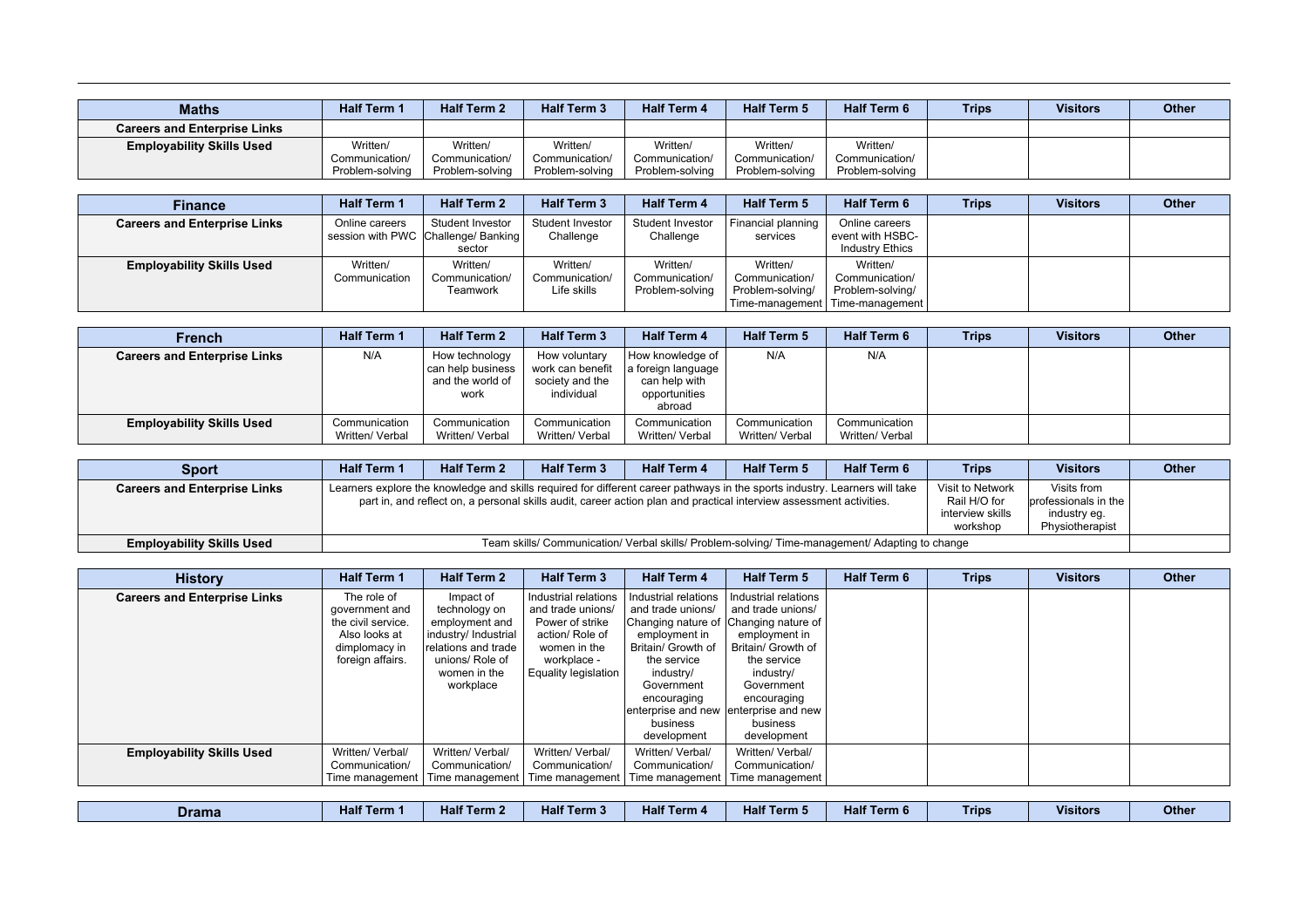| <b>Maths</b>                        | <b>Half Term 1</b> | <b>Half Term 2</b> | <b>Half Term 3</b> | <b>Half Term 4</b> | <b>Half Term 5</b> | <b>Half Term 6</b> | <b>Trips</b> | <b>Visitors</b> | <b>Other</b> |
|-------------------------------------|--------------------|--------------------|--------------------|--------------------|--------------------|--------------------|--------------|-----------------|--------------|
| <b>Careers and Enterprise Links</b> |                    |                    |                    |                    |                    |                    |              |                 |              |
| <b>Employability Skills Used</b>    | Written/           | Written/           | Written/           | Written/           | Written/           | Written/           |              |                 |              |
|                                     | Communication/     | Communication/     | Communication/     | Communication/     | Communication/     | Communication/     |              |                 |              |
|                                     | Problem-solving    | Problem-solving    | Problem-solving    | Problem-solving    | Problem-solving    | Problem-solving    |              |                 |              |

| <b>Finance</b>                      | <b>Half Term 1</b>        | <b>Half Term 2</b>                                                | <b>Half Term 3</b>                        | <b>Half Term 4</b>                            | <b>Half Term 5</b>                                                | <b>Half Term 6</b>                                                | <b>Trips</b> | <b>Visitors</b> | <b>Other</b> |
|-------------------------------------|---------------------------|-------------------------------------------------------------------|-------------------------------------------|-----------------------------------------------|-------------------------------------------------------------------|-------------------------------------------------------------------|--------------|-----------------|--------------|
| <b>Careers and Enterprise Links</b> | Online careers            | Student Investor<br>session with PWC Challenge/ Banking<br>sector | Student Investor<br>Challenge             | Student Investor<br>Challenge                 | Financial planning<br>services                                    | Online careers<br>event with HSBC-<br><b>Industry Ethics</b>      |              |                 |              |
| <b>Employability Skills Used</b>    | Written/<br>Communication | Written/<br>Communication/<br>Teamwork                            | Written/<br>Communication/<br>Life skills | Written/<br>Communication/<br>Problem-solving | Written/<br>Communication/<br>Problem-solving/<br>Time-management | Written/<br>Communication/<br>Problem-solving/<br>Time-management |              |                 |              |

| French                              | <b>Half Term 1</b>               | <b>Half Term 2</b>                                              | <b>Half Term 3</b>                                                 | <b>Half Term 4</b>                                                                   | <b>Half Term 5</b>               | <b>Half Term 6</b>               | <b>Trips</b> | <b>Visitors</b> | <b>Other</b> |
|-------------------------------------|----------------------------------|-----------------------------------------------------------------|--------------------------------------------------------------------|--------------------------------------------------------------------------------------|----------------------------------|----------------------------------|--------------|-----------------|--------------|
| <b>Careers and Enterprise Links</b> | N/A                              | How technology<br>can help business<br>and the world of<br>work | How voluntary<br>work can benefit<br>society and the<br>individual | How knowledge of 1<br>a foreign language<br>can help with<br>opportunities<br>abroad | N/A                              | N/A                              |              |                 |              |
| <b>Employability Skills Used</b>    | Communication<br>Written/ Verbal | Communication<br>Written/ Verbal                                | Communication<br>Written/ Verbal                                   | Communication<br>Written/ Verbal                                                     | Communication<br>Written/ Verbal | Communication<br>Written/ Verbal |              |                 |              |

| <b>Sport</b>                        | <b>Half Term 1</b> | <b>Half Term 2</b> | <b>Half Term 3</b> | <b>Half Term 4</b> | <b>Half Term 5</b>                                                                                                                                                                                                                                 | <b>Half Term 6</b> | <b>Trips</b>                                                     | <b>Visitors</b>                                                          | <b>Other</b> |
|-------------------------------------|--------------------|--------------------|--------------------|--------------------|----------------------------------------------------------------------------------------------------------------------------------------------------------------------------------------------------------------------------------------------------|--------------------|------------------------------------------------------------------|--------------------------------------------------------------------------|--------------|
| <b>Careers and Enterprise Links</b> |                    |                    |                    |                    | Learners explore the knowledge and skills required for different career pathways in the sports industry. Learners will take<br>part in, and reflect on, a personal skills audit, career action plan and practical interview assessment activities. |                    | Visit to Network<br>Rail H/O for<br>interview skills<br>workshop | Visits from<br>professionals in the I<br>industry eq.<br>Physiotherapist |              |
| <b>Employability Skills Used</b>    |                    |                    |                    |                    | Team skills/ Communication/ Verbal skills/ Problem-solving/ Time-management/ Adapting to change                                                                                                                                                    |                    |                                                                  |                                                                          |              |

| <b>History</b>                      | <b>Half Term 1</b> | <b>Half Term 2</b>   | <b>Half Term 3</b>   | <b>Half Term 4</b>                    | <b>Half Term 5</b>   | <b>Half Term 6</b> | <b>Trips</b> | <b>Visitors</b> | <b>Other</b> |
|-------------------------------------|--------------------|----------------------|----------------------|---------------------------------------|----------------------|--------------------|--------------|-----------------|--------------|
| <b>Careers and Enterprise Links</b> | The role of        | Impact of            | Industrial relations | Industrial relations                  | Industrial relations |                    |              |                 |              |
|                                     | government and     | technology on        | and trade unions/    | and trade unions/                     | and trade unions/    |                    |              |                 |              |
|                                     | the civil service. | employment and       | Power of strike      | Changing nature of   (                | Changing nature of   |                    |              |                 |              |
|                                     | Also looks at      | industry/ Industrial | action/ Role of      | employment in                         | employment in        |                    |              |                 |              |
|                                     | dimplomacy in      | relations and trade  | women in the         | Britain/ Growth of                    | Britain/ Growth of   |                    |              |                 |              |
|                                     | foreign affairs.   | unions/ Role of      | workplace -          | the service                           | the service          |                    |              |                 |              |
|                                     |                    | women in the         | Equality legislation | industry/                             | industry/            |                    |              |                 |              |
|                                     |                    | workplace            |                      | Government                            | Government           |                    |              |                 |              |
|                                     |                    |                      |                      | encouraging                           | encouraging          |                    |              |                 |              |
|                                     |                    |                      |                      | enterprise and new enterprise and new |                      |                    |              |                 |              |
|                                     |                    |                      |                      | business                              | business             |                    |              |                 |              |
|                                     |                    |                      |                      | development                           | development          |                    |              |                 |              |
| <b>Employability Skills Used</b>    | Written/ Verbal/   | Written/ Verbal/     | Written/ Verbal/     | Written/ Verbal/                      | Written/ Verbal/     |                    |              |                 |              |
|                                     | Communication/     | Communication/       | Communication/       | Communication/                        | Communication/       |                    |              |                 |              |
|                                     | Time management    | Time management      | Time management      | Time management                       | Time management      |                    |              |                 |              |

| <b>Drama</b> | Half <sup>7</sup><br><b>Term</b> | <b>Half</b><br>. Term 2 | Half <sup>7</sup><br>Term 3 | Half $\tau$<br><b>ferm 4</b> | <b>Half Term 5</b> | Half <sup>-</sup><br>Term 6 | _<br>Trips | <b>Visitors</b> | Other |
|--------------|----------------------------------|-------------------------|-----------------------------|------------------------------|--------------------|-----------------------------|------------|-----------------|-------|
|--------------|----------------------------------|-------------------------|-----------------------------|------------------------------|--------------------|-----------------------------|------------|-----------------|-------|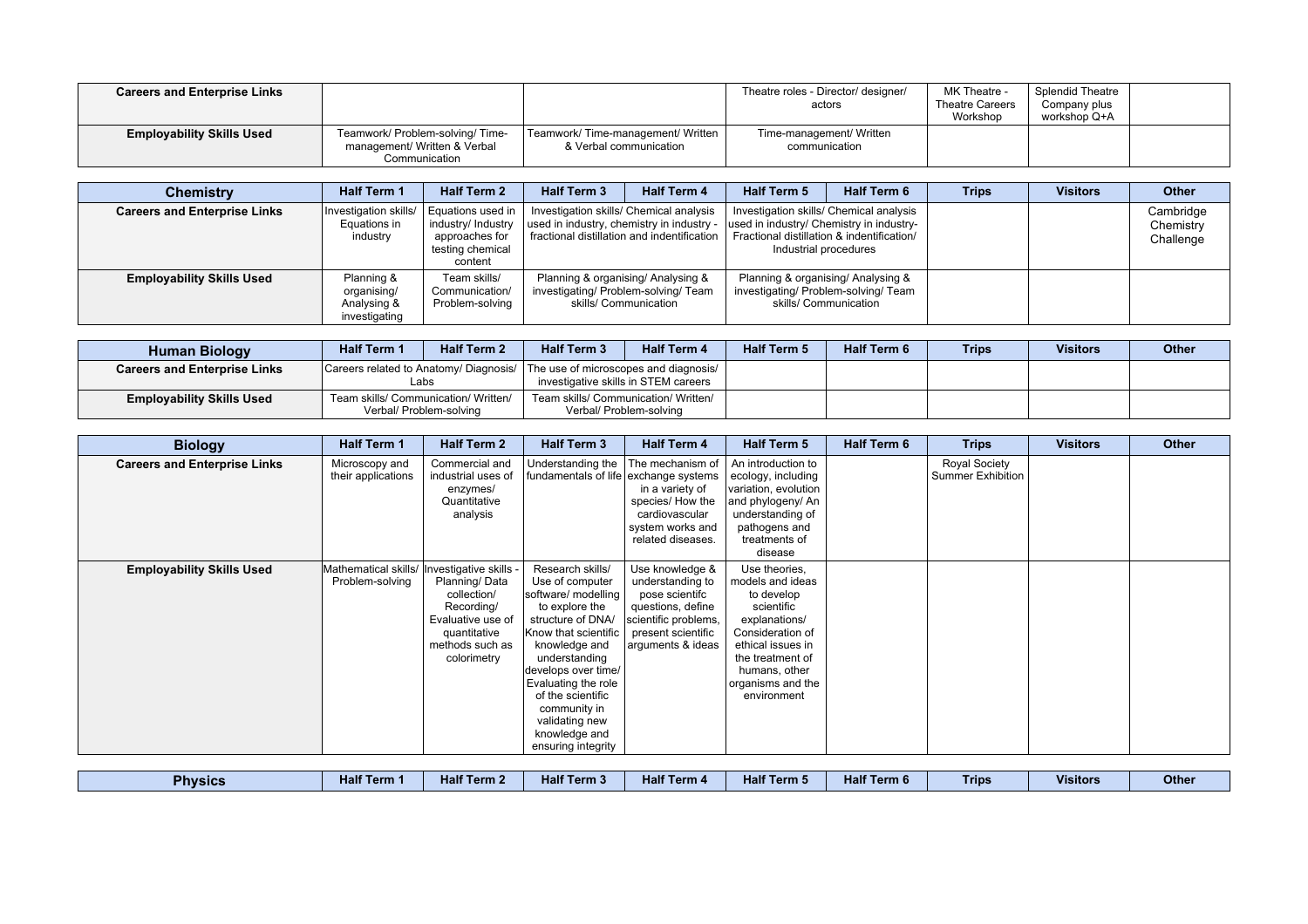| <b>Careers and Enterprise Links</b> |                                                                                   |                                                                | Theatre roles - Director/ designer/<br>actors | MK Theatre -<br><b>Theatre Careers</b><br>Workshop | Splendid Theatre<br>Company plus<br>workshop Q+A |  |
|-------------------------------------|-----------------------------------------------------------------------------------|----------------------------------------------------------------|-----------------------------------------------|----------------------------------------------------|--------------------------------------------------|--|
| <b>Employability Skills Used</b>    | Teamwork/ Problem-solving/ Time-<br>management/ Written & Verbal<br>Communication | Teamwork/ Time-management/ Written  <br>& Verbal communication | Time-management/ Written<br>communication     |                                                    |                                                  |  |

| <b>Chemistry</b>                    | <b>Half Term 1</b>                                        | <b>Half Term 2</b>                                                                       | <b>Half Term 3</b>                                                                                                                  | <b>Half Term 4</b> | <b>Half Term 5</b>                                                                                                                                         | <b>Half Term 6</b> | <b>Trips</b> | <b>Visitors</b> | <b>Other</b>                        |
|-------------------------------------|-----------------------------------------------------------|------------------------------------------------------------------------------------------|-------------------------------------------------------------------------------------------------------------------------------------|--------------------|------------------------------------------------------------------------------------------------------------------------------------------------------------|--------------------|--------------|-----------------|-------------------------------------|
| <b>Careers and Enterprise Links</b> | Investigation skills/<br>Equations in<br>industry         | Equations used in<br>industry/ Industry<br>approaches for<br>testing chemical<br>content | Investigation skills/ Chemical analysis<br>used in industry, chemistry in industry -<br>fractional distillation and indentification |                    | Investigation skills/ Chemical analysis<br>used in industry/ Chemistry in industry-<br>Fractional distillation & indentification/<br>Industrial procedures |                    |              |                 | Cambridge<br>Chemistry<br>Challenge |
| <b>Employability Skills Used</b>    | Planning &<br>organising/<br>Analysing &<br>investigating | Team skills/<br>Communication/<br>Problem-solving                                        | Planning & organising/ Analysing &<br>investigating/ Problem-solving/ Team<br>skills/ Communication                                 |                    | Planning & organising/ Analysing &<br>investigating/ Problem-solving/ Team<br>skills/ Communication                                                        |                    |              |                 |                                     |

| <b>Human Biology</b>                | <b>Half Term 1</b> | <b>Half Term 2</b>                                                                   | <b>Half Term 3</b>                   | <b>Half Term 4</b>      | <b>Half Term 5</b> | <b>Half Term 6</b> | <b>Trips</b> | <b>Visitors</b> | <b>Other</b> |
|-------------------------------------|--------------------|--------------------------------------------------------------------------------------|--------------------------------------|-------------------------|--------------------|--------------------|--------------|-----------------|--------------|
| <b>Careers and Enterprise Links</b> |                    | Careers related to Anatomy/ Diagnosis/ The use of microscopes and diagnosis/<br>∟abs | investigative skills in STEM careers |                         |                    |                    |              |                 |              |
| <b>Employability Skills Used</b>    |                    | Team skills/ Communication/ Written/<br>Verbal/ Problem-solving                      | Team skills/ Communication/ Written/ | Verbal/ Problem-solving |                    |                    |              |                 |              |

| <b>Biology</b>                      | <b>Half Term 1</b>                      | <b>Half Term 2</b>                                                                                                                          | <b>Half Term 3</b>                                                                                                                                                                                                                                                                                      | <b>Half Term 4</b>                                                                                                                            | Half Term 5                                                                                                                                                                                      | <b>Half Term 6</b> | <b>Trips</b>                                     | <b>Visitors</b> | Other |
|-------------------------------------|-----------------------------------------|---------------------------------------------------------------------------------------------------------------------------------------------|---------------------------------------------------------------------------------------------------------------------------------------------------------------------------------------------------------------------------------------------------------------------------------------------------------|-----------------------------------------------------------------------------------------------------------------------------------------------|--------------------------------------------------------------------------------------------------------------------------------------------------------------------------------------------------|--------------------|--------------------------------------------------|-----------------|-------|
| <b>Careers and Enterprise Links</b> | Microscopy and<br>their applications    | Commercial and<br>industrial uses of<br>enzymes/<br>Quantitative<br>analysis                                                                | Understanding the<br>fundamentals of life exchange systems                                                                                                                                                                                                                                              | The mechanism of<br>in a variety of<br>species/ How the<br>cardiovascular<br>system works and<br>related diseases.                            | An introduction to<br>ecology, including<br>variation, evolution<br>and phylogeny/ An<br>understanding of<br>pathogens and<br>treatments of<br>disease                                           |                    | <b>Royal Society</b><br><b>Summer Exhibition</b> |                 |       |
| <b>Employability Skills Used</b>    | Mathematical skills/<br>Problem-solving | Investigative skills -<br>Planning/Data<br>collection/<br>Recording/<br>Evaluative use of<br>quantitative<br>methods such as<br>colorimetry | Research skills/<br>Use of computer<br>software/ modelling<br>to explore the<br>structure of DNA/<br>Know that scientific<br>knowledge and<br>understanding<br>develops over time/<br>Evaluating the role<br>of the scientific<br>community in<br>validating new<br>knowledge and<br>ensuring integrity | Use knowledge &<br>understanding to<br>pose scientifc<br>questions, define<br>scientific problems,<br>present scientific<br>arguments & ideas | Use theories,<br>models and ideas<br>to develop<br>scientific<br>explanations/<br>Consideration of<br>ethical issues in<br>the treatment of<br>humans, other<br>organisms and the<br>environment |                    |                                                  |                 |       |

| <b>Physics</b> | Half <sup>7</sup><br>Term 1 | <b>Half Term 2</b> | <b>Half Term 3</b> | $-$ <b>Link</b> $-$<br><b>Half Term 4</b> | <b>Half Term 5</b> | .<br>Half<br>Term 6 | __<br>Trips | <b>Visitors</b> | Other |
|----------------|-----------------------------|--------------------|--------------------|-------------------------------------------|--------------------|---------------------|-------------|-----------------|-------|
|----------------|-----------------------------|--------------------|--------------------|-------------------------------------------|--------------------|---------------------|-------------|-----------------|-------|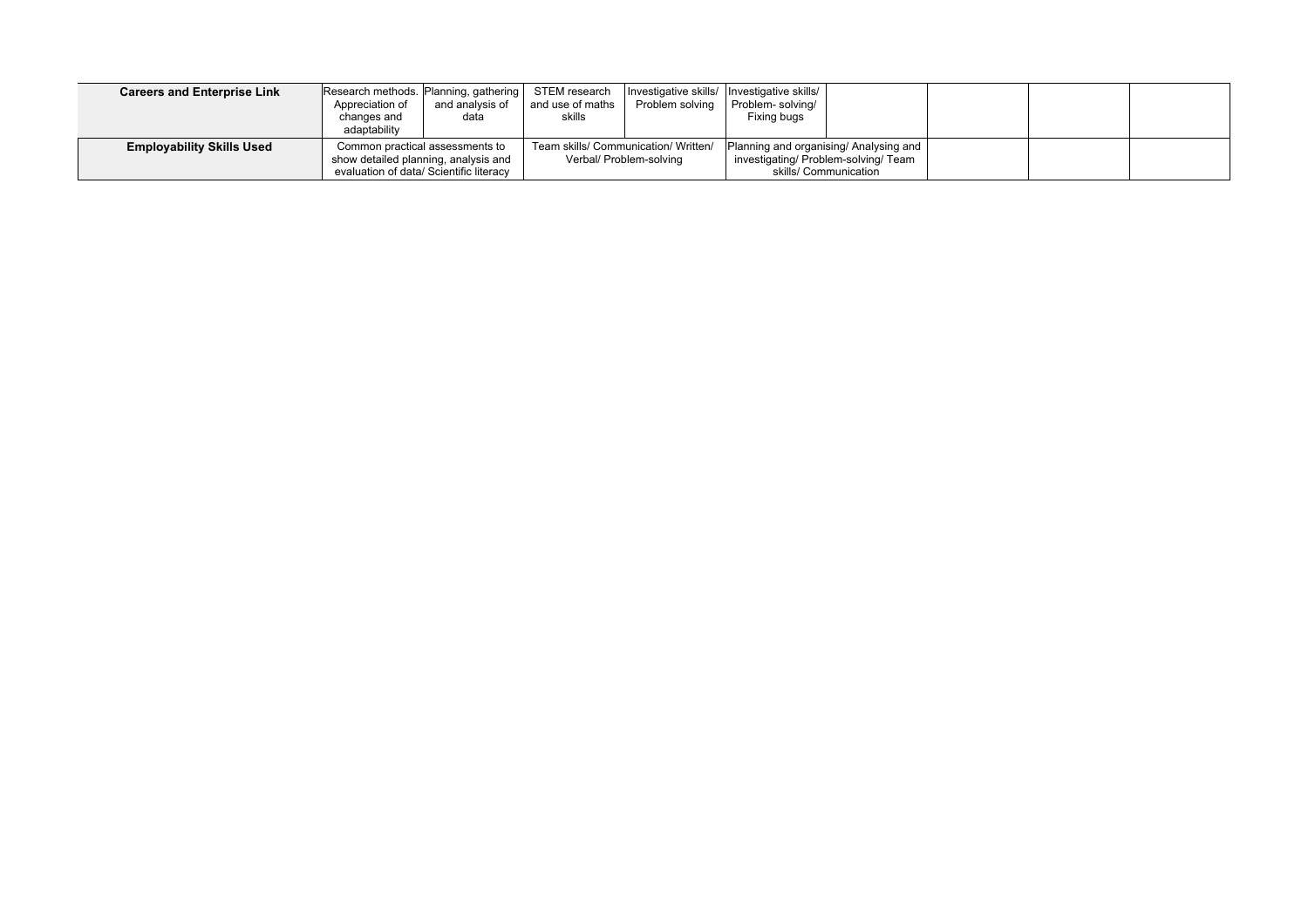| <b>Careers and Enterprise Link</b> | Research methods. Planning, gathering<br>Appreciation of<br>changes and<br>adaptability                            | and analysis of<br>data | STEM research<br>and use of maths<br>skills | Investigative skills/ Investigative skills/<br>Problem solving  | Problem-solving/<br>Fixing bugs |                                                                                                         |  |  |
|------------------------------------|--------------------------------------------------------------------------------------------------------------------|-------------------------|---------------------------------------------|-----------------------------------------------------------------|---------------------------------|---------------------------------------------------------------------------------------------------------|--|--|
| <b>Employability Skills Used</b>   | Common practical assessments to<br>show detailed planning, analysis and<br>evaluation of data/ Scientific literacy |                         |                                             | Team skills/ Communication/ Written/<br>Verbal/ Problem-solving |                                 | Planning and organising/ Analysing and<br>investigating/ Problem-solving/ Team<br>skills/ Communication |  |  |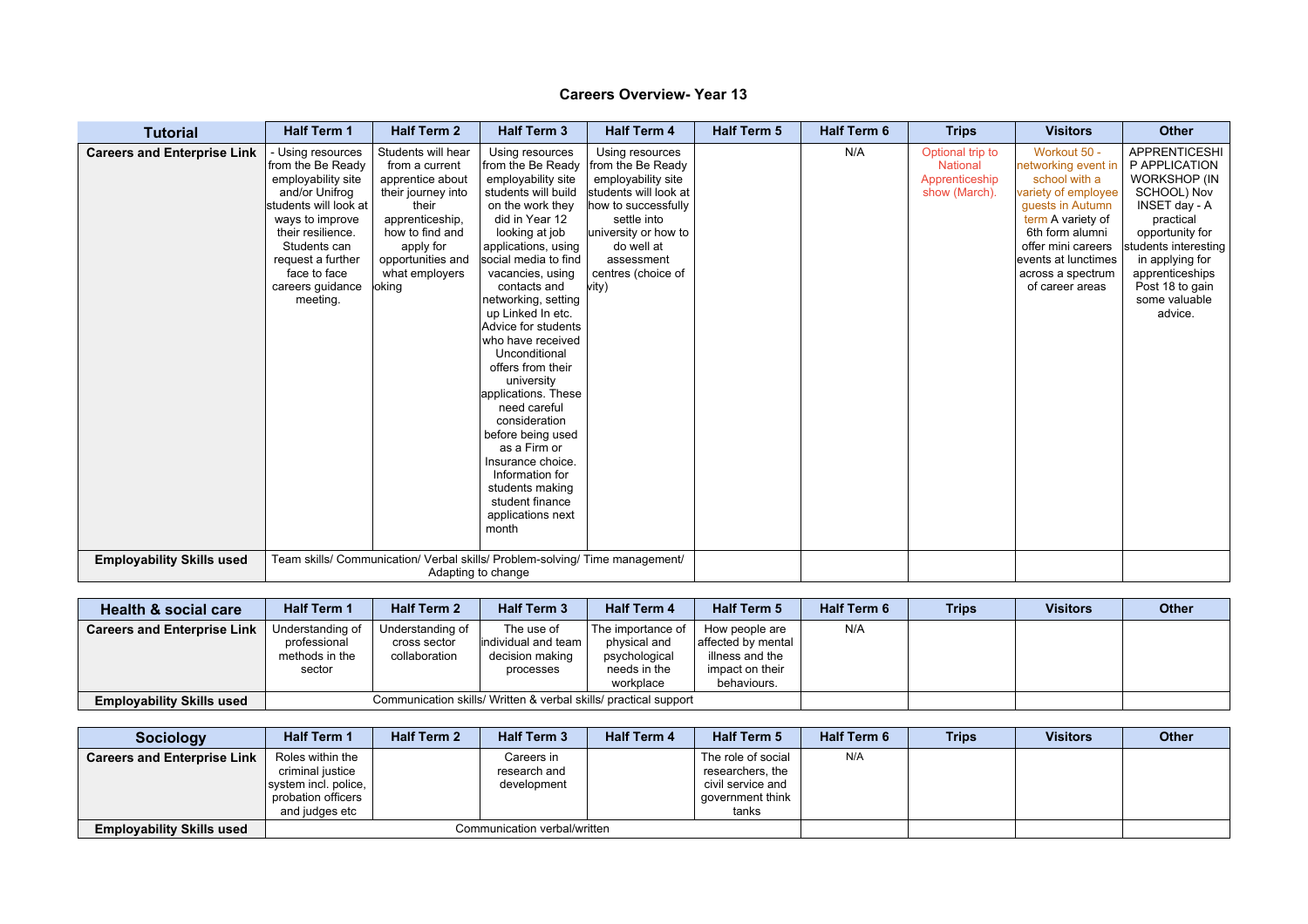| <b>Tutorial</b>                    | <b>Half Term 1</b>                                                                                                                                                                                                                   | <b>Half Term 2</b>                                                                                                                                                                          | <b>Half Term 3</b>                                                                                                                                                                                                                                                                                                                                                                                                                                                                                                                                                                | <b>Half Term 4</b>                                                                                                                                                                                           | <b>Half Term 5</b> | <b>Half Term 6</b> | <b>Trips</b>                                                           | <b>Visitors</b>                                                                                                                                                                                                              | <b>Other</b>                                                                                                                                                                                                                              |
|------------------------------------|--------------------------------------------------------------------------------------------------------------------------------------------------------------------------------------------------------------------------------------|---------------------------------------------------------------------------------------------------------------------------------------------------------------------------------------------|-----------------------------------------------------------------------------------------------------------------------------------------------------------------------------------------------------------------------------------------------------------------------------------------------------------------------------------------------------------------------------------------------------------------------------------------------------------------------------------------------------------------------------------------------------------------------------------|--------------------------------------------------------------------------------------------------------------------------------------------------------------------------------------------------------------|--------------------|--------------------|------------------------------------------------------------------------|------------------------------------------------------------------------------------------------------------------------------------------------------------------------------------------------------------------------------|-------------------------------------------------------------------------------------------------------------------------------------------------------------------------------------------------------------------------------------------|
| <b>Careers and Enterprise Link</b> | - Using resources<br>from the Be Ready<br>employability site<br>and/or Unifrog<br>students will look at<br>ways to improve<br>their resilience.<br>Students can<br>request a further<br>face to face<br>careers guidance<br>meeting. | Students will hear<br>from a current<br>apprentice about<br>their journey into<br>their<br>apprenticeship,<br>how to find and<br>apply for<br>opportunities and<br>what employers<br>loking | Using resources<br>from the Be Ready<br>employability site<br>students will build<br>on the work they<br>did in Year 12<br>looking at job<br>applications, using<br>social media to find<br>vacancies, using<br>contacts and<br>networking, setting<br>up Linked In etc.<br>Advice for students<br>who have received<br>Unconditional<br>offers from their<br>university<br>applications. These<br>need careful<br>consideration<br>before being used<br>as a Firm or<br>Insurance choice.<br>Information for<br>students making<br>student finance<br>applications next<br>month | Using resources<br>from the Be Ready<br>employability site<br>students will look at<br>how to successfully<br>settle into<br>university or how to<br>do well at<br>assessment<br>centres (choice of<br>vitv) |                    | N/A                | Optional trip to<br><b>National</b><br>Apprenticeship<br>show (March). | Workout 50 -<br>networking event ir<br>school with a<br>variety of employee<br>quests in Autumn<br>term A variety of<br>6th form alumni<br>offer mini careers<br>events at lunctimes<br>across a spectrum<br>of career areas | <b>APPRENTICESHI</b><br>P APPLICATION<br><b>WORKSHOP (IN</b><br>SCHOOL) Nov<br>INSET day - A<br>practical<br>opportunity for<br>students interesting<br>in applying for<br>apprenticeships<br>Post 18 to gain<br>some valuable<br>advice. |
| <b>Employability Skills used</b>   |                                                                                                                                                                                                                                      |                                                                                                                                                                                             | Team skills/ Communication/ Verbal skills/ Problem-solving/ Time management/<br>Adapting to change                                                                                                                                                                                                                                                                                                                                                                                                                                                                                |                                                                                                                                                                                                              |                    |                    |                                                                        |                                                                                                                                                                                                                              |                                                                                                                                                                                                                                           |

| Health & social care               | <b>Half Term 1</b>                                           | <b>Half Term 2</b>                                | <b>Half Term 3</b>                                                   | <b>Half Term 4</b>                                                              | <b>Half Term 5</b>                                                                        | <b>Half Term 6</b> | <b>Trips</b> | <b>Visitors</b> | <b>Other</b> |
|------------------------------------|--------------------------------------------------------------|---------------------------------------------------|----------------------------------------------------------------------|---------------------------------------------------------------------------------|-------------------------------------------------------------------------------------------|--------------------|--------------|-----------------|--------------|
| <b>Careers and Enterprise Link</b> | Understanding of<br>professional<br>methods in the<br>sector | Understanding of<br>cross sector<br>collaboration | The use of<br>lindividual and team I<br>decision making<br>processes | The importance of<br>physical and<br>psychological<br>needs in the<br>workplace | How people are<br>affected by mental<br>illness and the<br>impact on their<br>behaviours. | N/A                |              |                 |              |
| <b>Employability Skills used</b>   |                                                              |                                                   | Communication skills/ Written & verbal skills/ practical support     |                                                                                 |                                                                                           |                    |              |                 |              |

| <b>Sociology</b>                   | <b>Half Term 1</b>                                                                                   | <b>Half Term 2</b>           | <b>Half Term 3</b>                        | <b>Half Term 4</b> | <b>Half Term 5</b>                                                                       | <b>Half Term 6</b> | <b>Trips</b> | <b>Visitors</b> | Other |
|------------------------------------|------------------------------------------------------------------------------------------------------|------------------------------|-------------------------------------------|--------------------|------------------------------------------------------------------------------------------|--------------------|--------------|-----------------|-------|
| <b>Careers and Enterprise Link</b> | Roles within the<br>criminal justice<br>system incl. police.<br>probation officers<br>and judges etc |                              | Careers in<br>research and<br>development |                    | The role of social<br>researchers, the<br>civil service and<br>aovernment think<br>tanks | N/A                |              |                 |       |
| <b>Employability Skills used</b>   |                                                                                                      | Communication verbal/written |                                           |                    |                                                                                          |                    |              |                 |       |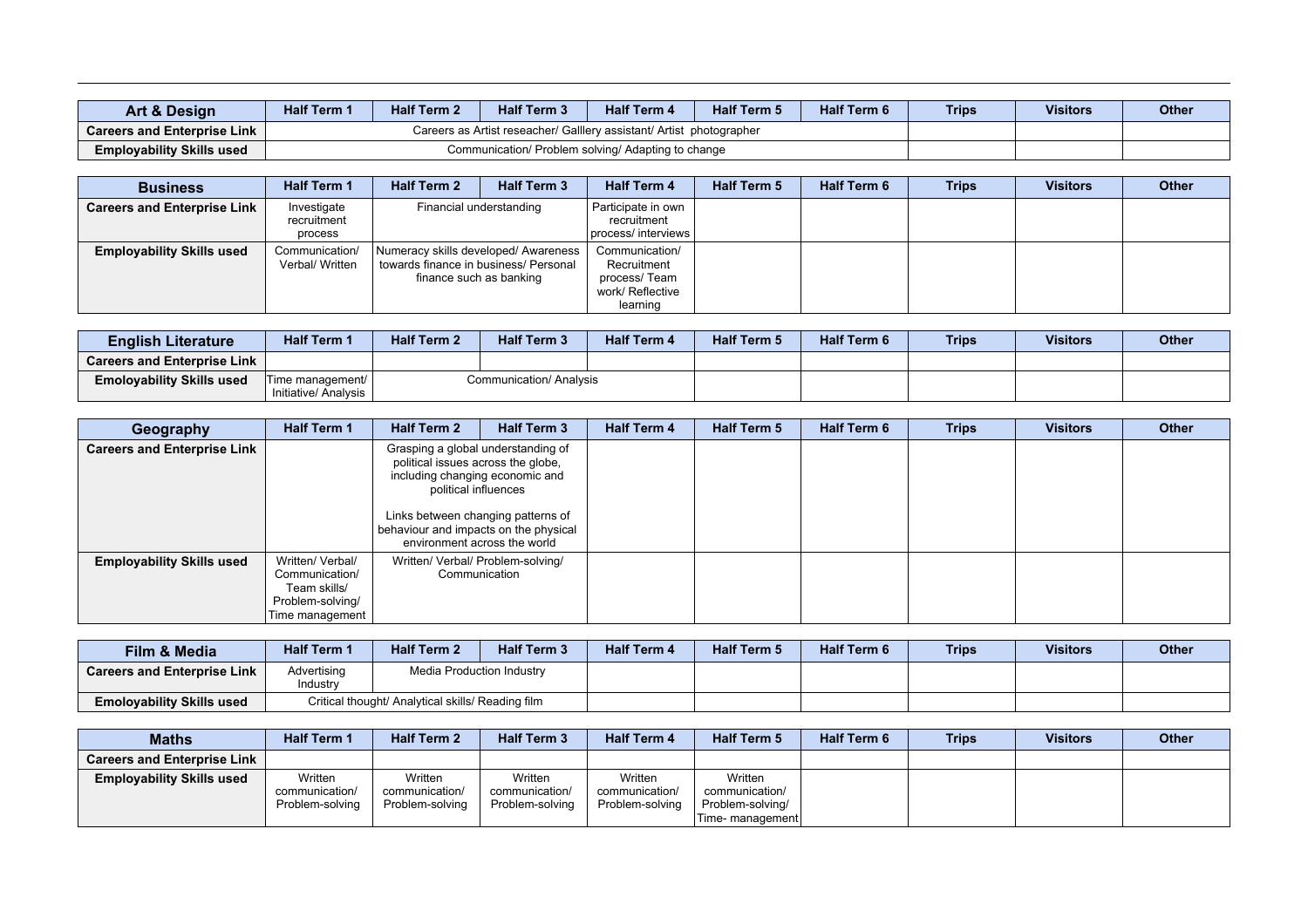| Art & Desian                       | <b>Half Term 1</b> | <b>Half Term 2</b> | <b>Half Term 3</b>                                                   | <b>Half Term 6</b> | <b>Trips</b> | <b>Visitors</b> | <b>Other</b> |  |
|------------------------------------|--------------------|--------------------|----------------------------------------------------------------------|--------------------|--------------|-----------------|--------------|--|
| <b>Careers and Enterprise Link</b> |                    |                    | Careers as Artist reseacher/ Galllery assistant/ Artist photographer |                    |              |                 |              |  |
| <b>Employability Skills used</b>   |                    |                    | Communication/ Problem solving/ Adapting to change                   |                    |              |                 |              |  |

| <b>Business</b>                    | <b>Half Term 1</b>                    | <b>Half Term 2</b>                                               | <b>Half Term 3</b>                   | <b>Half Term 4</b>                                                            | <b>Half Term 5</b> | <b>Half Term 6</b> | <b>Trips</b> | <b>Visitors</b> | <b>Other</b> |
|------------------------------------|---------------------------------------|------------------------------------------------------------------|--------------------------------------|-------------------------------------------------------------------------------|--------------------|--------------------|--------------|-----------------|--------------|
| <b>Careers and Enterprise Link</b> | Investigate<br>recruitment<br>process |                                                                  | Financial understanding              | Participate in own<br>recruitment<br>  process/ interviews                    |                    |                    |              |                 |              |
| <b>Employability Skills used</b>   | Communication/<br>Verbal/ Written     | towards finance in business/ Personal<br>finance such as banking | Numeracy skills developed/ Awareness | Communication/<br>Recruitment<br>process/Team<br>work/ Reflective<br>learning |                    |                    |              |                 |              |

| <b>English Literature</b>          | <b>Half Term</b>                         | <b>Half Term 2</b> | <b>Half Term 3</b>      | <b>Half Term 4</b> | <b>Half Term 5</b> | <b>Half Term 6</b> | <b>Trips</b> | <b>Visitors</b> | <b>Other</b> |
|------------------------------------|------------------------------------------|--------------------|-------------------------|--------------------|--------------------|--------------------|--------------|-----------------|--------------|
| <b>Careers and Enterprise Link</b> |                                          |                    |                         |                    |                    |                    |              |                 |              |
| <b>Emolovability Skills used</b>   | Time management/<br>Initiative/ Analysis |                    | Communication/ Analysis |                    |                    |                    |              |                 |              |

| Geography                          | <b>Half Term 1</b>                                                                        | <b>Half Term 2</b>                                                                                                                                                                                                                                 | <b>Half Term 3</b> |  | <b>Half Term 5</b> | <b>Half Term 6</b> | <b>Trips</b> | <b>Visitors</b> | <b>Other</b> |
|------------------------------------|-------------------------------------------------------------------------------------------|----------------------------------------------------------------------------------------------------------------------------------------------------------------------------------------------------------------------------------------------------|--------------------|--|--------------------|--------------------|--------------|-----------------|--------------|
| <b>Careers and Enterprise Link</b> |                                                                                           | Grasping a global understanding of<br>political issues across the globe,<br>including changing economic and<br>political influences<br>Links between changing patterns of<br>behaviour and impacts on the physical<br>environment across the world |                    |  |                    |                    |              |                 |              |
| <b>Employability Skills used</b>   | Written/ Verbal/<br>Communication/<br>Team skills/<br>Problem-solving/<br>Time management | Written/ Verbal/ Problem-solving/<br>Communication                                                                                                                                                                                                 |                    |  |                    |                    |              |                 |              |

| <b>Film &amp; Media</b>            | Half Term 1             | <b>Half Term 2</b>                                | <b>Half Term 3</b> | <b>Half Term 4</b> | <b>Half Term 5</b> | <b>Half Term 6</b> | <b>Trips</b> | <b>Visitors</b> | <b>Other</b> |
|------------------------------------|-------------------------|---------------------------------------------------|--------------------|--------------------|--------------------|--------------------|--------------|-----------------|--------------|
| <b>Careers and Enterprise Link</b> | Advertising<br>Industry | Media Production Industry                         |                    |                    |                    |                    |              |                 |              |
| <b>Emolovability Skills used</b>   |                         | Critical thought/ Analytical skills/ Reading film |                    |                    |                    |                    |              |                 |              |

| <b>Maths</b>                       | <b>Half Term 1</b>                           | <b>Half Term 2</b>                           | <b>Half Term 3</b>                           | <b>Half Term 4</b>                           | <b>Half Term 5</b>                                                | <b>Half Term 6</b> | <b>Trips</b> | <b>Visitors</b> | <b>Other</b> |
|------------------------------------|----------------------------------------------|----------------------------------------------|----------------------------------------------|----------------------------------------------|-------------------------------------------------------------------|--------------------|--------------|-----------------|--------------|
| <b>Careers and Enterprise Link</b> |                                              |                                              |                                              |                                              |                                                                   |                    |              |                 |              |
| <b>Employability Skills used</b>   | Written<br>communication/<br>Problem-solving | Written<br>communication/<br>Problem-solving | Written<br>communication/<br>Problem-solving | Written<br>communication/<br>Problem-solving | Written<br>communication/<br>Problem-solving/<br>Time- management |                    |              |                 |              |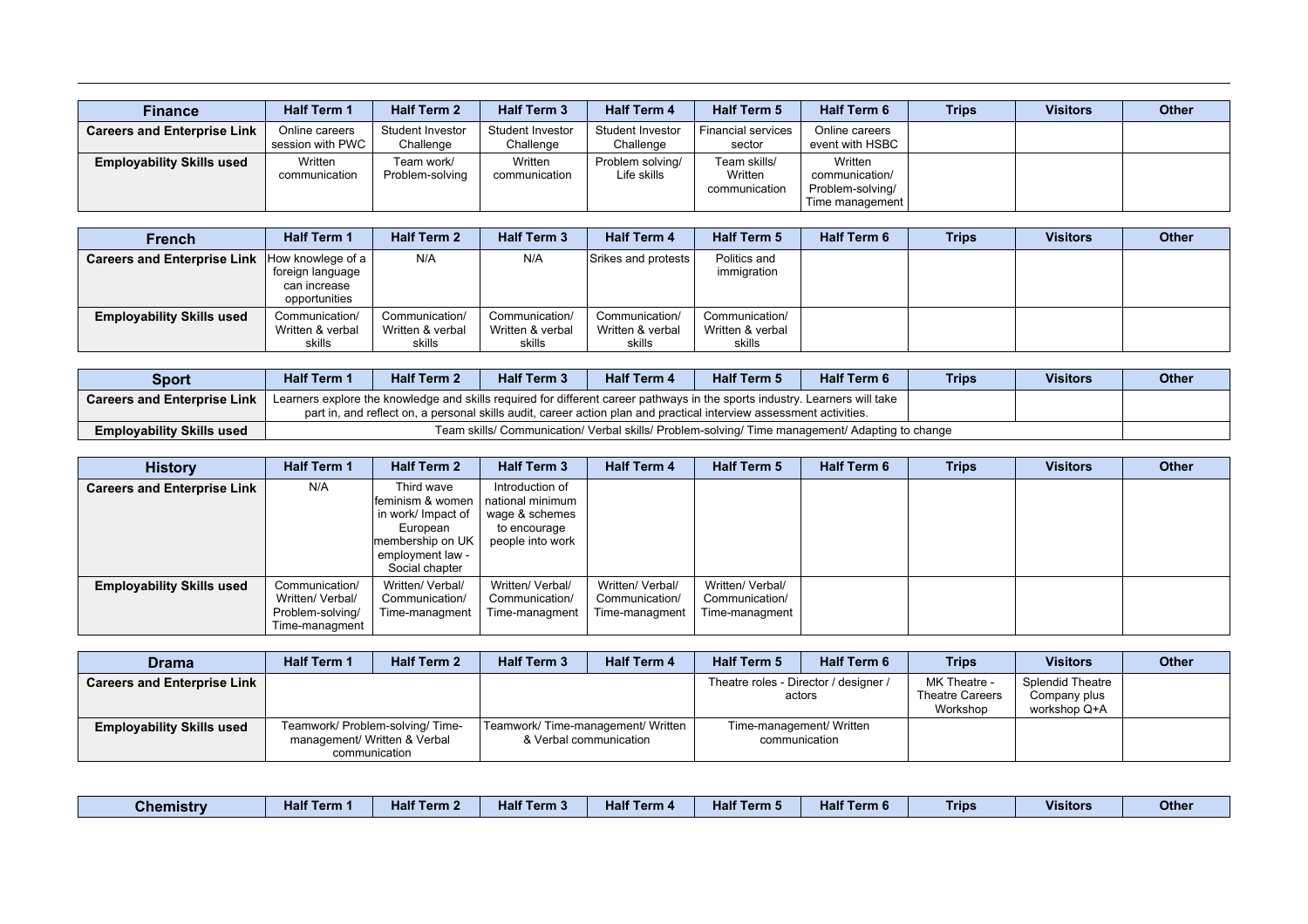| <b>Finance</b>                     | <b>Half Term 1</b>                 | <b>Half Term 2</b>            | <b>Half Term 3</b>            | <b>Half Term 4</b>              | <b>Half Term 5</b>                       | <b>Half Term 6</b>                                               | <b>Trips</b> | <b>Visitors</b> | <b>Other</b> |
|------------------------------------|------------------------------------|-------------------------------|-------------------------------|---------------------------------|------------------------------------------|------------------------------------------------------------------|--------------|-----------------|--------------|
| <b>Careers and Enterprise Link</b> | Online careers<br>session with PWC | Student Investor<br>Challenge | Student Investor<br>Challenge | Student Investor<br>Challenge   | <b>Financial services</b><br>sector      | Online careers<br>event with HSBC                                |              |                 |              |
| <b>Employability Skills used</b>   | Written<br>communication           | Team work/<br>Problem-solving | Written<br>communication      | Problem solving/<br>Life skills | Team skills/<br>Written<br>communication | Written<br>communication/<br>Problem-solving/<br>Time management |              |                 |              |

| <b>French</b>                      | <b>Half Term 1</b>                                                       | <b>Half Term 2</b>                           | <b>Half Term 3</b>                           | <b>Half Term 4</b>                           | <b>Half Term 5</b>                           | Half Term 6 | <b>Trips</b> | <b>Visitors</b> | <b>Other</b> |
|------------------------------------|--------------------------------------------------------------------------|----------------------------------------------|----------------------------------------------|----------------------------------------------|----------------------------------------------|-------------|--------------|-----------------|--------------|
| <b>Careers and Enterprise Link</b> | How knowlege of a<br>, foreign language<br>can increase<br>opportunities | N/A                                          | N/A                                          | Srikes and protests                          | Politics and<br>immigration                  |             |              |                 |              |
| <b>Employability Skills used</b>   | Communication/<br>Written & verbal<br>skills                             | Communication/<br>Written & verbal<br>skills | Communication/<br>Written & verbal<br>skills | Communication/<br>Written & verbal<br>skills | Communication/<br>Written & verbal<br>skills |             |              |                 |              |

| <b>Sport</b>                       | <b>Half Term 1</b> | <b>Half Term 2</b>                                                                                                                                                                                                                                 | <b>Half Term 3</b> | <b>Half Term 4</b> | <b>Half Term 5</b> | <b>Half Term 6</b> | <b>Trips</b> | <b>Visitors</b>                                                                                 | <b>Other</b> |  |  |  |  |  |
|------------------------------------|--------------------|----------------------------------------------------------------------------------------------------------------------------------------------------------------------------------------------------------------------------------------------------|--------------------|--------------------|--------------------|--------------------|--------------|-------------------------------------------------------------------------------------------------|--------------|--|--|--|--|--|
| <b>Careers and Enterprise Link</b> |                    | Learners explore the knowledge and skills required for different career pathways in the sports industry. Learners will take<br>part in, and reflect on, a personal skills audit, career action plan and practical interview assessment activities. |                    |                    |                    |                    |              |                                                                                                 |              |  |  |  |  |  |
| <b>Employability Skills used</b>   |                    |                                                                                                                                                                                                                                                    |                    |                    |                    |                    |              | Team skills/ Communication/ Verbal skills/ Problem-solving/ Time management/ Adapting to change |              |  |  |  |  |  |

| <b>History</b>                     | <b>Half Term 1</b>                                                       | <b>Half Term 2</b>                                                                                                         | <b>Half Term 3</b>                                                                        | <b>Half Term 4</b>                                   | <b>Half Term 5</b>                                   | <b>Half Term 6</b> | <b>Trips</b> | <b>Visitors</b> | <b>Other</b> |
|------------------------------------|--------------------------------------------------------------------------|----------------------------------------------------------------------------------------------------------------------------|-------------------------------------------------------------------------------------------|------------------------------------------------------|------------------------------------------------------|--------------------|--------------|-----------------|--------------|
| <b>Careers and Enterprise Link</b> | N/A                                                                      | Third wave<br>feminism & women<br>in work/ Impact of<br>European<br>membership on UK<br>employment law -<br>Social chapter | Introduction of<br>national minimum<br>wage & schemes<br>to encourage<br>people into work |                                                      |                                                      |                    |              |                 |              |
| <b>Employability Skills used</b>   | Communication/<br>Written/ Verbal/<br>Problem-solving/<br>Time-managment | Written/ Verbal/<br>Communication/<br>Time-managment                                                                       | Written/ Verbal/<br>Communication/<br>Time-managment                                      | Written/ Verbal/<br>Communication/<br>Time-managment | Written/ Verbal/<br>Communication/<br>Time-managment |                    |              |                 |              |

| <b>Drama</b>                       | <b>Half Term 1</b>                                                                | <b>Half Term 2</b> | <b>Half Term 3</b>                                           | <b>Half Term 4</b> | <b>Half Term 5</b>                              | <b>Half Term 6</b> | <b>Trips</b>                                       | <b>Visitors</b>                                  | <b>Other</b> |
|------------------------------------|-----------------------------------------------------------------------------------|--------------------|--------------------------------------------------------------|--------------------|-------------------------------------------------|--------------------|----------------------------------------------------|--------------------------------------------------|--------------|
| <b>Careers and Enterprise Link</b> |                                                                                   |                    |                                                              |                    | Theatre roles - Director / designer /<br>actors |                    | MK Theatre -<br><b>Theatre Careers</b><br>Workshop | Splendid Theatre<br>Company plus<br>workshop Q+A |              |
| <b>Employability Skills used</b>   | Teamwork/ Problem-solving/ Time-<br>management/ Written & Verbal<br>communication |                    | Teamwork/Time-management/Written  <br>& Verbal communication |                    | Time-management/ Written<br>communication       |                    |                                                    |                                                  |              |

| Half <sup>7</sup><br>.<br>$H$ alf<br>Half <sub>7</sub><br>.<br>Ferm<br>Term 3<br>Term.<br>Term 4<br>Chemistry<br>тан<br><b>Contract Contract Contract Contract Contract Contract Contract Contract Contract Contract Contract Contract Co</b><br><b>Contract Contract Contract Contract Contract Contract Contract Contract Contract Contract Contract Contract Co</b><br><b>Contract Contract Contract Contract Contract Contract Contract Contract Contract Contract Contract Contract Co</b> | .<br>$-10-1$<br>Term 6<br><b>Half Term \</b><br>нап<br>the contract of the contract of the contract of the contract of the contract of the contract of the contract of | <b>Visitors</b><br>Trips<br>. | Other |
|-------------------------------------------------------------------------------------------------------------------------------------------------------------------------------------------------------------------------------------------------------------------------------------------------------------------------------------------------------------------------------------------------------------------------------------------------------------------------------------------------|------------------------------------------------------------------------------------------------------------------------------------------------------------------------|-------------------------------|-------|
|-------------------------------------------------------------------------------------------------------------------------------------------------------------------------------------------------------------------------------------------------------------------------------------------------------------------------------------------------------------------------------------------------------------------------------------------------------------------------------------------------|------------------------------------------------------------------------------------------------------------------------------------------------------------------------|-------------------------------|-------|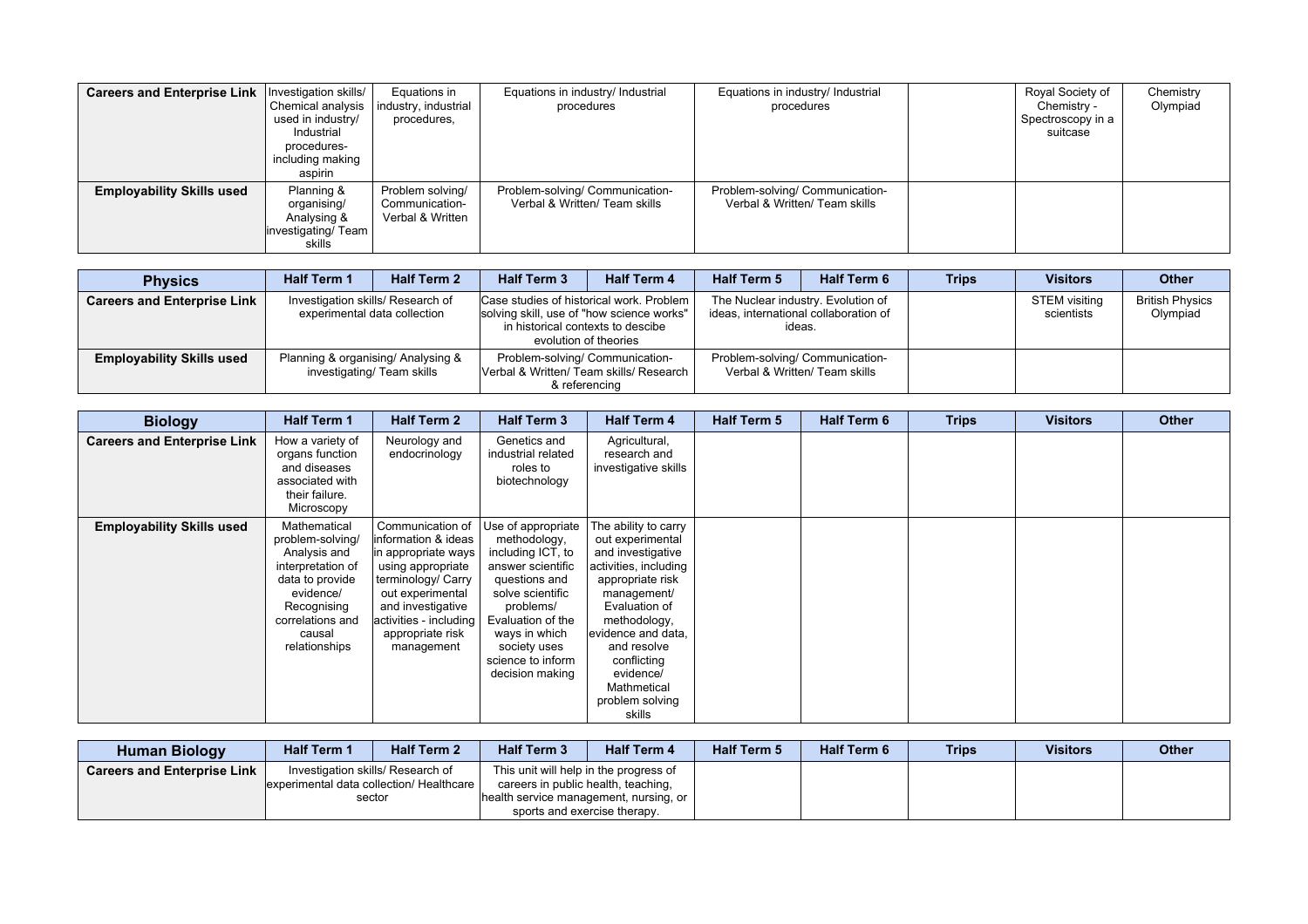| Careers and Enterprise Link      | Investigation skills/<br>Chemical analysis<br>used in industry/<br>Industrial<br>procedures-<br>including making<br>aspirin | Equations in<br>industry, industrial<br>procedures,    | Equations in industry/ Industrial<br>procedures                  | Equations in industry/ Industrial<br>procedures                  | Royal Society of<br>Spectroscopy in a | Chemistry -<br>suitcase | Chemistry<br>Olympiad |
|----------------------------------|-----------------------------------------------------------------------------------------------------------------------------|--------------------------------------------------------|------------------------------------------------------------------|------------------------------------------------------------------|---------------------------------------|-------------------------|-----------------------|
| <b>Employability Skills used</b> | Planning &<br>organising/<br>Analysing &<br>investigating/ Team<br>skills                                                   | Problem solving/<br>Communication-<br>Verbal & Written | Problem-solving/ Communication-<br>Verbal & Written/ Team skills | Problem-solving/ Communication-<br>Verbal & Written/ Team skills |                                       |                         |                       |

| <b>Physics</b>                     | <b>Half Term 1</b> | <b>Half Term 2</b>                                                | <b>Half Term 3</b>                                                                            | <b>Half Term 4</b>                                                                                                                                    | <b>Half Term 5</b>                                               | <b>Half Term 6</b>                                                                    | <b>Trips</b> | <b>Visitors</b>             | <b>Other</b>                       |
|------------------------------------|--------------------|-------------------------------------------------------------------|-----------------------------------------------------------------------------------------------|-------------------------------------------------------------------------------------------------------------------------------------------------------|------------------------------------------------------------------|---------------------------------------------------------------------------------------|--------------|-----------------------------|------------------------------------|
| <b>Careers and Enterprise Link</b> |                    | Investigation skills/ Research of<br>experimental data collection |                                                                                               | Case studies of historical work. Problem  <br>solving skill, use of "how science works"<br>in historical contexts to descibe<br>evolution of theories |                                                                  | The Nuclear industry. Evolution of<br>ideas, international collaboration of<br>ideas. |              | STEM visiting<br>scientists | <b>British Physics</b><br>Olympiad |
| <b>Employability Skills used</b>   |                    | Planning & organising/ Analysing &<br>investigating/ Team skills  | Problem-solving/ Communication-<br>Verbal & Written/ Team skills/ Research  <br>& referencing |                                                                                                                                                       | Problem-solving/ Communication-<br>Verbal & Written/ Team skills |                                                                                       |              |                             |                                    |

| <b>Biology</b>                     | <b>Half Term 1</b>                                                                                                                                                  | <b>Half Term 2</b>                                                                                                                                                                                              | <b>Half Term 3</b>                                                                                                                                                                                                           | <b>Half Term 4</b>                                                                                                                                                                                                                                                      | <b>Half Term 5</b> | <b>Half Term 6</b> | <b>Trips</b> | <b>Visitors</b> | <b>Other</b> |
|------------------------------------|---------------------------------------------------------------------------------------------------------------------------------------------------------------------|-----------------------------------------------------------------------------------------------------------------------------------------------------------------------------------------------------------------|------------------------------------------------------------------------------------------------------------------------------------------------------------------------------------------------------------------------------|-------------------------------------------------------------------------------------------------------------------------------------------------------------------------------------------------------------------------------------------------------------------------|--------------------|--------------------|--------------|-----------------|--------------|
| <b>Careers and Enterprise Link</b> | How a variety of<br>organs function<br>and diseases<br>associated with<br>their failure.<br>Microscopy                                                              | Neurology and<br>endocrinology                                                                                                                                                                                  | Genetics and<br>industrial related<br>roles to<br>biotechnology                                                                                                                                                              | Agricultural,<br>research and<br>investigative skills                                                                                                                                                                                                                   |                    |                    |              |                 |              |
| <b>Employability Skills used</b>   | Mathematical<br>problem-solving/<br>Analysis and<br>interpretation of<br>data to provide<br>evidence/<br>Recognising<br>correlations and<br>causal<br>relationships | Communication of<br>linformation & ideas<br>in appropriate ways<br>using appropriate<br>terminology/ Carry<br>out experimental<br>and investigative<br>activities - including<br>appropriate risk<br>management | Use of appropriate<br>methodology,<br>including ICT, to<br>answer scientific<br>questions and<br>solve scientific<br>problems/<br>Evaluation of the<br>ways in which<br>society uses<br>science to inform<br>decision making | The ability to carry<br>out experimental<br>and investigative<br>activities, including<br>appropriate risk<br>management/<br>Evaluation of<br>methodology,<br>evidence and data,<br>and resolve<br>conflicting<br>evidence/<br>Mathmetical<br>problem solving<br>skills |                    |                    |              |                 |              |

| <b>Human Biology</b>               | <b>Half Term 1</b>                                                            | <b>Half Term 2</b> | <b>Half Term 3</b>                                                            | <b>Half Term 4</b> | <b>Half Term 5</b> | <b>Half Term 6</b> | <b>Trips</b> | <b>Visitors</b> | <b>Other</b> |
|------------------------------------|-------------------------------------------------------------------------------|--------------------|-------------------------------------------------------------------------------|--------------------|--------------------|--------------------|--------------|-----------------|--------------|
| <b>Careers and Enterprise Link</b> | Investigation skills/ Research of<br>experimental data collection/ Healthcare |                    | This unit will help in the progress of<br>careers in public health, teaching, |                    |                    |                    |              |                 |              |
|                                    | sector                                                                        |                    | health service management, nursing, or<br>sports and exercise therapy.        |                    |                    |                    |              |                 |              |